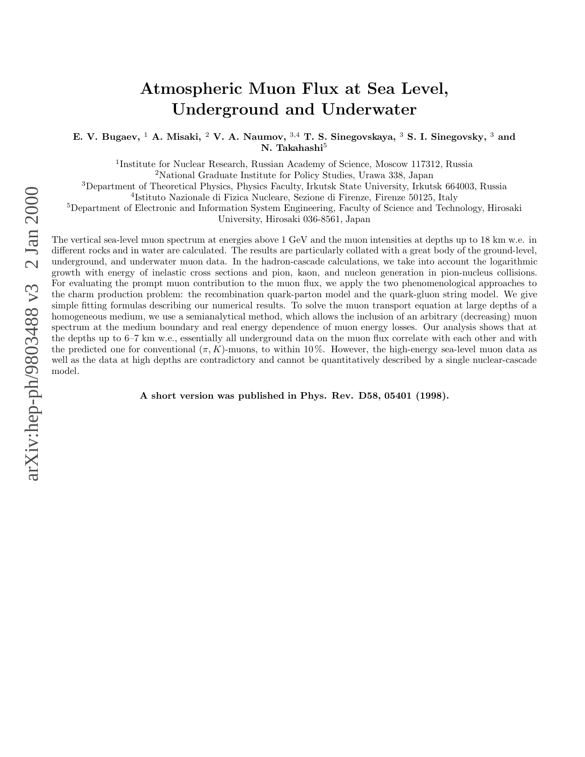# **Atmospheric Muon Flux at Sea Level, Underground and Underwater**

**E. V. Bugaev,** <sup>1</sup> **A. Misaki,** <sup>2</sup> **V. A. Naumov,** <sup>3</sup>,<sup>4</sup> **T. S. Sinegovskaya,** <sup>3</sup> **S. I. Sinegovsky,** <sup>3</sup> **and N. Takahashi**<sup>5</sup>

<sup>1</sup>Institute for Nuclear Research, Russian Academy of Science, Moscow 117312, Russia

<sup>2</sup>National Graduate Institute for Policy Studies, Urawa 338, Japan

<sup>3</sup>Department of Theoretical Physics, Physics Faculty, Irkutsk State University, Irkutsk 664003, Russia

<sup>4</sup>Istituto Nazionale di Fizica Nucleare, Sezione di Firenze, Firenze 50125, Italy

<sup>5</sup>Department of Electronic and Information System Engineering, Faculty of Science and Technology, Hirosaki

University, Hirosaki 036-8561, Japan

The vertical sea-level muon spectrum at energies above 1 GeV and the muon intensities at depths up to 18 km w.e. in different rocks and in water are calculated. The results are particularly collated with a great body of the ground-level, underground, and underwater muon data. In the hadron-cascade calculations, we take into account the logarithmic growth with energy of inelastic cross sections and pion, kaon, and nucleon generation in pion-nucleus collisions. For evaluating the prompt muon contribution to the muon flux, we apply the two phenomenological approaches to the charm production problem: the recombination quark-parton model and the quark-gluon string model. We give simple fitting formulas describing our numerical results. To solve the muon transport equation at large depths of a homogeneous medium, we use a semianalytical method, which allows the inclusion of an arbitrary (decreasing) muon spectrum at the medium boundary and real energy dependence of muon energy losses. Our analysis shows that at the depths up to 6–7 km w.e., essentially all underground data on the muon flux correlate with each other and with the predicted one for conventional  $(\pi, K)$ -muons, to within 10%. However, the high-energy sea-level muon data as well as the data at high depths are contradictory and cannot be quantitatively described by a single nuclear-cascade model.

**A short version was published in Phys. Rev. D58, 05401 (1998).**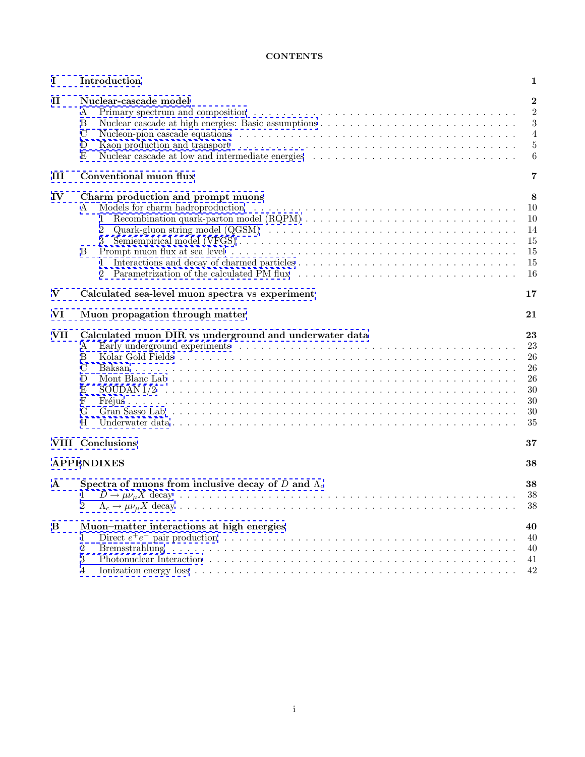# **CONTENTS**

| $\mathbf I$                                                 | Introduction                                                                                   | 1                                                           |  |  |
|-------------------------------------------------------------|------------------------------------------------------------------------------------------------|-------------------------------------------------------------|--|--|
| $\mathbf{I}$                                                | Nuclear-cascade model<br>А<br>Β<br>С<br>D<br>Ε                                                 | $\bf{2}$<br>$\overline{2}$<br>3<br>$\overline{4}$<br>5<br>6 |  |  |
| III                                                         | Conventional muon flux                                                                         | 7                                                           |  |  |
| IV                                                          | Charm production and prompt muons<br>А<br>$\overline{2}$<br>3<br>В<br>1<br>2                   | 8<br>10<br>10<br>14<br>15<br>15<br>15<br>16                 |  |  |
| $\bf{V}$<br>Calculated sea-level muon spectra vs experiment |                                                                                                |                                                             |  |  |
| VI                                                          | Muon propagation through matter                                                                | 21                                                          |  |  |
| <b>VII</b>                                                  | Calculated muon DIR vs underground and underwater data<br>Α<br>В<br>C<br>D<br>Е<br>F<br>G<br>H | 23<br>23<br>26<br>26<br>26<br>30<br>30<br>30<br>35          |  |  |
|                                                             | <b>VIII</b> Conclusions                                                                        | 37                                                          |  |  |
|                                                             | <b>APPENDIXES</b>                                                                              | 38                                                          |  |  |
| $\mathbf{A}$                                                | Spectra of muons from inclusive decay of D and $\Lambda_c$<br>2                                | 38<br>38<br>38                                              |  |  |
| B                                                           | Muon-matter interactions at high energies<br>1<br>$\overline{2}$<br>3<br>4                     | 40<br>40<br>40<br>41<br>42                                  |  |  |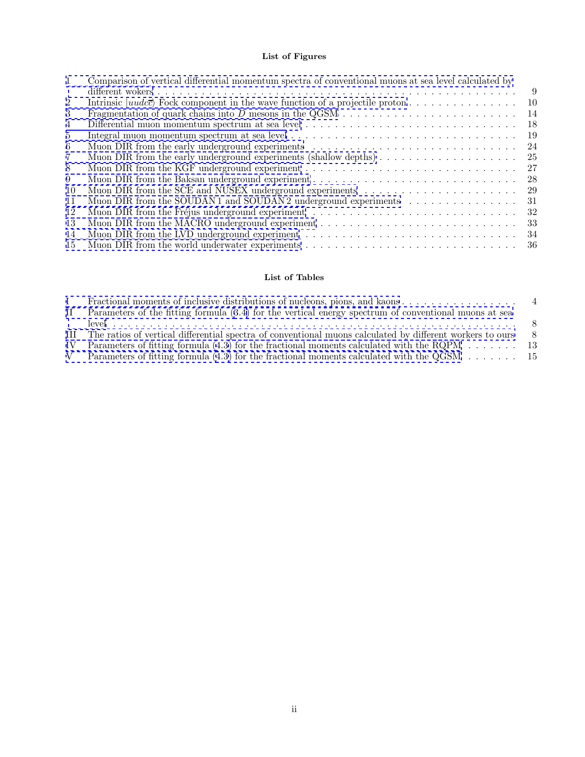# **List of Figures**

| $\mathbf{1}$   | Comparison of vertical differential momentum spectra of conventional muons at sea level calculated by<br>9                            |
|----------------|---------------------------------------------------------------------------------------------------------------------------------------|
| 2              | Intrinsic $ uudc\bar{c}\rangle$ Fock component in the wave function of a projectile proton<br>10                                      |
| 3              | 14                                                                                                                                    |
| 4              | -18                                                                                                                                   |
| $5^{\circ}$    | Integral muon momentum spectrum at sea level $\ldots \ldots \ldots \ldots \ldots \ldots \ldots \ldots \ldots \ldots \ldots$<br>-19    |
| 6              | 24                                                                                                                                    |
| $\overline{7}$ | Muon DIR from the early underground experiments (shallow depths) $\dots \dots \dots \dots \dots \dots \dots$<br>25                    |
| 8              | 27<br>Muon DIR from the KGF underground experiment $\dots \dots \dots \dots \dots \dots \dots \dots \dots \dots \dots \dots$          |
| 9              | 28<br>Muon DIR from the Baksan underground experiment $\dots \dots \dots \dots \dots \dots \dots \dots \dots \dots \dots$             |
| 10             | 29                                                                                                                                    |
| 11             | Muon DIR from the SOUDAN1 and SOUDAN2 underground experiments $\ldots \ldots \ldots \ldots \ldots$<br>31                              |
| 12             | 32                                                                                                                                    |
| 13             | -33                                                                                                                                   |
| 14             | Muon DIR from the LVD underground experiment $\dots \dots \dots \dots \dots \dots \dots \dots \dots \dots \dots \dots$<br>34          |
| 15             | Muon DIR from the world underwater experiments $\dots \dots \dots \dots \dots \dots \dots \dots \dots \dots \dots \dots \dots$<br>-36 |

# **List of Tables**

| H. | Parameters of the fitting formula (3.4) for the vertical energy spectrum of conventional muons at sea           |     |
|----|-----------------------------------------------------------------------------------------------------------------|-----|
|    |                                                                                                                 |     |
|    | III The ratios of vertical differential spectra of conventional muons calculated by different workers to ours   | - 8 |
|    | IV Parameters of fitting formula $(4.3)$ for the fractional moments calculated with the RQPM $\ldots \ldots$ 13 |     |
|    | Parameters of fitting formula (4.3) for the fractional moments calculated with the QGSM $\dots \dots \dots$ 15  |     |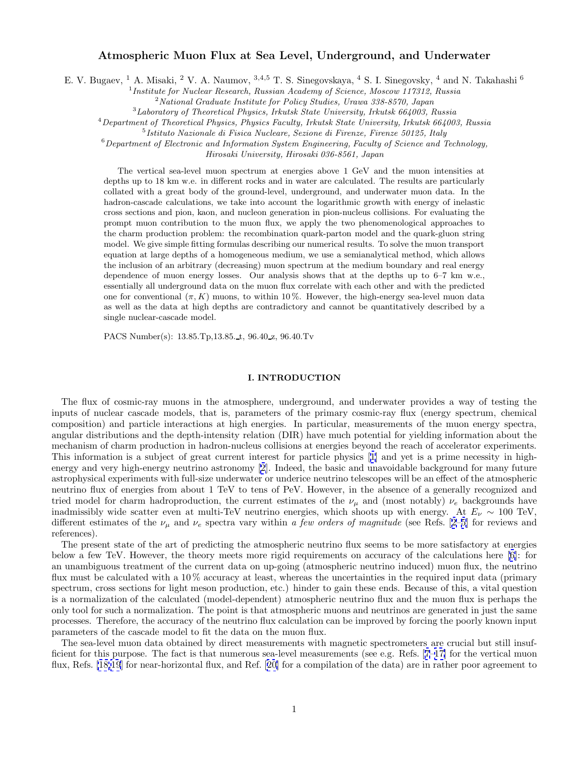# **Atmospheric Muon Flux at Sea Level, Underground, and Underwater**

<span id="page-3-0"></span>E. V. Bugaev, <sup>1</sup> A. Misaki, <sup>2</sup> V. A. Naumov, <sup>3,4,5</sup> T. S. Sinegovskaya, <sup>4</sup> S. I. Sinegovsky, <sup>4</sup> and N. Takahashi <sup>6</sup>

 $1$ Institute for Nuclear Research, Russian Academy of Science, Moscow 117312, Russia

 $2$  National Graduate Institute for Policy Studies, Urawa 338-8570, Japan

 $3$ Laboratory of Theoretical Physics, Irkutsk State University, Irkutsk 664003, Russia

<sup>4</sup>Department of Theoretical Physics, Physics Faculty, Irkutsk State University, Irkutsk 664003, Russia

 $5$ Istituto Nazionale di Fisica Nucleare, Sezione di Firenze, Firenze 50125, Italy

 $6$ Department of Electronic and Information System Engineering, Faculty of Science and Technology,

Hirosaki University, Hirosaki 036-8561, Japan

The vertical sea-level muon spectrum at energies above 1 GeV and the muon intensities at depths up to 18 km w.e. in different rocks and in water are calculated. The results are particularly collated with a great body of the ground-level, underground, and underwater muon data. In the hadron-cascade calculations, we take into account the logarithmic growth with energy of inelastic cross sections and pion, kaon, and nucleon generation in pion-nucleus collisions. For evaluating the prompt muon contribution to the muon flux, we apply the two phenomenological approaches to the charm production problem: the recombination quark-parton model and the quark-gluon string model. We give simple fitting formulas describing our numerical results. To solve the muon transport equation at large depths of a homogeneous medium, we use a semianalytical method, which allows the inclusion of an arbitrary (decreasing) muon spectrum at the medium boundary and real energy dependence of muon energy losses. Our analysis shows that at the depths up to 6–7 km w.e., essentially all underground data on the muon flux correlate with each other and with the predicted one for conventional  $(\pi, K)$  muons, to within 10%. However, the high-energy sea-level muon data as well as the data at high depths are contradictory and cannot be quantitatively described by a single nuclear-cascade model.

PACS Number(s): 13.85.Tp,13.85. t, 96.40 z, 96.40.Tv

# **I. INTRODUCTION**

The flux of cosmic-ray muons in the atmosphere, underground, and underwater provides a way of testing the inputs of nuclear cascade models, that is, parameters of the primary cosmic-ray flux (energy spectrum, chemical composition) and particle interactions at high energies. In particular, measurements of the muon energy spectra, angular distributions and the depth-intensity relation (DIR) have much potential for yielding information about the mechanism of charm production in hadron-nucleus collisions at energies beyond the reach of accelerator experiments. This information is a subject of great current interest for particle physics [[1\]](#page-45-0) and yet is a prime necessity in highenergy and very high-energy neutrino astronomy [[2](#page-45-0)]. Indeed, the basic and unavoidable background for many future astrophysical experiments with full-size underwater or underice neutrino telescopes will be an effect of the atmospheric neutrino flux of energies from about 1 TeV to tens of PeV. However, in the absence of a generally recognized and tried model for charm hadroproduction, the current estimates of the  $\nu_{\mu}$  and (most notably)  $\nu_{e}$  backgrounds have inadmissibly wide scatter even at multi-TeV neutrino energies, which shoots up with energy. At  $E_{\nu} \sim 100$  TeV, different estimates of the  $\nu_{\mu}$  and  $\nu_{e}$  spectra vary within a few orders of magnitude (see Refs. [[2–5\]](#page-45-0) for reviews and references).

The present state of the art of predicting the atmospheric neutrino flux seems to be more satisfactory at energies below a few TeV. However, the theory meets more rigid requirements on accuracy of the calculations here [[6\]](#page-45-0): for an unambiguous treatment of the current data on up-going (atmospheric neutrino induced) muon flux, the neutrino flux must be calculated with a 10 % accuracy at least, whereas the uncertainties in the required input data (primary spectrum, cross sections for light meson production, etc.) hinder to gain these ends. Because of this, a vital question is a normalization of the calculated (model-dependent) atmospheric neutrino flux and the muon flux is perhaps the only tool for such a normalization. The point is that atmospheric muons and neutrinos are generated in just the same processes. Therefore, the accuracy of the neutrino flux calculation can be improved by forcing the poorly known input parameters of the cascade model to fit the data on the muon flux.

The sea-level muon data obtained by direct measurements with magnetic spectrometers are crucial but still insufficient for this purpose. The fact is that numerous sea-level measurements (see e.g. Refs. [[7–17\]](#page-45-0) for the vertical muon flux, Refs. [\[18,19](#page-45-0)] for near-horizontal flux, and Ref. [[20\]](#page-45-0) for a compilation of the data) are in rather poor agreement to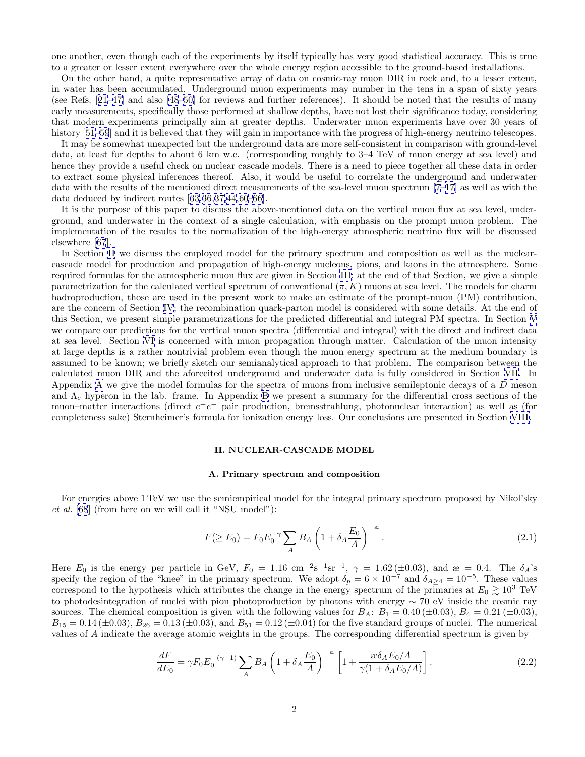<span id="page-4-0"></span>one another, even though each of the experiments by itself typically has very good statistical accuracy. This is true to a greater or lesser extent everywhere over the whole energy region accessible to the ground-based installations.

On the other hand, a quite representative array of data on cosmic-ray muon DIR in rock and, to a lesser extent, in water has been accumulated. Underground muon experiments may number in the tens in a span of sixty years (see Refs. [[21–](#page-45-0)[47\]](#page-46-0) and also [\[48–50](#page-46-0)] for reviews and further references). It should be noted that the results of many early measurements, specifically those performed at shallow depths, have not lost their significance today, considering that modern experiments principally aim at greater depths. Underwater muon experiments have over 30 years of history [[51–59](#page-46-0)] and it is believed that they will gain in importance with the progress of high-energy neutrino telescopes.

It may be somewhat unexpected but the underground data are more self-consistent in comparison with ground-level data, at least for depths to about 6 km w.e. (corresponding roughly to 3–4 TeV of muon energy at sea level) and hence they provide a useful check on nuclear cascade models. There is a need to piece together all these data in order to extract some physical inferences thereof. Also, it would be useful to correlate the underground and underwater data with the results of the mentioned direct measurements of the sea-level muon spectrum [\[7–17](#page-45-0)] as well as with the data deduced by indirect routes [[33,36,37](#page-45-0)[,44,60–66\]](#page-46-0).

It is the purpose of this paper to discuss the above-mentioned data on the vertical muon flux at sea level, underground, and underwater in the context of a single calculation, with emphasis on the prompt muon problem. The implementation of the results to the normalization of the high-energy atmospheric neutrino flux will be discussed elsewhere [\[67](#page-46-0)].

In Section II we discuss the employed model for the primary spectrum and composition as well as the nuclearcascade model for production and propagation of high-energy nucleons, pions, and kaons in the atmosphere. Some required formulas for the atmospheric muon flux are given in Section [III;](#page-9-0) at the end of that Section, we give a simple parametrization for the calculated vertical spectrum of conventional  $(\pi, K)$  muons at sea level. The models for charm hadroproduction, those are used in the present work to make an estimate of the prompt-muon (PM) contribution, are the concern of Section [IV](#page-10-0); the recombination quark-parton model is considered with some details. At the end of this Section, we present simple parametrizations for the predicted differential and integral PM spectra. In Section [V](#page-19-0) we compare our predictions for the vertical muon spectra (differential and integral) with the direct and indirect data at sea level. Section [VI](#page-23-0) is concerned with muon propagation through matter. Calculation of the muon intensity at large depths is a rather nontrivial problem even though the muon energy spectrum at the medium boundary is assumed to be known; we briefly sketch our semianalytical approach to that problem. The comparison between the calculated muon DIR and the aforecited underground and underwater data is fully considered in Section [VII.](#page-25-0) In Appendix [A](#page-40-0) we give the model formulas for the spectra of muons from inclusive semileptonic decays of a D meson and  $\Lambda_c$  hyperon in the lab. frame. In Appendix [B](#page-42-0) we present a summary for the differential cross sections of the muon–matter interactions (direct  $e^+e^-$  pair production, bremsstrahlung, photonuclear interaction) as well as (for completeness sake) Sternheimer's formula for ionization energy loss. Our conclusions are presented in Section [VIII.](#page-39-0)

### **II. NUCLEAR-CASCADE MODEL**

### **A. Primary spectrum and composition**

For energies above 1 TeV we use the semiempirical model for the integral primary spectrum proposed by Nikol'sky et al. [\[68](#page-46-0)] (from here on we will call it "NSU model"):

$$
F(\geq E_0) = F_0 E_0^{-\gamma} \sum_A B_A \left( 1 + \delta_A \frac{E_0}{A} \right)^{-\infty}.
$$
\n(2.1)

Here  $E_0$  is the energy per particle in GeV,  $F_0 = 1.16$  cm<sup>-2</sup>s<sup>-1</sup>sr<sup>-1</sup>,  $\gamma = 1.62 \, (\pm 0.03)$ , and  $\mathfrak{E} = 0.4$ . The  $\delta_A$ 's specify the region of the "knee" in the primary spectrum. We adopt  $\delta_p = 6 \times 10^{-7}$  and  $\delta_{A\geq 4} = 10^{-5}$ . These values correspond to the hypothesis which attributes the change in the energy spectrum of the primaries at  $E_0 \gtrsim 10^3$  TeV to photodesintegration of nuclei with pion photoproduction by photons with energy ∼ 70 eV inside the cosmic ray sources. The chemical composition is given with the following values for  $B_A$ :  $B_1 = 0.40 \, (\pm 0.03)$ ,  $B_4 = 0.21 \, (\pm 0.03)$ ,  $B_{15} = 0.14 \, (\pm 0.03), B_{26} = 0.13 \, (\pm 0.03),$  and  $B_{51} = 0.12 \, (\pm 0.04)$  for the five standard groups of nuclei. The numerical values of A indicate the average atomic weights in the groups. The corresponding differential spectrum is given by

$$
\frac{dF}{dE_0} = \gamma F_0 E_0^{-(\gamma+1)} \sum_A B_A \left( 1 + \delta_A \frac{E_0}{A} \right)^{-\infty} \left[ 1 + \frac{\omega \delta_A E_0 / A}{\gamma (1 + \delta_A E_0 / A)} \right].
$$
\n(2.2)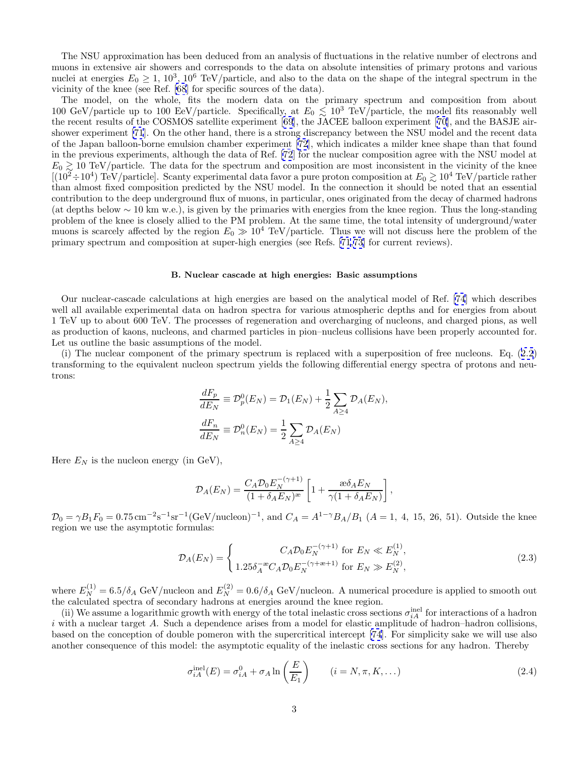<span id="page-5-0"></span>The NSU approximation has been deduced from an analysis of fluctuations in the relative number of electrons and muons in extensive air showers and corresponds to the data on absolute intensities of primary protons and various nuclei at energies  $E_0 \ge 1$ , 10<sup>3</sup>, 10<sup>6</sup> TeV/particle, and also to the data on the shape of the integral spectrum in the vicinity of the knee (see Ref. [[68](#page-46-0)] for specific sources of the data).

The model, on the whole, fits the modern data on the primary spectrum and composition from about 100 GeV/particle up to 100 EeV/particle. Specifically, at  $E_0 \lesssim 10^3$  TeV/particle, the model fits reasonably well the recent results of the COSMOS satellite experiment [[69\]](#page-47-0), the JACEE balloon experiment [[70\]](#page-47-0), and the BASJE airshower experiment [\[71](#page-47-0)]. On the other hand, there is a strong discrepancy between the NSU model and the recent data of the Japan balloon-borne emulsion chamber experiment [\[72](#page-47-0)], which indicates a milder knee shape than that found in the previous experiments, although the data of Ref. [\[72](#page-47-0)] for the nuclear composition agree with the NSU model at  $E_0 \gtrsim 10 \text{ TeV}/\text{particle}$ . The data for the spectrum and composition are most inconsistent in the vicinity of the knee  $[(10^2 \div 10^4) \text{ TeV}/\text{particle}]$ . Scanty experimental data favor a pure proton composition at  $E_0 \gtrsim 10^4 \text{ TeV}/\text{particle rather}$ than almost fixed composition predicted by the NSU model. In the connection it should be noted that an essential contribution to the deep underground flux of muons, in particular, ones originated from the decay of charmed hadrons (at depths below  $\sim 10$  km w.e.), is given by the primaries with energies from the knee region. Thus the long-standing problem of the knee is closely allied to the PM problem. At the same time, the total intensity of underground/water muons is scarcely affected by the region  $E_0 \gg 10^4$  TeV/particle. Thus we will not discuss here the problem of the primary spectrum and composition at super-high energies (see Refs. [[71](#page-47-0),[73](#page-47-0)] for current reviews).

### **B. Nuclear cascade at high energies: Basic assumptions**

Our nuclear-cascade calculations at high energies are based on the analytical model of Ref. [\[74](#page-47-0)] which describes well all available experimental data on hadron spectra for various atmospheric depths and for energies from about 1 TeV up to about 600 TeV. The processes of regeneration and overcharging of nucleons, and charged pions, as well as production of kaons, nucleons, and charmed particles in pion–nucleus collisions have been properly accounted for. Let us outline the basic assumptions of the model.

(i) The nuclear component of the primary spectrum is replaced with a superposition of free nucleons. Eq. ([2.2](#page-4-0)) transforming to the equivalent nucleon spectrum yields the following differential energy spectra of protons and neutrons:

$$
\frac{dF_p}{dE_N} \equiv \mathcal{D}_p^0(E_N) = \mathcal{D}_1(E_N) + \frac{1}{2} \sum_{A \ge 4} \mathcal{D}_A(E_N),
$$
  

$$
\frac{dF_n}{dE_N} \equiv \mathcal{D}_n^0(E_N) = \frac{1}{2} \sum_{A \ge 4} \mathcal{D}_A(E_N)
$$

Here  $E_N$  is the nucleon energy (in GeV),

$$
\mathcal{D}_A(E_N) = \frac{C_A \mathcal{D}_0 E_N^{-(\gamma+1)}}{(1 + \delta_A E_N)^{\mathfrak{m}}} \left[ 1 + \frac{\mathfrak{w}\delta_A E_N}{\gamma (1 + \delta_A E_N)} \right],
$$

 $\mathcal{D}_0 = \gamma B_1 F_0 = 0.75 \,\mathrm{cm}^{-2} \mathrm{s}^{-1} \mathrm{sr}^{-1} (\mathrm{GeV/nucleon})^{-1}$ , and  $C_A = A^{1-\gamma} B_A/B_1$   $(A = 1, 4, 15, 26, 51)$ . Outside the knee region we use the asymptotic formulas:

$$
\mathcal{D}_A(E_N) = \begin{cases}\nC_A \mathcal{D}_0 E_N^{-(\gamma+1)} & \text{for } E_N \ll E_N^{(1)}, \\
1.25 \delta_A^{-\alpha} C_A \mathcal{D}_0 E_N^{-(\gamma+\alpha+1)} & \text{for } E_N \gg E_N^{(2)},\n\end{cases}
$$
\n(2.3)

where  $E_N^{(1)} = 6.5/\delta_A$  GeV/nucleon and  $E_N^{(2)} = 0.6/\delta_A$  GeV/nucleon. A numerical procedure is applied to smooth out the calculated spectra of secondary hadrons at energies around the knee region.

(ii) We assume a logarithmic growth with energy of the total inelastic cross sections  $\sigma_{iA}^{inel}$  for interactions of a hadron  $i$  with a nuclear target A. Such a dependence arises from a model for elastic amplitude of hadron–hadron collisions, based on the conception of double pomeron with the supercritical intercept [\[74](#page-47-0)]. For simplicity sake we will use also another consequence of this model: the asymptotic equality of the inelastic cross sections for any hadron. Thereby

$$
\sigma_{iA}^{\text{inel}}(E) = \sigma_{iA}^0 + \sigma_A \ln\left(\frac{E}{E_1}\right) \qquad (i = N, \pi, K, \dots)
$$
\n(2.4)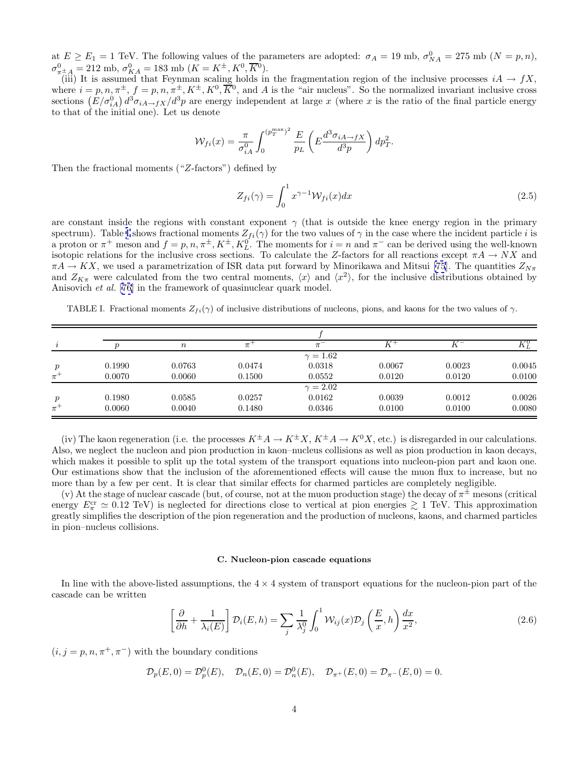<span id="page-6-0"></span>at  $E \ge E_1 = 1$  TeV. The following values of the parameters are adopted:  $\sigma_A = 19$  mb,  $\sigma_{NA}^0 = 275$  mb  $(N = p, n)$ ,  $\sigma_{\pi \pm A}^0 = 212 \text{ mb}, \, \sigma_{KA}^0 = 183 \text{ mb } (K = K^{\pm}, K^0, \overline{K}{}^0).$ 

(iii) It is assumed that Feynman scaling holds in the fragmentation region of the inclusive processes  $iA \rightarrow fX$ , where  $i = p, n, \pi^{\pm}, f = p, n, \pi^{\pm}, K^{\pm}, K^0, \overline{K}^0$ , and A is the "air nucleus". So the normalized invariant inclusive cross sections  $(E/\sigma_{iA}^0) d^3\sigma_{iA\to fX}/d^3p$  are energy independent at large x (where x is the ratio of the final particle energy to that of the initial one). Let us denote

$$
\mathcal{W}_{fi}(x) = \frac{\pi}{\sigma_{iA}^0} \int_0^{(p_T^{\text{max}})^2} \frac{E}{p_L} \left( E \frac{d^3 \sigma_{iA \to fX}}{d^3 p} \right) dp_T^2.
$$

Then the fractional moments ("Z-factors") defined by

$$
Z_{fi}(\gamma) = \int_0^1 x^{\gamma - 1} \mathcal{W}_{fi}(x) dx \tag{2.5}
$$

are constant inside the regions with constant exponent  $\gamma$  (that is outside the knee energy region in the primary spectrum). Table I shows fractional moments  $Z_{fi}(\gamma)$  for the two values of  $\gamma$  in the case where the incident particle i is a proton or  $\pi^+$  meson and  $f = p, n, \pi^{\pm}, K^{\pm}, K^0_L$ . The moments for  $i = n$  and  $\pi^-$  can be derived using the well-known isotopic relations for the inclusive cross sections. To calculate the Z-factors for all reactions except  $\pi A \to N X$  and  $\pi A \to K X$ , we used a parametrization of ISR data put forward by Minorikawa and Mitsui [\[75](#page-47-0)]. The quantities  $Z_{N\pi}$ and  $Z_{K\pi}$  were calculated from the two central moments,  $\langle x \rangle$  and  $\langle x^2 \rangle$ , for the inclusive distributions obtained by Anisovich et al. [[76\]](#page-47-0) in the framework of quasinuclear quark model.

TABLE I. Fractional moments  $Z_{fi}(\gamma)$  of inclusive distributions of nucleons, pions, and kaons for the two values of  $\gamma$ .

|       |        | $\boldsymbol{n}$ | $\pi$  | $\pi$           |        |        | $K^0_L$ |
|-------|--------|------------------|--------|-----------------|--------|--------|---------|
|       |        |                  |        | $\gamma = 1.62$ |        |        |         |
|       | 0.1990 | 0.0763           | 0.0474 | 0.0318          | 0.0067 | 0.0023 | 0.0045  |
| $\pi$ | 0.0070 | 0.0060           | 0.1500 | 0.0552          | 0.0120 | 0.0120 | 0.0100  |
|       |        |                  |        | $\gamma = 2.02$ |        |        |         |
|       | 0.1980 | 0.0585           | 0.0257 | 0.0162          | 0.0039 | 0.0012 | 0.0026  |
| $\pi$ | 0.0060 | 0.0040           | 0.1480 | 0.0346          | 0.0100 | 0.0100 | 0.0080  |

(iv) The kaon regeneration (i.e. the processes  $K^{\pm}A \to K^{\pm}X$ ,  $K^{\pm}A \to K^{0}X$ , etc.) is disregarded in our calculations. Also, we neglect the nucleon and pion production in kaon–nucleus collisions as well as pion production in kaon decays, which makes it possible to split up the total system of the transport equations into nucleon-pion part and kaon one. Our estimations show that the inclusion of the aforementioned effects will cause the muon flux to increase, but no more than by a few per cent. It is clear that similar effects for charmed particles are completely negligible.

(v) At the stage of nuclear cascade (but, of course, not at the muon production stage) the decay of  $\pi^{\pm}$  mesons (critical energy  $E_{\pi}^{\rm cr} \simeq 0.12$  TeV) is neglected for directions close to vertical at pion energies  $\gtrsim 1$  TeV. This approximation greatly simplifies the description of the pion regeneration and the production of nucleons, kaons, and charmed particles in pion–nucleus collisions.

### **C. Nucleon-pion cascade equations**

In line with the above-listed assumptions, the  $4 \times 4$  system of transport equations for the nucleon-pion part of the cascade can be written

$$
\left[\frac{\partial}{\partial h} + \frac{1}{\lambda_i(E)}\right] \mathcal{D}_i(E, h) = \sum_j \frac{1}{\lambda_j^0} \int_0^1 \mathcal{W}_{ij}(x) \mathcal{D}_j\left(\frac{E}{x}, h\right) \frac{dx}{x^2},\tag{2.6}
$$

 $(i, j = p, n, \pi^+, \pi^-)$  with the boundary conditions

$$
\mathcal{D}_p(E,0) = \mathcal{D}_p^0(E), \quad \mathcal{D}_n(E,0) = \mathcal{D}_n^0(E), \quad \mathcal{D}_{\pi^+}(E,0) = \mathcal{D}_{\pi^-}(E,0) = 0.
$$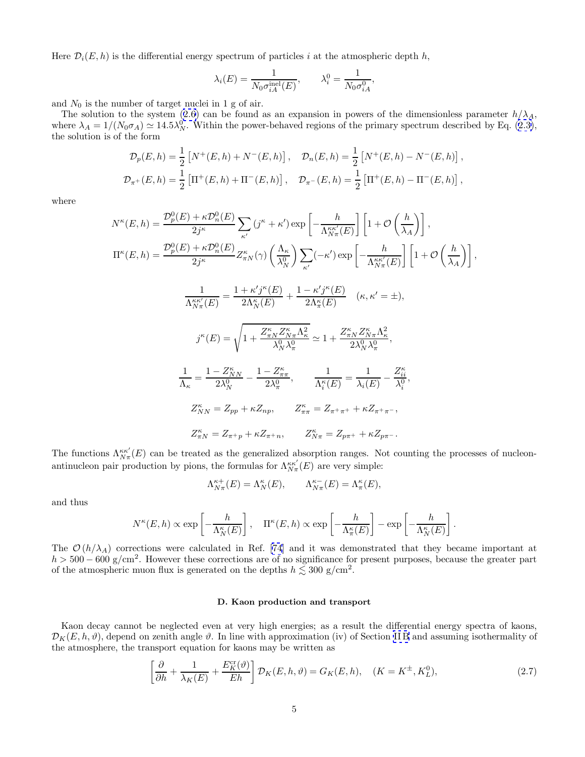<span id="page-7-0"></span>Here  $\mathcal{D}_i(E, h)$  is the differential energy spectrum of particles i at the atmospheric depth h,

$$
\lambda_i(E) = \frac{1}{N_0 \sigma_{iA}^{\text{inel}}(E)}, \qquad \lambda_i^0 = \frac{1}{N_0 \sigma_{iA}^0},
$$

and  $N_0$  is the number of target nuclei in 1 g of air.

The solution to the system [\(2.6\)](#page-6-0) can be found as an expansion in powers of the dimensionless parameter  $h/\lambda_A$ , where  $\lambda_A = 1/(N_0 \sigma_A) \simeq 14.5 \lambda_N^0$ . Within the power-behaved regions of the primary spectrum described by Eq. ([2.3\)](#page-5-0), the solution is of the form

$$
\mathcal{D}_p(E, h) = \frac{1}{2} \left[ N^+(E, h) + N^-(E, h) \right], \quad \mathcal{D}_n(E, h) = \frac{1}{2} \left[ N^+(E, h) - N^-(E, h) \right],
$$
  

$$
\mathcal{D}_{\pi^+}(E, h) = \frac{1}{2} \left[ \Pi^+(E, h) + \Pi^-(E, h) \right], \quad \mathcal{D}_{\pi^-}(E, h) = \frac{1}{2} \left[ \Pi^+(E, h) - \Pi^-(E, h) \right],
$$

where

$$
N^{\kappa}(E,h) = \frac{\mathcal{D}_p^0(E) + \kappa \mathcal{D}_n^0(E)}{2j^{\kappa}} \sum_{\kappa'} \left(j^{\kappa} + \kappa'\right) \exp\left[-\frac{h}{\Lambda_{N\pi}^{\kappa\kappa'}(E)}\right] \left[1 + \mathcal{O}\left(\frac{h}{\lambda_A}\right)\right],
$$
  
\n
$$
\Pi^{\kappa}(E,h) = \frac{\mathcal{D}_p^0(E) + \kappa \mathcal{D}_n^0(E)}{2j^{\kappa}} Z_{\pi N}^{\kappa}(\gamma) \left(\frac{\Lambda_{\kappa}}{\lambda_N}\right) \sum_{\kappa'} (-\kappa') \exp\left[-\frac{h}{\Lambda_{N\pi}^{\kappa\kappa'}(E)}\right] \left[1 + \mathcal{O}\left(\frac{h}{\lambda_A}\right)\right],
$$
  
\n
$$
\frac{1}{\Lambda_{N\pi}^{\kappa\kappa'}(E)} = \frac{1 + \kappa' j^{\kappa}(E)}{2\Lambda_N^{\kappa}(E)} + \frac{1 - \kappa' j^{\kappa}(E)}{2\Lambda_{\pi}^{\kappa}(E)} \quad (\kappa, \kappa' = \pm),
$$
  
\n
$$
j^{\kappa}(E) = \sqrt{1 + \frac{Z_{\pi N}^{\kappa} Z_{N\pi}^{\kappa} \Lambda_{\kappa}^2}{\lambda_N^0 \lambda_{\pi}^0}} \simeq 1 + \frac{Z_{\pi N}^{\kappa} Z_{N\pi}^{\kappa} \Lambda_{\kappa}^2}{2\lambda_N^0 \lambda_{\pi}^0},
$$
  
\n
$$
\frac{1}{\Lambda_{\kappa}} = \frac{1 - Z_{NN}^{\kappa}}{2\lambda_N^0} - \frac{1 - Z_{\pi\pi}^{\kappa}}{2\lambda_{\pi}^0}, \qquad \frac{1}{\Lambda_{\kappa}^{\kappa}(E)} = \frac{1}{\lambda_i(E)} - \frac{Z_{ii}^{\kappa}}{\lambda_i^0},
$$
  
\n
$$
Z_{NN}^{\kappa} = Z_{pp} + \kappa Z_{np}, \qquad Z_{\pi\pi}^{\kappa} = Z_{\pi^+\pi^+} + \kappa Z_{\pi^+\pi}.
$$
  
\n
$$
Z_{\pi N}^{\kappa} = Z_{\pi^+p} + \kappa
$$

The functions  $\Lambda_{N\pi}^{\kappa\kappa'}(E)$  can be treated as the generalized absorption ranges. Not counting the processes of nucleonantinucleon pair production by pions, the formulas for  $\Lambda_{N\pi}^{\kappa\kappa'}(E)$  are very simple:

$$
\Lambda^{\kappa+}_{N\pi}(E)=\Lambda^\kappa_N(E),\qquad \Lambda^{\kappa-}_{N\pi}(E)=\Lambda^\kappa_\pi(E),
$$

and thus

$$
N^{\kappa}(E,h) \propto \exp\left[-\frac{h}{\Lambda_N^{\kappa}(E)}\right], \quad \Pi^{\kappa}(E,h) \propto \exp\left[-\frac{h}{\Lambda_\pi^{\kappa}(E)}\right] - \exp\left[-\frac{h}{\Lambda_N^{\kappa}(E)}\right].
$$

The  $\mathcal{O}(h/\lambda_A)$  corrections were calculated in Ref. [\[74](#page-47-0)] and it was demonstrated that they became important at  $h > 500-600$  g/cm<sup>2</sup>. However these corrections are of no significance for present purposes, because the greater part of the atmospheric muon flux is generated on the depths  $h \lesssim 300 \text{ g/cm}^2$ .

#### **D. Kaon production and transport**

Kaon decay cannot be neglected even at very high energies; as a result the differential energy spectra of kaons,  $\mathcal{D}_K(E, h, \vartheta)$ , depend on zenith angle  $\vartheta$ . In line with approximation (iv) of Section IIB and assuming isothermality of the atmosphere, the transport equation for kaons may be written as

$$
\left[\frac{\partial}{\partial h} + \frac{1}{\lambda_K(E)} + \frac{E_K^{\text{cr}}(\vartheta)}{Eh}\right] \mathcal{D}_K(E, h, \vartheta) = G_K(E, h), \quad (K = K^{\pm}, K_L^0),\tag{2.7}
$$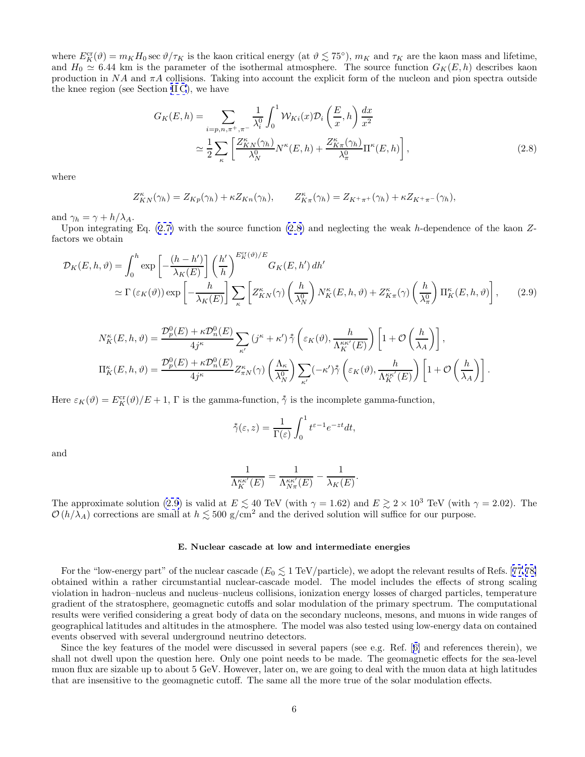<span id="page-8-0"></span>where  $E_K^{\text{cr}}(\vartheta) = m_K H_0 \sec \vartheta / \tau_K$  is the kaon critical energy (at  $\vartheta \lesssim 75^{\circ}$ ),  $m_K$  and  $\tau_K$  are the kaon mass and lifetime, and  $H_0 \simeq 6.44$  km is the parameter of the isothermal atmosphere. The source function  $G_K(E, h)$  describes kaon production in  $NA$  and  $\pi A$  collisions. Taking into account the explicit form of the nucleon and pion spectra outside the knee region (see Section [II C](#page-6-0)), we have

$$
G_K(E, h) = \sum_{i=p,n,\pi^+,\pi^-} \frac{1}{\lambda_i^0} \int_0^1 \mathcal{W}_{Ki}(x) \mathcal{D}_i\left(\frac{E}{x}, h\right) \frac{dx}{x^2}
$$

$$
\simeq \frac{1}{2} \sum_{\kappa} \left[ \frac{Z_{KN}^{\kappa}(\gamma_h)}{\lambda_N^0} N^{\kappa}(E, h) + \frac{Z_{K\pi}^{\kappa}(\gamma_h)}{\lambda_{\pi}^0} \Pi^{\kappa}(E, h) \right],
$$
(2.8)

where

$$
Z_{KN}^{\kappa}(\gamma_h) = Z_{Kp}(\gamma_h) + \kappa Z_{Kn}(\gamma_h), \qquad Z_{K\pi}^{\kappa}(\gamma_h) = Z_{K^+\pi^+}(\gamma_h) + \kappa Z_{K^+\pi^-}(\gamma_h),
$$

and  $\gamma_h = \gamma + h/\lambda_A$ .

Upon integrating Eq.  $(2.7)$  $(2.7)$  with the source function  $(2.8)$  and neglecting the weak h-dependence of the kaon Zfactors we obtain

$$
\mathcal{D}_{K}(E,h,\vartheta) = \int_{0}^{h} \exp\left[-\frac{(h-h')}{\lambda_{K}(E)}\right] \left(\frac{h'}{h}\right)^{E_{K}^{cr}(\vartheta)/E} G_{K}(E,h') \, dh' \n\approx \Gamma\left(\varepsilon_{K}(\vartheta)\right) \exp\left[-\frac{h}{\lambda_{K}(E)}\right] \sum_{\kappa} \left[Z_{KN}^{\kappa}(\gamma) \left(\frac{h}{\lambda_{N}^{0}}\right) N_{K}^{\kappa}(E,h,\vartheta) + Z_{K\pi}^{\kappa}(\gamma) \left(\frac{h}{\lambda_{\pi}^{0}}\right) \Pi_{K}^{\kappa}(E,h,\vartheta)\right],
$$
\n(2.9)

$$
\begin{split} N_K^{\kappa}(E,h,\vartheta) &= \frac{\mathcal{D}_p^0(E)+\kappa \mathcal{D}_n^0(E)}{4j^{\kappa}} \sum_{\kappa'} \left(j^{\kappa}+\kappa'\right) \mathring{\gamma} \left(\varepsilon_K(\vartheta),\frac{h}{\Lambda_K^{\kappa\kappa'}(E)}\right) \left[1+\mathcal{O}\left(\frac{h}{\lambda_A}\right)\right],\\ \Pi_K^{\kappa}(E,h,\vartheta) &= \frac{\mathcal{D}_p^0(E)+\kappa \mathcal{D}_n^0(E)}{4j^{\kappa}} Z_{\pi N}^{\kappa}(\gamma) \left(\frac{\Lambda_{\kappa}}{\lambda_N^0}\right) \sum_{\kappa'} (-\kappa') \mathring{\gamma} \left(\varepsilon_K(\vartheta),\frac{h}{\Lambda_K^{\kappa\kappa'}(E)}\right) \left[1+\mathcal{O}\left(\frac{h}{\lambda_A}\right)\right]. \end{split}
$$

Here  $\varepsilon_K(\vartheta) = E_K^{\text{cr}}(\vartheta)/E + 1$ ,  $\Gamma$  is the gamma-function,  $\dot{\gamma}$  is the incomplete gamma-function,

$$
\sqrt{\xi}(\varepsilon, z) = \frac{1}{\Gamma(\varepsilon)} \int_0^1 t^{\varepsilon - 1} e^{-zt} dt,
$$

and

$$
\frac{1}{\Lambda_K^{\kappa\kappa'}(E)} = \frac{1}{\Lambda_{N\pi}^{\kappa\kappa'}(E)} - \frac{1}{\lambda_K(E)}.
$$

The approximate solution (2.9) is valid at  $E \lesssim 40$  TeV (with  $\gamma = 1.62$ ) and  $E \gtrsim 2 \times 10^3$  TeV (with  $\gamma = 2.02$ ). The  $\mathcal{O}(h/\lambda_A)$  corrections are small at  $h \lesssim 500$  g/cm<sup>2</sup> and the derived solution will suffice for our purpose.

### **E. Nuclear cascade at low and intermediate energies**

For the "low-energy part" of the nuclear cascade  $(E_0 \lesssim 1 \text{ TeV}/\text{particle})$ , we adopt the relevant results of Refs. [[77,78\]](#page-47-0) obtained within a rather circumstantial nuclear-cascade model. The model includes the effects of strong scaling violation in hadron–nucleus and nucleus–nucleus collisions, ionization energy losses of charged particles, temperature gradient of the stratosphere, geomagnetic cutoffs and solar modulation of the primary spectrum. The computational results were verified considering a great body of data on the secondary nucleons, mesons, and muons in wide ranges of geographical latitudes and altitudes in the atmosphere. The model was also tested using low-energy data on contained events observed with several underground neutrino detectors.

Since the key features of the model were discussed in several papers (see e.g. Ref. [[6\]](#page-45-0) and references therein), we shall not dwell upon the question here. Only one point needs to be made. The geomagnetic effects for the sea-level muon flux are sizable up to about 5 GeV. However, later on, we are going to deal with the muon data at high latitudes that are insensitive to the geomagnetic cutoff. The same all the more true of the solar modulation effects.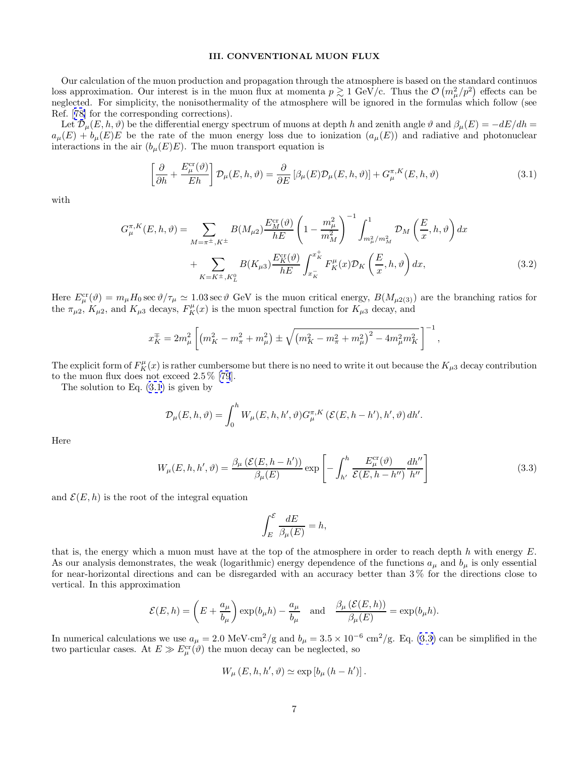# **III. CONVENTIONAL MUON FLUX**

<span id="page-9-0"></span>Our calculation of the muon production and propagation through the atmosphere is based on the standard continuos loss approximation. Our interest is in the muon flux at momenta  $p \gtrsim 1 \text{ GeV/c}$ . Thus the  $\mathcal{O}(m_\mu^2/p^2)$  effects can be neglected. For simplicity, the nonisothermality of the atmosphere will be ignored in the formulas which follow (see Ref. [[78\]](#page-47-0) for the corresponding corrections).

Let  $\mathcal{D}_{\mu}(E, h, \vartheta)$  be the differential energy spectrum of muons at depth h and zenith angle  $\vartheta$  and  $\beta_{\mu}(E) = -dE/dh$  $a_{\mu}(E) + b_{\mu}(E)E$  be the rate of the muon energy loss due to ionization  $(a_{\mu}(E))$  and radiative and photonuclear interactions in the air  $(b_{\mu}(E)E)$ . The muon transport equation is

$$
\left[\frac{\partial}{\partial h} + \frac{E_{\mu}^{\text{cr}}(\vartheta)}{Eh}\right] \mathcal{D}_{\mu}(E, h, \vartheta) = \frac{\partial}{\partial E} \left[\beta_{\mu}(E) \mathcal{D}_{\mu}(E, h, \vartheta)\right] + G_{\mu}^{\pi, K}(E, h, \vartheta)
$$
\n(3.1)

with

$$
G_{\mu}^{\pi,K}(E,h,\vartheta) = \sum_{M=\pi^{\pm},K^{\pm}} B(M_{\mu 2}) \frac{E_{M}^{\text{cr}}(\vartheta)}{hE} \left(1 - \frac{m_{\mu}^{2}}{m_{M}^{2}}\right)^{-1} \int_{m_{\mu}^{2}/m_{M}^{2}}^{1} \mathcal{D}_{M}\left(\frac{E}{x},h,\vartheta\right) dx + \sum_{K=K^{\pm},K_{L}^{0}} B(K_{\mu 3}) \frac{E_{K}^{\text{cr}}(\vartheta)}{hE} \int_{x_{K}^{-}}^{x_{K}^{+}} F_{K}^{\mu}(x) \mathcal{D}_{K}\left(\frac{E}{x},h,\vartheta\right) dx,
$$
(3.2)

Here  $E_{\mu}^{\text{cr}}(\vartheta) = m_{\mu}H_0 \sec \vartheta/\tau_{\mu} \simeq 1.03 \sec \vartheta$  GeV is the muon critical energy,  $B(M_{\mu2(3)})$  are the branching ratios for the  $\pi_{\mu_2}$ ,  $K_{\mu_2}$ , and  $K_{\mu_3}$  decays,  $F_K^{\mu}(x)$  is the muon spectral function for  $K_{\mu_3}$  decay, and

$$
x_K^{\mp} = 2m_{\mu}^2 \left[ \left( m_K^2 - m_{\pi}^2 + m_{\mu}^2 \right) \pm \sqrt{\left( m_K^2 - m_{\pi}^2 + m_{\mu}^2 \right)^2 - 4m_{\mu}^2 m_K^2} \right]^{-1},
$$

The explicit form of  $F_K^{\mu}(x)$  is rather cumbersome but there is no need to write it out because the  $K_{\mu 3}$  decay contribution to the muon flux does not exceed 2.5 % [\[79](#page-47-0)].

The solution to Eq.  $(3.1)$  is given by

$$
\mathcal{D}_{\mu}(E, h, \vartheta) = \int_0^h W_{\mu}(E, h, h', \vartheta) G_{\mu}^{\pi, K} \left( \mathcal{E}(E, h - h'), h', \vartheta \right) dh'.
$$

Here

$$
W_{\mu}(E, h, h', \vartheta) = \frac{\beta_{\mu} \left( \mathcal{E}(E, h - h') \right)}{\beta_{\mu}(E)} \exp \left[ - \int_{h'}^{h} \frac{E_{\mu}^{\text{cr}}(\vartheta)}{\mathcal{E}(E, h - h'')} \frac{dh''}{h''} \right]
$$
(3.3)

and  $\mathcal{E}(E, h)$  is the root of the integral equation

$$
\int_{E}^{\mathcal{E}} \frac{dE}{\beta_{\mu}(E)} = h,
$$

that is, the energy which a muon must have at the top of the atmosphere in order to reach depth h with energy  $E$ . As our analysis demonstrates, the weak (logarithmic) energy dependence of the functions  $a_{\mu}$  and  $b_{\mu}$  is only essential for near-horizontal directions and can be disregarded with an accuracy better than 3 % for the directions close to vertical. In this approximation

$$
\mathcal{E}(E,h) = \left(E + \frac{a_{\mu}}{b_{\mu}}\right) \exp(b_{\mu}h) - \frac{a_{\mu}}{b_{\mu}} \quad \text{and} \quad \frac{\beta_{\mu}\left(\mathcal{E}(E,h)\right)}{\beta_{\mu}(E)} = \exp(b_{\mu}h).
$$

In numerical calculations we use  $a_{\mu} = 2.0 \text{ MeV} \cdot \text{cm}^2/\text{g}$  and  $b_{\mu} = 3.5 \times 10^{-6} \text{ cm}^2/\text{g}$ . Eq. (3.3) can be simplified in the two particular cases. At  $E \gg E^{\text{cr}}_{\mu}(\vartheta)$  the muon decay can be neglected, so

$$
W_{\mu}(E, h, h', \vartheta) \simeq \exp [b_{\mu}(h - h')].
$$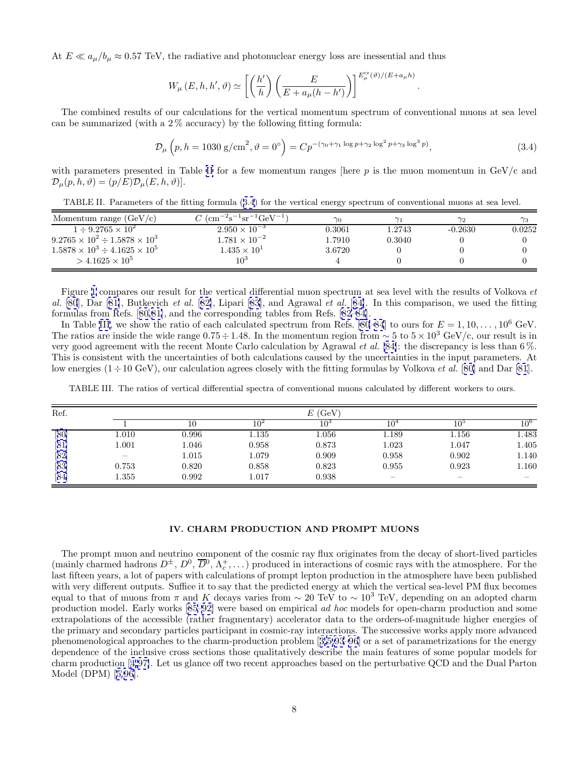<span id="page-10-0"></span>At  $E \ll a_{\mu}/b_{\mu} \approx 0.57$  TeV, the radiative and photonuclear energy loss are inessential and thus

$$
W_{\mu}(E, h, h', \vartheta) \simeq \left[ \left( \frac{h'}{h} \right) \left( \frac{E}{E + a_{\mu}(h - h')} \right) \right]^{E_{\mu}^{\text{cr}}(\vartheta)/(E + a_{\mu} h)}
$$

The combined results of our calculations for the vertical momentum spectrum of conventional muons at sea level can be summarized (with a  $2\%$  accuracy) by the following fitting formula:

$$
\mathcal{D}_{\mu}\left(p, h = 1030 \text{ g/cm}^2, \vartheta = 0^{\circ}\right) = C p^{-(\gamma_0 + \gamma_1 \log p + \gamma_2 \log^2 p + \gamma_3 \log^3 p)},\tag{3.4}
$$

.

with parameters presented in Table II for a few momentum ranges [here  $p$  is the muon momentum in  $GeV/c$  and  $\mathcal{D}_{\mu}(p, h, \vartheta)=(p/E)\mathcal{D}_{\mu}(E, h, \vartheta)].$ 

TABLE II. Parameters of the fitting formula (3.4) for the vertical energy spectrum of conventional muons at sea level.

| Momentum range $(GeV/c)$                     | $C~(\text{cm}^{-2}\text{s}^{-1}\text{sr}^{-1}\text{GeV}^{-1})$ | $\gamma_0$ |        | $\gamma_2$ | $\gamma_3$ |
|----------------------------------------------|----------------------------------------------------------------|------------|--------|------------|------------|
| $1 \div 9.2765 \times 10^{2}$                | $2.950 \times 10^{-3}$                                         | 0.3061     | 1.2743 | $-0.2630$  | 0.0252     |
| $9.2765 \times 10^2 \div 1.5878 \times 10^3$ | $1.781 \times 10^{-2}$                                         | 1.7910     | 0.3040 |            |            |
| $1.5878 \times 10^3 \div 4.1625 \times 10^5$ | $1.435 \times 10^{1}$                                          | 3.6720     |        |            |            |
| $>$ 4.1625 $\times$ 10 <sup>5</sup>          | $10^3$                                                         |            |        |            |            |

Figure [1](#page-11-0) compares our result for the vertical differential muon spectrum at sea level with the results of Volkova et al. [\[80](#page-47-0)], Dar [[81\]](#page-47-0), Butkevich et al. [[82\]](#page-47-0), Lipari [[83\]](#page-47-0), and Agrawal et al. [[84\]](#page-47-0). In this comparison, we used the fitting formulas from Refs. [[80,81\]](#page-47-0), and the corresponding tables from Refs. [[82–84\]](#page-47-0).

In Table III, we show the ratio of each calculated spectrum from Refs. [\[80–84](#page-47-0)] to ours for  $E = 1, 10, \ldots, 10^6$  GeV. The ratios are inside the wide range  $0.75 \div 1.48$ . In the momentum region from  $\sim 5$  to  $5 \times 10^3$  GeV/c, our result is in very good agreement with the recent Monte Carlo calculation by Agrawal et al. [\[84\]](#page-47-0): the discrepancy is less than 6 %. This is consistent with the uncertainties of both calculations caused by the uncertainties in the input parameters. At low energies  $(1 \div 10 \text{ GeV})$ , our calculation agrees closely with the fitting formulas by Volkova *et al.* [[80\]](#page-47-0) and Dar [\[81](#page-47-0)].

| Ref. |                   |       | E(GeV)          |           |                          |                          |       |  |
|------|-------------------|-------|-----------------|-----------|--------------------------|--------------------------|-------|--|
|      |                   |       | 10 <sup>2</sup> | $10^3$    | 10 <sup>°</sup>          | $10^{\circ}$             |       |  |
| [80] | 1.010             | 0.996 | 1.135           | $1.056\,$ | 1.189                    | 1.156                    | 1.483 |  |
| [81] | 1.001             | l.046 | 0.958           | 0.873     | 1.023                    | 1.047                    | 1.405 |  |
| [82] | $\hspace{0.05cm}$ | 1.015 | 1.079           | 0.909     | 0.958                    | 0.902                    | 1.140 |  |
| [83] | 0.753             | 0.820 | 0.858           | 0.823     | 0.955                    | 0.923                    | 1.160 |  |
| [84] | 1.355             | 0.992 | 1.017           | 0.938     | $\overline{\phantom{m}}$ | $\overline{\phantom{a}}$ |       |  |

TABLE III. The ratios of vertical differential spectra of conventional muons calculated by different workers to ours.

#### **IV. CHARM PRODUCTION AND PROMPT MUONS**

The prompt muon and neutrino component of the cosmic ray flux originates from the decay of short-lived particles (mainly charmed hadrons  $D^{\pm}$ ,  $D^0$ ,  $\overline{D}^0$ ,  $\Lambda_c^+$ ,...) produced in interactions of cosmic rays with the atmosphere. For the last fifteen years, a lot of papers with calculations of prompt lepton production in the atmosphere have been published with very different outputs. Suffice it to say that the predicted energy at which the vertical sea-level PM flux becomes equal to that of muons from π and K decays varies from  $\sim 20$  TeV to  $\sim 10^3$  TeV, depending on an adopted charm production model. Early works [[85–92\]](#page-47-0) were based on empirical ad hoc models for open-charm production and some extrapolations of the accessible (rather fragmentary) accelerator data to the orders-of-magnitude higher energies of the primary and secondary particles participant in cosmic-ray interactions. The successive works apply more advanced phenomenological approaches to the charm-production problem [[3,5,](#page-45-0)[93–96](#page-47-0)] or a set of parametrizations for the energy dependence of the inclusive cross sections those qualitatively describe the main features of some popular models for charm production [[4,](#page-45-0)[97\]](#page-47-0). Let us glance off two recent approaches based on the perturbative QCD and the Dual Parton Model (DPM) [[5,](#page-45-0)[96\]](#page-47-0).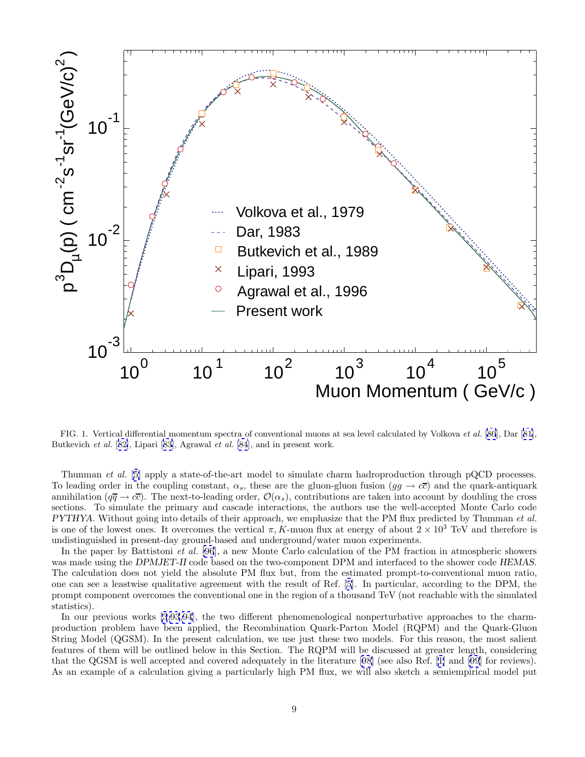<span id="page-11-0"></span>

FIG. 1. Vertical differential momentum spectra of conventional muons at sea level calculated by Volkova et al. [\[80](#page-47-0)], Dar [[81](#page-47-0)], Butkevich et al. [[82\]](#page-47-0), Lipari [[83\]](#page-47-0), Agrawal et al. [\[84](#page-47-0)], and in present work.

Thunman et al. [[5\]](#page-45-0) apply a state-of-the-art model to simulate charm hadroproduction through pQCD processes. To leading order in the coupling constant,  $\alpha_s$ , these are the gluon-gluon fusion  $(gq \to c\bar{c})$  and the quark-antiquark annihilation ( $q\overline{q} \to c\overline{c}$ ). The next-to-leading order,  $\mathcal{O}(\alpha_s)$ , contributions are taken into account by doubling the cross sections. To simulate the primary and cascade interactions, the authors use the well-accepted Monte Carlo code *PYTHYA*. Without going into details of their approach, we emphasize that the PM flux predicted by Thunman et al. is one of the lowest ones. It overcomes the vertical  $\pi$ , K-muon flux at energy of about  $2 \times 10^3$  TeV and therefore is undistinguished in present-day ground-based and underground/water muon experiments.

In the paper by Battistoni et al. [\[96](#page-47-0)], a new Monte Carlo calculation of the PM fraction in atmospheric showers was made using the *DPMJET-II* code based on the two-component DPM and interfaced to the shower code *HEMAS*. The calculation does not yield the absolute PM flux but, from the estimated prompt-to-conventional muon ratio, one can see a leastwise qualitative agreement with the result of Ref. [\[5](#page-45-0)]. In particular, according to the DPM, the prompt component overcomes the conventional one in the region of a thousand TeV (not reachable with the simulated statistics).

In our previous works [\[3](#page-45-0)[,93,94](#page-47-0)], the two different phenomenological nonperturbative approaches to the charmproduction problem have been applied, the Recombination Quark-Parton Model (RQPM) and the Quark-Gluon String Model (QGSM). In the present calculation, we use just these two models. For this reason, the most salient features of them will be outlined below in this Section. The RQPM will be discussed at greater length, considering that the QGSM is well accepted and covered adequately in the literature [[98](#page-47-0)] (see also Ref. [[1\]](#page-45-0) and [\[99](#page-47-0)] for reviews). As an example of a calculation giving a particularly high PM flux, we will also sketch a semiempirical model put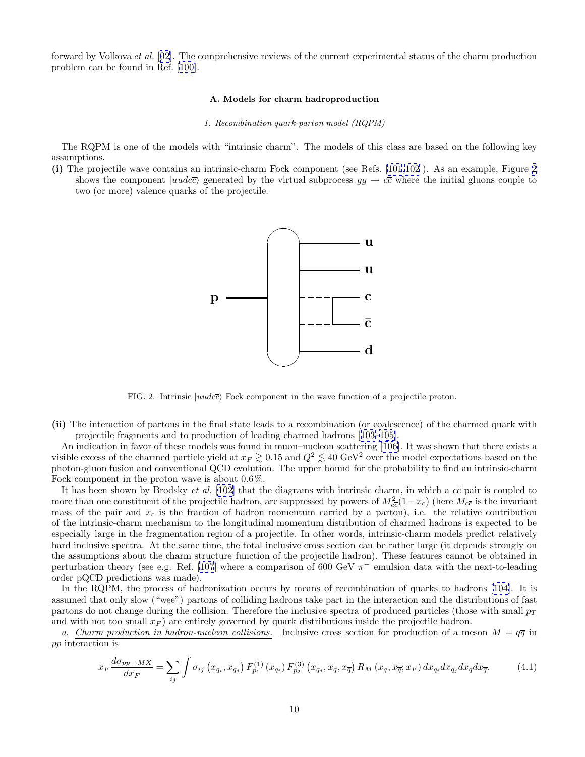<span id="page-12-0"></span>forward by Volkova et al. [[92\]](#page-47-0). The comprehensive reviews of the current experimental status of the charm production problem can be found in Ref. [[100](#page-47-0)].

# **A. Models for charm hadroproduction**

#### 1. Recombination quark-parton model (RQPM)

The RQPM is one of the models with "intrinsic charm". The models of this class are based on the following key assumptions.

**(i)** The projectile wave contains an intrinsic-charm Fock component (see Refs. [\[101,102](#page-47-0)]). As an example, Figure 2 shows the component  $|uudc\bar{c}\rangle$  generated by the virtual subprocess  $gg \to c\bar{c}$  where the initial gluons couple to two (or more) valence quarks of the projectile.



FIG. 2. Intrinsic  $|uudc\overline{c}\rangle$  Fock component in the wave function of a projectile proton.

**(ii)** The interaction of partons in the final state leads to a recombination (or coalescence) of the charmed quark with projectile fragments and to production of leading charmed hadrons [[103](#page-47-0)[–105\]](#page-48-0).

An indication in favor of these models was found in muon–nucleon scattering [[106\]](#page-48-0). It was shown that there exists a visible excess of the charmed particle yield at  $x_F \gtrsim 0.15$  and  $Q^2 \lesssim 40 \text{ GeV}^2$  over the model expectations based on the photon-gluon fusion and conventional QCD evolution. The upper bound for the probability to find an intrinsic-charm Fock component in the proton wave is about 0.6%.

It has been shown by Brodsky *et al.* [\[102\]](#page-47-0) that the diagrams with intrinsic charm, in which a  $c\bar{c}$  pair is coupled to more than one constituent of the projectile hadron, are suppressed by powers of  $M_{c\bar{c}}^2(1-x_c)$  (here  $M_{c\bar{c}}$  is the invariant mass of the pair and  $x_c$  is the fraction of hadron momentum carried by a parton), i.e. the relative contribution of the intrinsic-charm mechanism to the longitudinal momentum distribution of charmed hadrons is expected to be especially large in the fragmentation region of a projectile. In other words, intrinsic-charm models predict relatively hard inclusive spectra. At the same time, the total inclusive cross section can be rather large (it depends strongly on the assumptions about the charm structure function of the projectile hadron). These features cannot be obtained in perturbation theory (see e.g. Ref. [\[107](#page-48-0)] where a comparison of 600 GeV  $\pi^-$  emulsion data with the next-to-leading order pQCD predictions was made).

In the RQPM, the process of hadronization occurs by means of recombination of quarks to hadrons [[104\]](#page-48-0). It is assumed that only slow ("wee") partons of colliding hadrons take part in the interaction and the distributions of fast partons do not change during the collision. Therefore the inclusive spectra of produced particles (those with small  $p_T$ ) and with not too small  $x_F$ ) are entirely governed by quark distributions inside the projectile hadron.

a. Charm production in hadron-nucleon collisions. Inclusive cross section for production of a meson  $M = q\overline{q}$  in pp interaction is

$$
x_F \frac{d\sigma_{pp \to MX}}{dx_F} = \sum_{ij} \int \sigma_{ij} \left( x_{q_i}, x_{q_j} \right) F_{p_1}^{(1)} \left( x_{q_i} \right) F_{p_2}^{(3)} \left( x_{q_j}, x_q, x_{\overline{q}} \right) R_M \left( x_q, x_{\overline{q}}, x_F \right) dx_{q_i} dx_{q_j} dx_q dx_{\overline{q}}.
$$
 (4.1)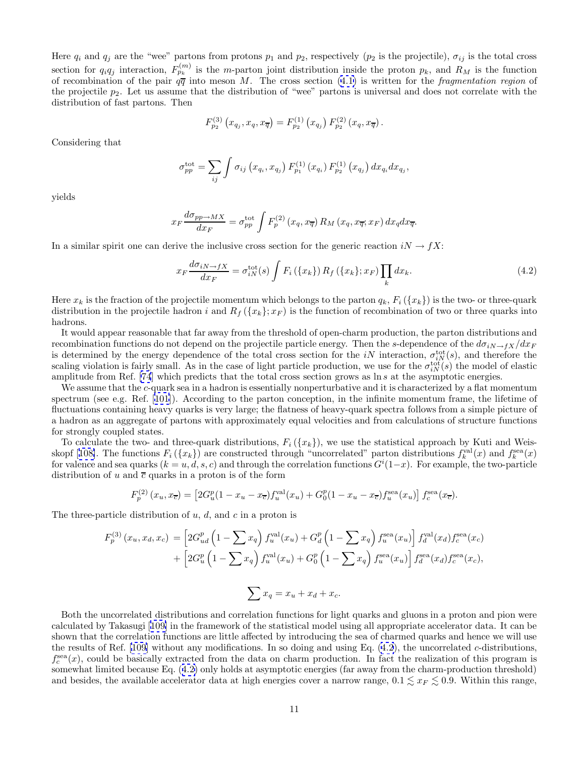Here  $q_i$  and  $q_j$  are the "wee" partons from protons  $p_1$  and  $p_2$ , respectively ( $p_2$  is the projectile),  $\sigma_{ij}$  is the total cross section for  $q_iq_j$  interaction,  $F_{p_k}^{(m)}$  is the m-parton joint distribution inside the proton  $p_k$ , and  $R_M$  is the function of recombination of the pair  $q\bar{q}$  into meson M. The cross section ([4.1\)](#page-12-0) is written for the *fragmentation region* of the projectile  $p_2$ . Let us assume that the distribution of "wee" partons is universal and does not correlate with the distribution of fast partons. Then

$$
F_{p_2}^{(3)}(x_{q_j}, x_q, x_{\overline{q}}) = F_{p_2}^{(1)}(x_{q_j}) F_{p_2}^{(2)}(x_q, x_{\overline{q}}).
$$

Considering that

$$
\sigma_{pp}^{\rm tot} = \sum_{ij} \int \sigma_{ij} (x_{q_i}, x_{q_j}) F_{p_1}^{(1)}(x_{q_i}) F_{p_2}^{(1)}(x_{q_j}) dx_{q_i} dx_{q_j},
$$

yields

$$
x_F \frac{d\sigma_{pp \to MX}}{dx_F} = \sigma_{pp}^{\text{tot}} \int F_p^{(2)}(x_q, x_{\overline{q}}) R_M(x_q, x_{\overline{q}}; x_F) dx_q dx_{\overline{q}}.
$$

In a similar spirit one can derive the inclusive cross section for the generic reaction  $iN \to fX$ :

$$
x_F \frac{d\sigma_{iN \to fX}}{dx_F} = \sigma_{iN}^{\text{tot}}(s) \int F_i(\{x_k\}) R_f(\{x_k\}; x_F) \prod_k dx_k. \tag{4.2}
$$

Here  $x_k$  is the fraction of the projectile momentum which belongs to the parton  $q_k$ ,  $F_i({x_k})$  is the two- or three-quark distribution in the projectile hadron i and  $R_f(\lbrace x_k \rbrace; x_F)$  is the function of recombination of two or three quarks into hadrons.

It would appear reasonable that far away from the threshold of open-charm production, the parton distributions and recombination functions do not depend on the projectile particle energy. Then the s-dependence of the  $d\sigma_{iN\to fX}/dx_F$ is determined by the energy dependence of the total cross section for the iN interaction,  $\sigma_{iN}^{\text{tot}}(s)$ , and therefore the scaling violation is fairly small. As in the case of light particle production, we use for the  $\sigma_{iN}^{\text{tot}}(s)$  the model of elastic amplitude from Ref. [\[74](#page-47-0)] which predicts that the total cross section grows as ln s at the asymptotic energies.

We assume that the c-quark sea in a hadron is essentially nonperturbative and it is characterized by a flat momentum spectrum (see e.g. Ref. [[101\]](#page-47-0)). According to the parton conception, in the infinite momentum frame, the lifetime of fluctuations containing heavy quarks is very large; the flatness of heavy-quark spectra follows from a simple picture of a hadron as an aggregate of partons with approximately equal velocities and from calculations of structure functions for strongly coupled states.

To calculate the two- and three-quark distributions,  $F_i({x_k})$ , we use the statistical approach by Kuti and Weis-skopf [[108\]](#page-48-0). The functions  $F_i(\lbrace x_k \rbrace)$  are constructed through "uncorrelated" parton distributions  $f_k^{\text{val}}(x)$  and  $f_k^{\text{sea}}(x)$ for valence and sea quarks  $(k = u, d, s, c)$  and through the correlation functions  $G^{i}(1-x)$ . For example, the two-particle distribution of u and  $\bar{c}$  quarks in a proton is of the form

$$
F_p^{(2)}(x_u, x_{\overline{c}}) = \left[2G_u^p(1 - x_u - x_{\overline{c}})f_u^{\text{val}}(x_u) + G_0^p(1 - x_u - x_{\overline{c}})f_u^{\text{sea}}(x_u)\right]f_c^{\text{sea}}(x_{\overline{c}}).
$$

The three-particle distribution of  $u, d$ , and  $c$  in a proton is

$$
F_p^{(3)}(x_u, x_d, x_c) = \left[2G_{ud}^p \left(1 - \sum x_q\right) f_u^{\text{val}}(x_u) + G_d^p \left(1 - \sum x_q\right) f_u^{\text{sea}}(x_u)\right] f_d^{\text{val}}(x_d) f_c^{\text{sea}}(x_c) + \left[2G_u^p \left(1 - \sum x_q\right) f_u^{\text{val}}(x_u) + G_0^p \left(1 - \sum x_q\right) f_u^{\text{sea}}(x_u)\right] f_d^{\text{sea}}(x_d) f_c^{\text{sea}}(x_c),
$$
  

$$
\sum x_q = x_u + x_d + x_c.
$$

Both the uncorrelated distributions and correlation functions for light quarks and gluons in a proton and pion were calculated by Takasugi [[109\]](#page-48-0) in the framework of the statistical model using all appropriate accelerator data. It can be shown that the correlation functions are little affected by introducing the sea of charmed quarks and hence we will use the results of Ref. [[109](#page-48-0)] without any modifications. In so doing and using Eq. (4.2), the uncorrelated c-distributions,  $f_c^{\text{sea}}(x)$ , could be basically extracted from the data on charm production. In fact the realization of this program is somewhat limited because Eq. (4.2) only holds at asymptotic energies (far away from the charm-production threshold) and besides, the available accelerator data at high energies cover a narrow range,  $0.1 \lesssim x_F \lesssim 0.9$ . Within this range,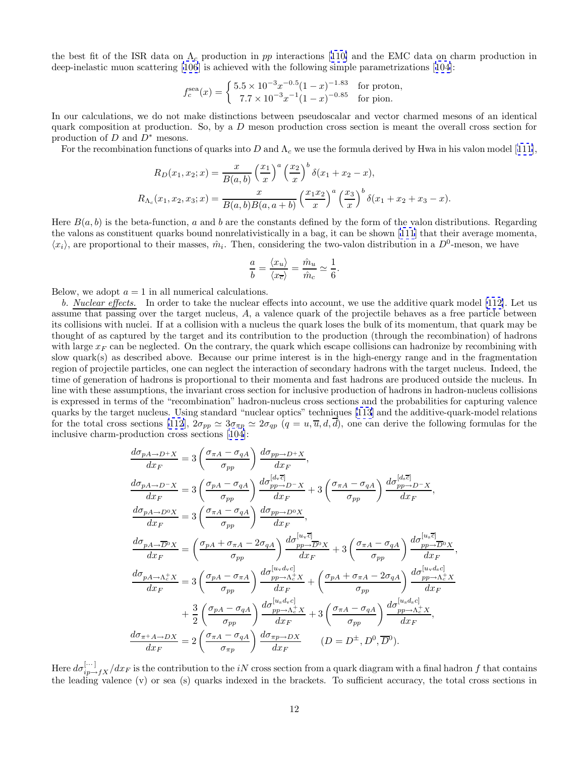the best fit of the ISR data on  $\Lambda_c$  production in pp interactions [[110\]](#page-48-0) and the EMC data on charm production in deep-inelastic muon scattering [\[106](#page-48-0)] is achieved with the following simple parametrizations [[104\]](#page-48-0):

$$
f_c^{\text{sea}}(x) = \begin{cases} 5.5 \times 10^{-3} x^{-0.5} (1-x)^{-1.83} & \text{for proton,} \\ 7.7 \times 10^{-3} x^{-1} (1-x)^{-0.85} & \text{for pion.} \end{cases}
$$

In our calculations, we do not make distinctions between pseudoscalar and vector charmed mesons of an identical quark composition at production. So, by a  $D$  meson production cross section is meant the overall cross section for production of  $D$  and  $D^*$  mesons.

For the recombination functions of quarks into D and  $\Lambda_c$  we use the formula derived by Hwa in his valon model [[111\]](#page-48-0),

$$
R_D(x_1, x_2; x) = \frac{x}{B(a, b)} \left(\frac{x_1}{x}\right)^a \left(\frac{x_2}{x}\right)^b \delta(x_1 + x_2 - x),
$$
  

$$
R_{\Lambda_c}(x_1, x_2, x_3; x) = \frac{x}{B(a, b)B(a, a + b)} \left(\frac{x_1 x_2}{x}\right)^a \left(\frac{x_3}{x}\right)^b \delta(x_1 + x_2 + x_3 - x).
$$

Here  $B(a, b)$  is the beta-function, a and b are the constants defined by the form of the valon distributions. Regarding the valons as constituent quarks bound nonrelativistically in a bag, it can be shown [\[111](#page-48-0)] that their average momenta,  $\langle x_i \rangle$ , are proportional to their masses,  $\hat{m}_i$ . Then, considering the two-valon distribution in a  $D^0$ -meson, we have

$$
\frac{a}{b} = \frac{\langle x_u \rangle}{\langle x_{\overline{c}} \rangle} = \frac{\hat{m}_u}{\hat{m}_c} \simeq \frac{1}{6}.
$$

Below, we adopt  $a = 1$  in all numerical calculations.

b. Nuclear effects. In order to take the nuclear effects into account, we use the additive quark model [\[112\]](#page-48-0). Let us assume that passing over the target nucleus, A, a valence quark of the projectile behaves as a free particle between its collisions with nuclei. If at a collision with a nucleus the quark loses the bulk of its momentum, that quark may be thought of as captured by the target and its contribution to the production (through the recombination) of hadrons with large  $x_F$  can be neglected. On the contrary, the quark which escape collisions can hadronize by recombining with slow quark(s) as described above. Because our prime interest is in the high-energy range and in the fragmentation region of projectile particles, one can neglect the interaction of secondary hadrons with the target nucleus. Indeed, the time of generation of hadrons is proportional to their momenta and fast hadrons are produced outside the nucleus. In line with these assumptions, the invariant cross section for inclusive production of hadrons in hadron-nucleus collisions is expressed in terms of the "recombination" hadron-nucleus cross sections and the probabilities for capturing valence quarks by the target nucleus. Using standard "nuclear optics" techniques [\[113](#page-48-0)] and the additive-quark-model relations for the total cross sections [\[112](#page-48-0)],  $2\sigma_{pp} \simeq 3\sigma_{\pi p} \simeq 2\sigma_{qp}$   $(q=u,\overline{u},d,\overline{d})$ , one can derive the following formulas for the inclusive charm-production cross sections [[104](#page-48-0)]:

$$
\frac{d\sigma_{pA \to D^{+}X}}{dx_F} = 3\left(\frac{\sigma_{\pi A} - \sigma_{qA}}{\sigma_{pp}}\right) \frac{d\sigma_{pp \to D^{+}X}}{dx_F},
$$
\n
$$
\frac{d\sigma_{pA \to D^{-}X}}{dx_F} = 3\left(\frac{\sigma_{pA} - \sigma_{qA}}{\sigma_{pp}}\right) \frac{d\sigma_{pp \to D^{-}X}^{[d,e^-]}}{dx_F} + 3\left(\frac{\sigma_{\pi A} - \sigma_{qA}}{\sigma_{pp}}\right) \frac{d\sigma_{pp \to D^{-}X}^{[d,e^-]}}{dx_F},
$$
\n
$$
\frac{d\sigma_{pA \to D^{0}X}}{dx_F} = 3\left(\frac{\sigma_{\pi A} - \sigma_{qA}}{\sigma_{pp}}\right) \frac{d\sigma_{pp \to D^{0}X}}{dx_F},
$$
\n
$$
\frac{d\sigma_{pA \to \overline{D}^{0}X}}{dx_F} = \left(\frac{\sigma_{pA} + \sigma_{\pi A} - 2\sigma_{qA}}{\sigma_{pp}}\right) \frac{d\sigma_{pp \to \overline{D}^{0}X}^{[u,e^-]}}{dx_F} + 3\left(\frac{\sigma_{\pi A} - \sigma_{qA}}{\sigma_{pp}}\right) \frac{d\sigma_{pp \to \overline{D}^{0}X}^{[u,e^{\overline{c}]}}}{dx_F}
$$
\n
$$
\frac{d\sigma_{pA \to \Lambda_c^+X}}{dx_F} = 3\left(\frac{\sigma_{pA} - \sigma_{\pi A}}{\sigma_{pp}}\right) \frac{d\sigma_{pp \to \Lambda_c^+X}^{[u,d,e^{\overline{c}]}}}{dx_F} + \left(\frac{\sigma_{pA} + \sigma_{\pi A} - 2\sigma_{qA}}{\sigma_{pp}}\right) \frac{d\sigma_{pp \to \Lambda_c^+X}^{[u,d,e^{\overline{c}]}}}{dx_F}
$$
\n
$$
+ \frac{3}{2}\left(\frac{\sigma_{pA} - \sigma_{qA}}{\sigma_{pp}}\right) \frac{d\sigma_{pp \to \Lambda_c^+X}^{[u,d,e^{\overline{c}]}}}{dx_F} + 3\left(\frac{\sigma_{\pi A} - \sigma_{qA}}{\sigma_{pp}}\right) \frac{d\sigma_{pp \to \Lambda_c^+X}^{[u,d,e^{\overline{c}]}}}{dx_F},
$$
\

,

Here  $d\sigma_{ip\to fX}^{[\cdots]}/dx_F$  is the contribution to the iN cross section from a quark diagram with a final hadron f that contains the leading valence (v) or sea (s) quarks indexed in the brackets. To sufficient accuracy, the total cross sections in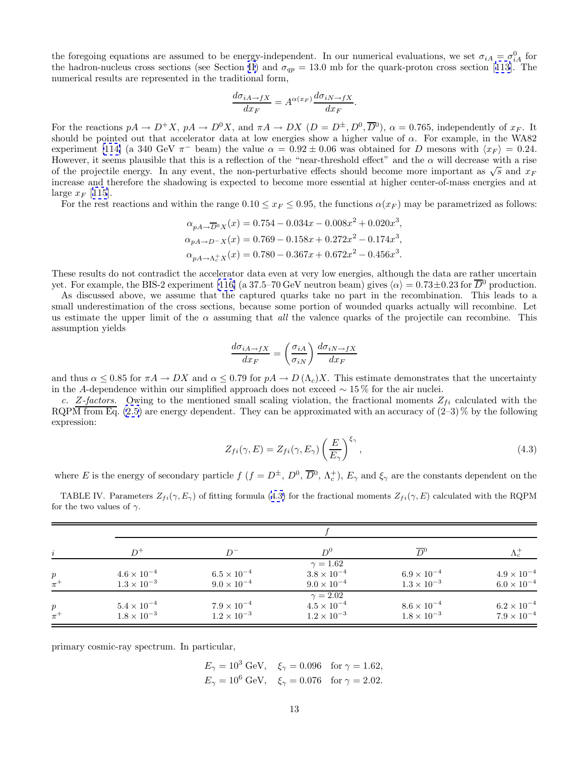<span id="page-15-0"></span>the foregoing equations are assumed to be energy-independent. In our numerical evaluations, we set  $\sigma_{iA} = \sigma_{iA}^0$  for the hadron-nucleus cross sections (see Section [II](#page-4-0)) and  $\sigma_{qp} = 13.0$  mb for the quark-proton cross section [[113\]](#page-48-0). The numerical results are represented in the traditional form,

$$
\frac{d\sigma_{iA \to fX}}{dx_F} = A^{\alpha(x_F)} \frac{d\sigma_{iN \to fX}}{dx_F}.
$$

For the reactions  $pA \to D^+X$ ,  $pA \to D^0X$ , and  $\pi A \to DX$   $(D = D^{\pm}, D^0, \overline{D}^0)$ ,  $\alpha = 0.765$ , independently of  $x_F$ . It should be pointed out that accelerator data at low energies show a higher value of  $\alpha$ . For example, in the WA82 experiment [\[114\]](#page-48-0) (a 340 GeV  $\pi^-$  beam) the value  $\alpha = 0.92 \pm 0.06$  was obtained for D mesons with  $\langle x_F \rangle = 0.24$ . However, it seems plausible that this is a reflection of the "near-threshold effect" and the  $\alpha$  will decrease with a rise of the projectile energy. In any event, the non-perturbative effects should become more important as  $\sqrt{s}$  and  $x_F$ increase and therefore the shadowing is expected to become more essential at higher center-of-mass energies and at large  $x_F$  [[115](#page-48-0)].

For the rest reactions and within the range  $0.10 \le x_F \le 0.95$ , the functions  $\alpha(x_F)$  may be parametrized as follows:

$$
\alpha_{pA \to \overline{D}{}^0 X}(x) = 0.754 - 0.034x - 0.008x^2 + 0.020x^3,
$$
  
\n
$$
\alpha_{pA \to D^- X}(x) = 0.769 - 0.158x + 0.272x^2 - 0.174x^3,
$$
  
\n
$$
\alpha_{pA \to \Lambda_c^+ X}(x) = 0.780 - 0.367x + 0.672x^2 - 0.456x^3.
$$

These results do not contradict the accelerator data even at very low energies, although the data are rather uncertain yet. For example, the BIS-2 experiment [\[116\]](#page-48-0) (a 37.5–70 GeV neutron beam) gives  $\langle \alpha \rangle = 0.73 \pm 0.23$  for  $\overline{D}{}^0$  production.

As discussed above, we assume that the captured quarks take no part in the recombination. This leads to a small underestimation of the cross sections, because some portion of wounded quarks actually will recombine. Let us estimate the upper limit of the  $\alpha$  assuming that all the valence quarks of the projectile can recombine. This assumption yields

$$
\frac{d\sigma_{iA \to fX}}{dx_F} = \left(\frac{\sigma_{iA}}{\sigma_{iN}}\right) \frac{d\sigma_{iN \to fX}}{dx_F}
$$

and thus  $\alpha \leq 0.85$  for  $\pi A \to DX$  and  $\alpha \leq 0.79$  for  $pA \to D(\Lambda_c)X$ . This estimate demonstrates that the uncertainty in the A-dependence within our simplified approach does not exceed  $\sim$  15% for the air nuclei.

c. Z-factors. Owing to the mentioned small scaling violation, the fractional moments  $Z_{fi}$  calculated with the RQPM from Eq.  $(2.5)$  $(2.5)$  are energy dependent. They can be approximated with an accuracy of  $(2-3)\%$  by the following expression:

$$
Z_{fi}(\gamma, E) = Z_{fi}(\gamma, E_{\gamma}) \left(\frac{E}{E_{\gamma}}\right)^{\xi_{\gamma}}, \qquad (4.3)
$$

where E is the energy of secondary particle  $f$   $(f = D^{\pm}, D^0, \overline{D}^0, \Lambda_c^+), E_{\gamma}$  and  $\xi_{\gamma}$  are the constants dependent on the

TABLE IV. Parameters  $Z_{fi}(\gamma, E_{\gamma})$  of fitting formula (4.3) for the fractional moments  $Z_{fi}(\gamma, E)$  calculated with the RQPM for the two values of  $\gamma$ .

| $\dot{i}$                   | $D^+$                                        | $D^-$                                        | $D^0$                                                           | $\overline{D}{}^0$                           |                                            |  |  |
|-----------------------------|----------------------------------------------|----------------------------------------------|-----------------------------------------------------------------|----------------------------------------------|--------------------------------------------|--|--|
| $p_{\parallel}$<br>$\pi^+$  | $4.6 \times 10^{-4}$<br>$1.3 \times 10^{-3}$ | $6.5 \times 10^{-4}$<br>$9.0 \times 10^{-4}$ | $\gamma = 1.62$<br>$3.8 \times 10^{-4}$<br>$9.0 \times 10^{-4}$ | $6.9 \times 10^{-4}$<br>$1.3 \times 10^{-3}$ | $4.9\times10^{-4}$<br>$6.0 \times 10^{-4}$ |  |  |
| $\boldsymbol{p}$<br>$\pi^+$ | $5.4 \times 10^{-4}$<br>$1.8 \times 10^{-3}$ | $7.9 \times 10^{-4}$<br>$1.2 \times 10^{-3}$ | $\gamma = 2.02$<br>$4.5 \times 10^{-4}$<br>$1.2 \times 10^{-3}$ | $8.6 \times 10^{-4}$<br>$1.8 \times 10^{-3}$ | $6.2\times10^{-4}$<br>$7.9\times10^{-4}$   |  |  |

primary cosmic-ray spectrum. In particular,

$$
E_{\gamma} = 10^3 \text{ GeV}, \quad \xi_{\gamma} = 0.096 \quad \text{for } \gamma = 1.62,
$$
  
\n $E_{\gamma} = 10^6 \text{ GeV}, \quad \xi_{\gamma} = 0.076 \quad \text{for } \gamma = 2.02.$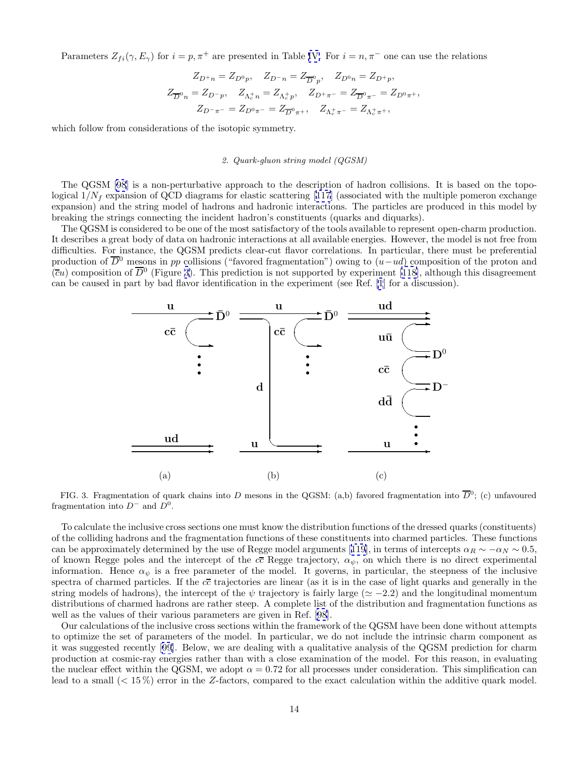<span id="page-16-0"></span>Parameters  $Z_{fi}(\gamma, E_{\gamma})$  for  $i = p, \pi^{+}$  are presented in Table [IV.](#page-15-0) For  $i = n, \pi^{-}$  one can use the relations

$$
\begin{gathered} Z_{D^+n} = Z_{D^0p}, \quad Z_{D^-n} = Z_{\overline{D}^0p}, \quad Z_{D^0n} = Z_{D^+p}, \\ Z_{\overline{D}^0n} = Z_{D^-p}, \quad Z_{\Lambda_c^+n} = Z_{\Lambda_c^+p}, \quad Z_{D^+\pi^-} = Z_{\overline{D}^0\pi^-} = Z_{D^0\pi^+}, \\ Z_{D^-\pi^-} = Z_{D^0\pi^-} = Z_{\overline{D}^0\pi^+}, \quad Z_{\Lambda_c^+\pi^-} = Z_{\Lambda_c^+\pi^+}, \end{gathered}
$$

which follow from considerations of the isotopic symmetry.

# 2. Quark-gluon string model (QGSM)

The QGSM [\[98](#page-47-0)] is a non-perturbative approach to the description of hadron collisions. It is based on the topological  $1/N_f$  expansion of QCD diagrams for elastic scattering [[117](#page-48-0)] (associated with the multiple pomeron exchange expansion) and the string model of hadrons and hadronic interactions. The particles are produced in this model by breaking the strings connecting the incident hadron's constituents (quarks and diquarks).

The QGSM is considered to be one of the most satisfactory of the tools available to represent open-charm production. It describes a great body of data on hadronic interactions at all available energies. However, the model is not free from difficulties. For instance, the QGSM predicts clear-cut flavor correlations. In particular, there must be preferential production of  $\overline{D}^0$  mesons in pp collisions ("favored fragmentation") owing to  $(u-ud)$  composition of the proton and  $(cu)$  composition of  $\overline{D}^0$  (Figure 3). This prediction is not supported by experiment [[118](#page-48-0)], although this disagreement can be caused in part by bad flavor identification in the experiment (see Ref. [\[1](#page-45-0)] for a discussion).



FIG. 3. Fragmentation of quark chains into D mesons in the QGSM: (a,b) favored fragmentation into  $\overline{D}^0$ ; (c) unfavoured fragmentation into  $D^-$  and  $D^0$ .

To calculate the inclusive cross sections one must know the distribution functions of the dressed quarks (constituents) of the colliding hadrons and the fragmentation functions of these constituents into charmed particles. These functions can be approximately determined by the use of Regge model arguments [[119\]](#page-48-0), in terms of intercepts  $\alpha_R \sim -\alpha_N \sim 0.5$ , of known Regge poles and the intercept of the  $c\bar{c}$  Regge trajectory,  $\alpha_{\psi}$ , on which there is no direct experimental information. Hence  $\alpha_{\psi}$  is a free parameter of the model. It governs, in particular, the steepness of the inclusive spectra of charmed particles. If the  $c\bar{c}$  trajectories are linear (as it is in the case of light quarks and generally in the string models of hadrons), the intercept of the  $\psi$  trajectory is fairly large ( $\simeq -2.2$ ) and the longitudinal momentum distributions of charmed hadrons are rather steep. A complete list of the distribution and fragmentation functions as well as the values of their various parameters are given in Ref. [\[98](#page-47-0)].

Our calculations of the inclusive cross sections within the framework of the QGSM have been done without attempts to optimize the set of parameters of the model. In particular, we do not include the intrinsic charm component as it was suggested recently [[99](#page-47-0)]. Below, we are dealing with a qualitative analysis of the QGSM prediction for charm production at cosmic-ray energies rather than with a close examination of the model. For this reason, in evaluating the nuclear effect within the QGSM, we adopt  $\alpha = 0.72$  for all processes under consideration. This simplification can lead to a small (< 15 %) error in the Z-factors, compared to the exact calculation within the additive quark model.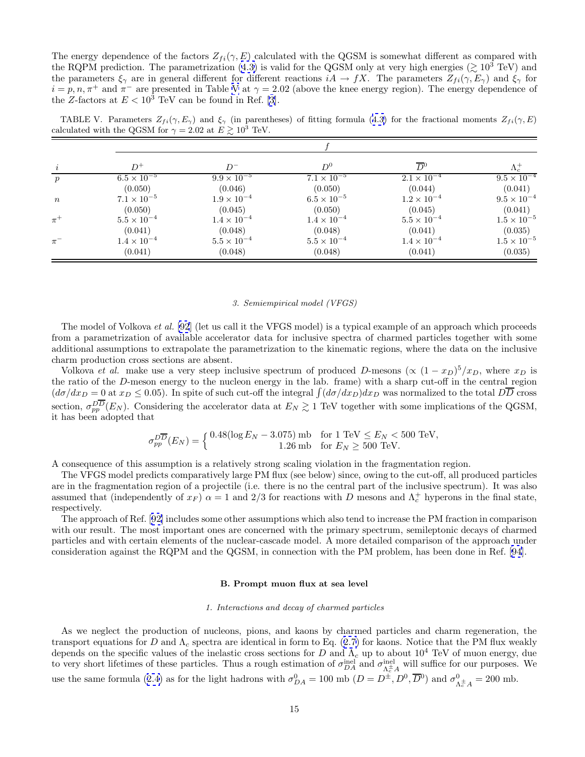<span id="page-17-0"></span>The energy dependence of the factors  $Z_{fi}(\gamma, E)$  calculated with the QGSM is somewhat different as compared with the RQPM prediction. The parametrization [\(4.3\)](#page-15-0) is valid for the QGSM only at very high energies ( $\gtrsim 10^3$  TeV) and the parameters  $\xi_{\gamma}$  are in general different for different reactions  $iA \to fX$ . The parameters  $Z_{fi}(\gamma, E_{\gamma})$  and  $\xi_{\gamma}$  for  $i = p, n, \pi^+$  and  $\pi^-$  are presented in Table V at  $\gamma = 2.02$  (above the knee energy region). The energy dependence of the Z-factors at  $E < 10^3$  TeV can be found in Ref. [\[3](#page-45-0)].

TABLE V. Parameters  $Z_{fi}(\gamma, E_{\gamma})$  and  $\xi_{\gamma}$  (in parentheses) of fitting formula ([4.3\)](#page-15-0) for the fractional moments  $Z_{fi}(\gamma, E)$ calculated with the QGSM for  $\gamma = 2.02$  at  $E \gtrsim 10^3$  TeV.

|                  | $D^+$                | $D^-$                | $D^0$                | $\overline{D}{}^0$   | $\Lambda_c^+$        |  |  |
|------------------|----------------------|----------------------|----------------------|----------------------|----------------------|--|--|
| $\boldsymbol{p}$ | $6.5 \times 10^{-5}$ | $9.9 \times 10^{-5}$ | $7.1 \times 10^{-5}$ | $2.1 \times 10^{-4}$ | $9.5 \times 10^{-4}$ |  |  |
|                  | (0.050)              | (0.046)              | (0.050)              | (0.044)              | (0.041)              |  |  |
| $\,n$            | $7.1 \times 10^{-5}$ | $1.9 \times 10^{-4}$ | $6.5 \times 10^{-5}$ | $1.2 \times 10^{-4}$ | $9.5 \times 10^{-4}$ |  |  |
|                  | (0.050)              | (0.045)              | (0.050)              | (0.045)              | (0.041)              |  |  |
| $\pi^+$          | $5.5 \times 10^{-4}$ | $1.4 \times 10^{-4}$ | $1.4 \times 10^{-4}$ | $5.5 \times 10^{-4}$ | $1.5 \times 10^{-5}$ |  |  |
|                  | (0.041)              | (0.048)              | (0.048)              | (0.041)              | (0.035)              |  |  |
| $\pi^-$          | $1.4 \times 10^{-4}$ | $5.5 \times 10^{-4}$ | $5.5 \times 10^{-4}$ | $1.4 \times 10^{-4}$ | $1.5 \times 10^{-5}$ |  |  |
|                  | (0.041)              | (0.048)              | (0.048)              | (0.041)              | (0.035)              |  |  |

### 3. Semiempirical model (VFGS)

The model of Volkova et al. [\[92](#page-47-0)] (let us call it the VFGS model) is a typical example of an approach which proceeds from a parametrization of available accelerator data for inclusive spectra of charmed particles together with some additional assumptions to extrapolate the parametrization to the kinematic regions, where the data on the inclusive charm production cross sections are absent.

Volkova *et al.* make use a very steep inclusive spectrum of produced D-mesons ( $\propto (1-x_D)^5 / x_D$ , where  $x_D$  is the ratio of the D-meson energy to the nucleon energy in the lab. frame) with a sharp cut-off in the central region  $(d\sigma/dx_D = 0$  at  $x_D \le 0.05)$ . In spite of such cut-off the integral  $\int (d\sigma/dx_D)dx_D$  was normalized to the total  $D\overline{D}$  cross section,  $\sigma_{pp}^{D\overline{D}}(E_N)$ . Considering the accelerator data at  $E_N \gtrsim 1$  TeV together with some implications of the QGSM, it has been adopted that

$$
\sigma_{pp}^{D\overline{D}}(E_N) = \begin{cases} \n0.48(\log E_N - 3.075) \text{ mb} & \text{for } 1 \text{ TeV} \le E_N < 500 \text{ TeV}, \\ \n0.126 \text{ mb} & \text{for } E_N \ge 500 \text{ TeV}. \n\end{cases}
$$

A consequence of this assumption is a relatively strong scaling violation in the fragmentation region.

The VFGS model predicts comparatively large PM flux (see below) since, owing to the cut-off, all produced particles are in the fragmentation region of a projectile (i.e. there is no the central part of the inclusive spectrum). It was also assumed that (independently of  $x_F$ )  $\alpha = 1$  and 2/3 for reactions with D mesons and  $\Lambda_c^+$  hyperons in the final state, respectively.

The approach of Ref. [[92\]](#page-47-0) includes some other assumptions which also tend to increase the PM fraction in comparison with our result. The most important ones are concerned with the primary spectrum, semileptonic decays of charmed particles and with certain elements of the nuclear-cascade model. A more detailed comparison of the approach under consideration against the RQPM and the QGSM, in connection with the PM problem, has been done in Ref. [[94](#page-47-0)].

# **B. Prompt muon flux at sea level**

### 1. Interactions and decay of charmed particles

As we neglect the production of nucleons, pions, and kaons by charmed particles and charm regeneration, the transport equations for D and  $\Lambda_c$  spectra are identical in form to Eq. ([2.7\)](#page-7-0) for kaons. Notice that the PM flux weakly depends on the specific values of the inelastic cross sections for D and  $\Lambda_c$  up to about  $10^4$  TeV of muon energy, due to very short lifetimes of these particles. Thus a rough estimation of  $\sigma_{DA}^{\text{inel}}$  and  $\sigma_{\Lambda_c^{\pm}A}^{\text{inel}}$  will suffice for our purposes. We use the same formula ([2.4\)](#page-5-0) as for the light hadrons with  $\sigma_{DA}^0 = 100$  mb  $(D = D^{\pm}, D^0, \overline{D}{}^0)$  and  $\sigma_{\Lambda_c^{\pm}A}^0 = 200$  mb.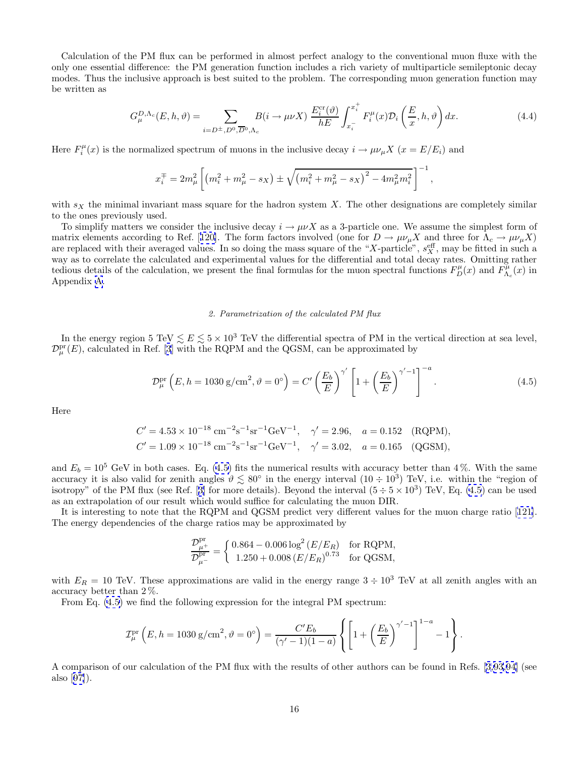<span id="page-18-0"></span>Calculation of the PM flux can be performed in almost perfect analogy to the conventional muon fluxe with the only one essential difference: the PM generation function includes a rich variety of multiparticle semileptonic decay modes. Thus the inclusive approach is best suited to the problem. The corresponding muon generation function may be written as

$$
G_{\mu}^{D,\Lambda_c}(E,h,\vartheta) = \sum_{i=D^{\pm},D^0,\overline{D}^0,\Lambda_c} B(i \to \mu\nu X) \frac{E_i^{\text{cr}}(\vartheta)}{hE} \int_{x_i^-}^{x_i^+} F_i^{\mu}(x) \mathcal{D}_i\left(\frac{E}{x},h,\vartheta\right) dx. \tag{4.4}
$$

Here  $F_i^{\mu}(x)$  is the normalized spectrum of muons in the inclusive decay  $i \to \mu \nu_{\mu} X$   $(x = E/E_i)$  and

$$
x_i^{\mp} = 2m_{\mu}^2 \left[ \left( m_i^2 + m_{\mu}^2 - s_X \right) \pm \sqrt{\left( m_i^2 + m_{\mu}^2 - s_X \right)^2 - 4m_{\mu}^2 m_i^2} \right]^{-1},
$$

with  $s_X$  the minimal invariant mass square for the hadron system X. The other designations are completely similar to the ones previously used.

To simplify matters we consider the inclusive decay  $i \to \mu\nu X$  as a 3-particle one. We assume the simplest form of matrix elements according to Ref. [[120\]](#page-48-0). The form factors involved (one for  $D \to \mu \nu_{\mu} X$  and three for  $\Lambda_c \to \mu \nu_{\mu} X$ ) are replaced with their averaged values. In so doing the mass square of the "X-particle",  $s_X^{\text{eff}}$ , may be fitted in such a way as to correlate the calculated and experimental values for the differential and total decay rates. Omitting rather tedious details of the calculation, we present the final formulas for the muon spectral functions  $F_D^{\mu}(x)$  and  $F_{\Lambda_c}^{\mu}(x)$  in Appendix [A](#page-40-0).

### 2. Parametrization of the calculated PM flux

In the energy region 5 TeV  $\lesssim E \lesssim 5 \times 10^3$  TeV the differential spectra of PM in the vertical direction at sea level,  $\mathcal{D}_{\mu}^{\text{pr}}(E)$ , calculated in Ref. [\[3](#page-45-0)] with the RQPM and the QGSM, can be approximated by

$$
\mathcal{D}_{\mu}^{\text{pr}}\left(E, h = 1030 \text{ g/cm}^2, \vartheta = 0^{\circ}\right) = C' \left(\frac{E_b}{E}\right)^{\gamma'} \left[1 + \left(\frac{E_b}{E}\right)^{\gamma'-1}\right]^{-a}.\tag{4.5}
$$

Here

$$
C' = 4.53 \times 10^{-18} \text{ cm}^{-2} \text{s}^{-1} \text{sr}^{-1} \text{GeV}^{-1}, \quad \gamma' = 2.96, \quad a = 0.152 \quad \text{(RQPM)},
$$
  

$$
C' = 1.09 \times 10^{-18} \text{ cm}^{-2} \text{s}^{-1} \text{sr}^{-1} \text{GeV}^{-1}, \quad \gamma' = 3.02, \quad a = 0.165 \quad \text{(QGSM)},
$$

and  $E_b = 10^5$  GeV in both cases. Eq. (4.5) fits the numerical results with accuracy better than 4%. With the same accuracy it is also valid for zenith angles  $\vartheta \lesssim 80^{\circ}$  in the energy interval  $(10 \div 10^3)$  TeV, i.e. within the "region of isotropy" of the PM flux (see Ref. [[3\]](#page-45-0) for more details). Beyond the interval  $(5 \div 5 \times 10^3)$  TeV, Eq. (4.5) can be used as an extrapolation of our result which would suffice for calculating the muon DIR.

It is interesting to note that the RQPM and QGSM predict very different values for the muon charge ratio [[121\]](#page-48-0). The energy dependencies of the charge ratios may be approximated by

$$
\frac{\mathcal{D}_{\mu^+}^{\text{pr}}}{\mathcal{D}_{\mu^-}^{\text{pr}}} = \left\{ \begin{array}{ll} 0.864 - 0.006 \log^2{(E/E_R)} & \text{for RQPM,} \\ 1.250 + 0.008 {(E/E_R)}^{0.73} & \text{for QGSM,} \end{array} \right.
$$

with  $E_R = 10$  TeV. These approximations are valid in the energy range  $3 \div 10^3$  TeV at all zenith angles with an accuracy better than 2 %.

From Eq. (4.5) we find the following expression for the integral PM spectrum:

$$
\mathcal{I}_{\mu}^{\text{pr}}\left(E, h = 1030 \text{ g/cm}^2, \vartheta = 0^{\circ}\right) = \frac{C' E_b}{(\gamma' - 1)(1 - a)} \left\{ \left[ 1 + \left(\frac{E_b}{E}\right)^{\gamma' - 1} \right]^{1 - a} - 1 \right\}.
$$

A comparison of our calculation of the PM flux with the results of other authors can be found in Refs. [[3](#page-45-0),[93](#page-47-0),[94](#page-47-0)] (see also [[97\]](#page-47-0)).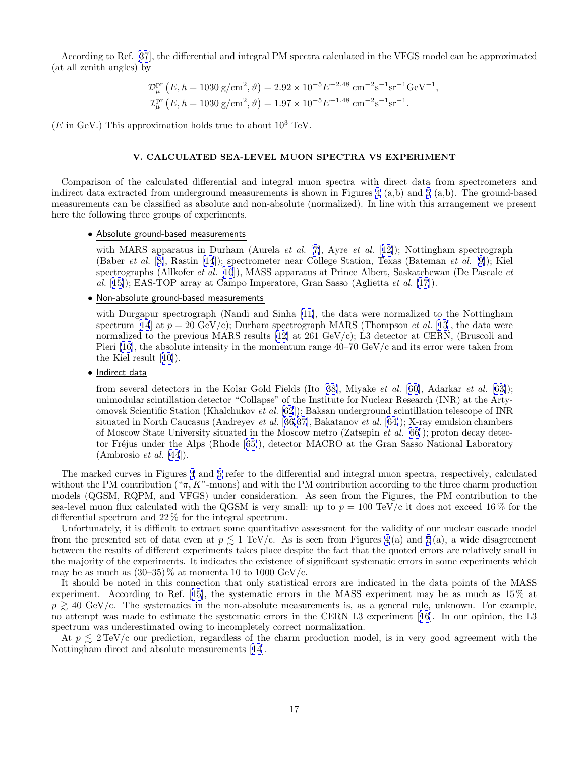<span id="page-19-0"></span>According to Ref. [[37](#page-45-0)], the differential and integral PM spectra calculated in the VFGS model can be approximated (at all zenith angles) by

$$
\mathcal{D}_{\mu}^{\text{pr}}\left(E, h = 1030 \text{ g/cm}^2, \vartheta\right) = 2.92 \times 10^{-5} E^{-2.48} \text{ cm}^{-2} \text{s}^{-1} \text{sr}^{-1} \text{GeV}^{-1},
$$
  

$$
\mathcal{I}_{\mu}^{\text{pr}}\left(E, h = 1030 \text{ g/cm}^2, \vartheta\right) = 1.97 \times 10^{-5} E^{-1.48} \text{ cm}^{-2} \text{s}^{-1} \text{sr}^{-1}.
$$

 $(E \text{ in } \text{GeV})$ . This approximation holds true to about  $10^3$  TeV.

# **V. CALCULATED SEA-LEVEL MUON SPECTRA VS EXPERIMENT**

Comparison of the calculated differential and integral muon spectra with direct data from spectrometers and indirect data extracted from underground measurements is shown in Figures [4](#page-20-0) (a,b) and [5](#page-21-0) (a,b). The ground-based measurements can be classified as absolute and non-absolute (normalized). In line with this arrangement we present here the following three groups of experiments.

### • Absolute ground-based measurements

with MARS apparatus in Durham (Aurela et al. [[7](#page-45-0)], Ayre et al. [[12\]](#page-45-0)); Nottingham spectrograph (Baber et al. [[8\]](#page-45-0), Rastin [\[14](#page-45-0)]); spectrometer near College Station, Texas (Bateman et al. [[9\]](#page-45-0)); Kiel spectrographs (Allkofer et al. [\[10](#page-45-0)]), MASS apparatus at Prince Albert, Saskatchewan (De Pascale et  $al.$  [[15\]](#page-45-0)); EAS-TOP array at Campo Imperatore, Gran Sasso (Aglietta et al. [\[17\]](#page-45-0)).

• Non-absolute ground-based measurements

with Durgapur spectrograph (Nandi and Sinha [[11\]](#page-45-0), the data were normalized to the Nottingham spectrum [\[14](#page-45-0)] at  $p = 20 \text{ GeV/c}$ ; Durham spectrograph MARS (Thompson *et al.* [[13\]](#page-45-0), the data were normalized to the previous MARS results [[12](#page-45-0)] at 261 GeV/c); L3 detector at CERN, (Bruscoli and Pieri [\[16\]](#page-45-0), the absolute intensity in the momentum range  $40-70 \text{ GeV/c}$  and its error were taken from the Kiel result [[10\]](#page-45-0)).

# • Indirect data

from several detectors in the Kolar Gold Fields (Ito [[38\]](#page-46-0), Miyake et al. [[60\]](#page-46-0), Adarkar et al. [[63\]](#page-46-0)); unimodular scintillation detector "Collapse" of the Institute for Nuclear Research (INR) at the Artyomovsk Scientific Station (Khalchukov et al. [\[62](#page-46-0)]); Baksan underground scintillation telescope of INR situated in North Caucasus (Andreyev et al. [[36,37\]](#page-45-0), Bakatanov et al. [[64\]](#page-46-0)); X-ray emulsion chambers of Moscow State University situated in the Moscow metro (Zatsepin et al. [\[66](#page-46-0)]); proton decay detec-tor Fréjus under the Alps (Rhode [[65\]](#page-46-0)), detector MACRO at the Gran Sasso National Laboratory (Ambrosio et al. [[44](#page-46-0)]).

The marked curves in Figures [4](#page-20-0) and [5](#page-21-0) refer to the differential and integral muon spectra, respectively, calculated without the PM contribution (" $\pi$ , K"-muons) and with the PM contribution according to the three charm production models (QGSM, RQPM, and VFGS) under consideration. As seen from the Figures, the PM contribution to the sea-level muon flux calculated with the QGSM is very small: up to  $p = 100 \text{ TeV}/c$  it does not exceed 16 % for the differential spectrum and 22 % for the integral spectrum.

Unfortunately, it is difficult to extract some quantitative assessment for the validity of our nuclear cascade model from the presented set of data even at  $p \lesssim 1$  TeV/c. As is seen from Figures [4](#page-20-0)(a) and [5](#page-21-0)(a), a wide disagreement between the results of different experiments takes place despite the fact that the quoted errors are relatively small in the majority of the experiments. It indicates the existence of significant systematic errors in some experiments which may be as much as  $(30-35)\%$  at momenta 10 to 1000 GeV/c.

It should be noted in this connection that only statistical errors are indicated in the data points of the MASS experiment. According to Ref. [[15\]](#page-45-0), the systematic errors in the MASS experiment may be as much as 15 % at  $p \geq 40$  GeV/c. The systematics in the non-absolute measurements is, as a general rule, unknown. For example, no attempt was made to estimate the systematic errors in the CERN L3 experiment [[16\]](#page-45-0). In our opinion, the L3 spectrum was underestimated owing to incompletely correct normalization.

At  $p \leq 2 \text{TeV/c}$  our prediction, regardless of the charm production model, is in very good agreement with the Nottingham direct and absolute measurements [[14](#page-45-0)].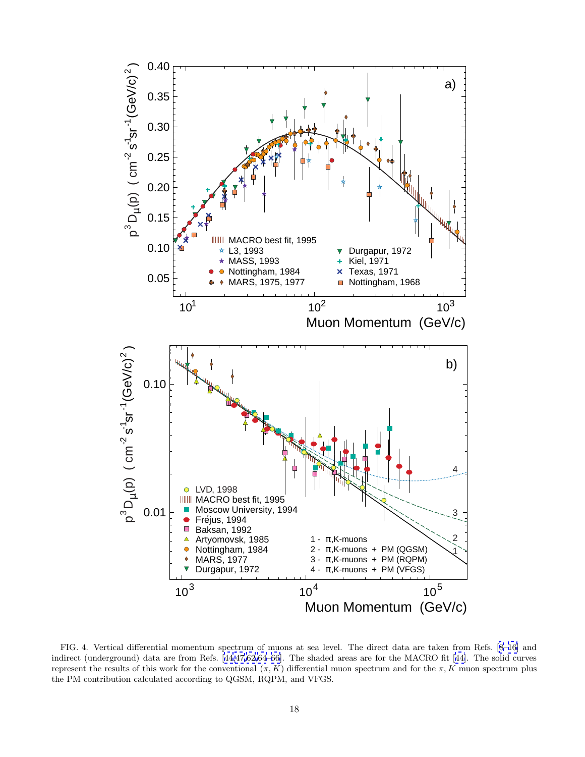<span id="page-20-0"></span>

FIG. 4. Vertical differential momentum spectrum of muons at sea level. The direct data are taken from Refs. [[8](#page-45-0)–[16\]](#page-45-0) and indirect (underground) data are from Refs. [[44,47,62](#page-46-0),[64](#page-46-0)–[66\]](#page-46-0). The shaded areas are for the MACRO fit [[44\]](#page-46-0). The solid curves represent the results of this work for the conventional  $(π, K)$  differential muon spectrum and for the π, K muon spectrum plus the PM contribution calculated according to QGSM, RQPM, and VFGS.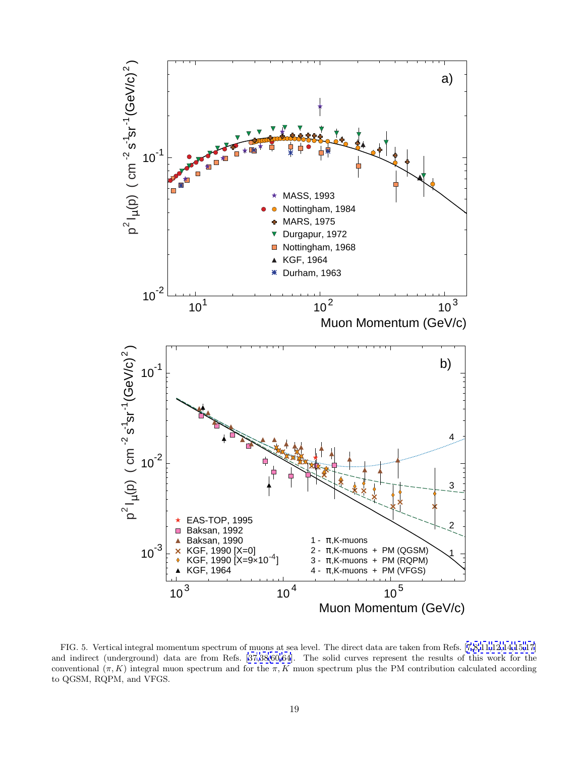<span id="page-21-0"></span>

FIG. 5. Vertical integral momentum spectrum of muons at sea level. The direct data are taken from Refs. [[7](#page-45-0),[8,11](#page-45-0),[12,14,15,17](#page-45-0)] and indirect (underground) data are from Refs. [[37](#page-45-0),[38,60,64](#page-46-0)]. The solid curves represent the results of this work for the conventional  $(\pi, K)$  integral muon spectrum and for the  $\pi, K$  muon spectrum plus the PM contribution calculated according to QGSM, RQPM, and VFGS.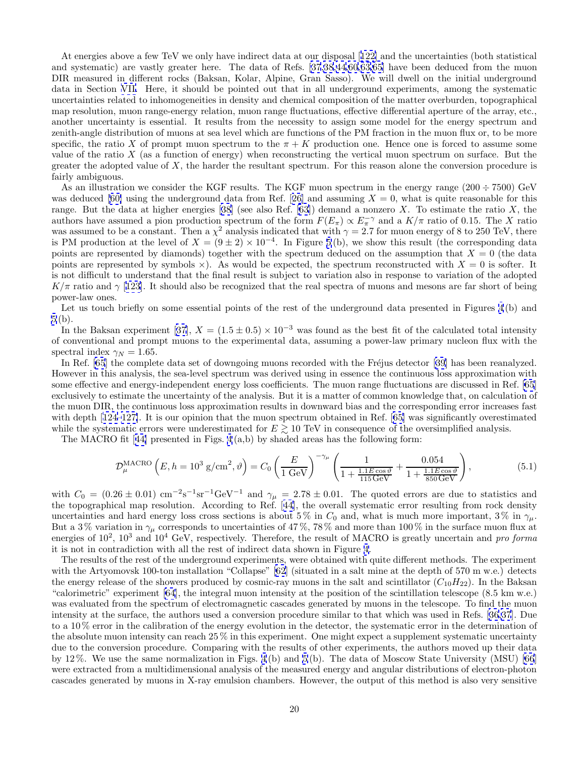<span id="page-22-0"></span>At energies above a few TeV we only have indirect data at our disposal [[122\]](#page-48-0) and the uncertainties (both statistical and systematic) are vastly greater here. The data of Refs. [\[37](#page-45-0),[38](#page-46-0),[44](#page-46-0),[60,63,65](#page-46-0)] have been deduced from the muon DIR measured in different rocks (Baksan, Kolar, Alpine, Gran Sasso). We will dwell on the initial underground data in Section [VII.](#page-25-0) Here, it should be pointed out that in all underground experiments, among the systematic uncertainties related to inhomogeneities in density and chemical composition of the matter overburden, topographical map resolution, muon range-energy relation, muon range fluctuations, effective differential aperture of the array, etc., another uncertainty is essential. It results from the necessity to assign some model for the energy spectrum and zenith-angle distribution of muons at sea level which are functions of the PM fraction in the muon flux or, to be more specific, the ratio X of prompt muon spectrum to the  $\pi + K$  production one. Hence one is forced to assume some value of the ratio  $X$  (as a function of energy) when reconstructing the vertical muon spectrum on surface. But the greater the adopted value of  $X$ , the harder the resultant spectrum. For this reason alone the conversion procedure is fairly ambiguous.

As an illustration we consider the KGF results. The KGF muon spectrum in the energy range  $(200 \div 7500)$  GeV was deduced [\[60\]](#page-46-0) using the underground data from Ref. [[26\]](#page-45-0) and assuming  $X = 0$ , what is quite reasonable for this range. But the data at higher energies [[38\]](#page-46-0) (see also Ref. [\[63](#page-46-0)]) demand a nonzero X. To estimate the ratio X, the authors have assumed a pion production spectrum of the form  $F(E_{\pi}) \propto E_{\pi}^{-\gamma}$  and a  $K/\pi$  ratio of 0.15. The X ratio was assumed to be a constant. Then a  $\chi^2$  analysis indicated that with  $\gamma = 2.7$  for muon energy of 8 to 250 TeV, there is PM production at the level of  $X = (9 \pm 2) \times 10^{-4}$ . In Figure [5](#page-21-0)(b), we show this result (the corresponding data points are represented by diamonds) together with the spectrum deduced on the assumption that  $X = 0$  (the data points are represented by symbols  $\times$ ). As would be expected, the spectrum reconstructed with  $X = 0$  is softer. It is not difficult to understand that the final result is subject to variation also in response to variation of the adopted  $K/\pi$  ratio and  $\gamma$  [[123\]](#page-48-0). It should also be recognized that the real spectra of muons and mesons are far short of being power-law ones.

Let us touch briefly on some essential points of the rest of the underground data presented in Figures [4](#page-20-0)(b) and [5](#page-21-0) (b).

In the Baksan experiment [[37\]](#page-45-0),  $X = (1.5 \pm 0.5) \times 10^{-3}$  was found as the best fit of the calculated total intensity of conventional and prompt muons to the experimental data, assuming a power-law primary nucleon flux with the spectral index  $\gamma_N = 1.65$ .

In Ref. [[65](#page-46-0)] the complete data set of downgoing muons recorded with the Fréjus detector [\[39](#page-46-0)] has been reanalyzed. However in this analysis, the sea-level spectrum was derived using in essence the continuous loss approximation with some effective and energy-independent energy loss coefficients. The muon range fluctuations are discussed in Ref. [\[65](#page-46-0)] exclusively to estimate the uncertainty of the analysis. But it is a matter of common knowledge that, on calculation of the muon DIR, the continuous loss approximation results in downward bias and the corresponding error increases fast with depth [[124–127\]](#page-48-0). It is our opinion that the muon spectrum obtained in Ref. [[65\]](#page-46-0) was significantly overestimated while the systematic errors were underestimated for  $E \gtrsim 10$  TeV in consequence of the oversimplified analysis.

The MACRO fit [[44\]](#page-46-0) presented in Figs.  $4(a,b)$  by shaded areas has the following form:

$$
\mathcal{D}_{\mu}^{\text{MACRO}}\left(E, h = 10^3 \text{ g/cm}^2, \vartheta\right) = C_0 \left(\frac{E}{1 \text{ GeV}}\right)^{-\gamma_{\mu}} \left(\frac{1}{1 + \frac{1.1 E \cos \vartheta}{115 \text{ GeV}}} + \frac{0.054}{1 + \frac{1.1 E \cos \vartheta}{850 \text{ GeV}}}\right),\tag{5.1}
$$

with  $C_0 = (0.26 \pm 0.01) \text{ cm}^{-2}\text{s}^{-1}\text{sr}^{-1}\text{GeV}^{-1}$  and  $\gamma_\mu = 2.78 \pm 0.01$ . The quoted errors are due to statistics and the topographical map resolution. According to Ref. [[44\]](#page-46-0), the overall systematic error resulting from rock density uncertainties and hard energy loss cross sections is about 5 % in  $C_0$  and, what is much more important, 3 % in  $\gamma_\mu$ . But a 3% variation in  $\gamma_\mu$  corresponds to uncertainties of 47%, 78% and more than 100% in the surface muon flux at energies of  $10^2$ ,  $10^3$  and  $10^4$  GeV, respectively. Therefore, the result of MACRO is greatly uncertain and pro forma it is not in contradiction with all the rest of indirect data shown in Figure [4](#page-20-0).

The results of the rest of the underground experiments, were obtained with quite different methods. The experiment with the Artyomovsk 100-ton installation "Collapse" [[62](#page-46-0)] (situated in a salt mine at the depth of 570 m w.e.) detects the energy release of the showers produced by cosmic-ray muons in the salt and scintillator  $(C_{10}H_{22})$ . In the Baksan "calorimetric" experiment [\[64](#page-46-0)], the integral muon intensity at the position of the scintillation telescope (8.5 km w.e.) was evaluated from the spectrum of electromagnetic cascades generated by muons in the telescope. To find the muon intensity at the surface, the authors used a conversion procedure similar to that which was used in Refs. [\[36,37](#page-45-0)]. Due to a 10 % error in the calibration of the energy evolution in the detector, the systematic error in the determination of the absolute muon intensity can reach 25 % in this experiment. One might expect a supplement systematic uncertainty due to the conversion procedure. Comparing with the results of other experiments, the authors moved up their data by 12 %. We use the same normalization in Figs. [4](#page-20-0) (b) and [5](#page-21-0) (b). The data of Moscow State University (MSU) [\[66](#page-46-0)] were extracted from a multidimensional analysis of the measured energy and angular distributions of electron-photon cascades generated by muons in X-ray emulsion chambers. However, the output of this method is also very sensitive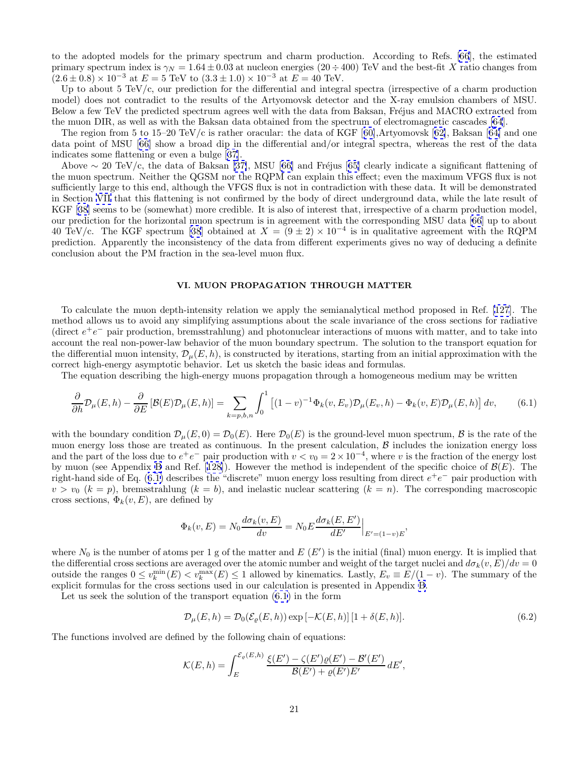<span id="page-23-0"></span>to the adopted models for the primary spectrum and charm production. According to Refs. [\[66](#page-46-0)], the estimated primary spectrum index is  $\gamma_N = 1.64 \pm 0.03$  at nucleon energies (20 ÷ 400) TeV and the best-fit X ratio changes from  $(2.6 \pm 0.8) \times 10^{-3}$  at  $E = 5$  TeV to  $(3.3 \pm 1.0) \times 10^{-3}$  at  $E = 40$  TeV.

Up to about 5 TeV/c, our prediction for the differential and integral spectra (irrespective of a charm production model) does not contradict to the results of the Artyomovsk detector and the X-ray emulsion chambers of MSU. Below a few TeV the predicted spectrum agrees well with the data from Baksan, Fréjus and MACRO extracted from the muon DIR, as well as with the Baksan data obtained from the spectrum of electromagnetic cascades [\[64](#page-46-0)].

The region from 5 to 15–20 TeV/c is rather oracular: the data of KGF  $[60]$  $[60]$ , Artyomovsk  $[62]$  $[62]$ , Baksan  $[64]$  $[64]$  and one data point of MSU [[66](#page-46-0)] show a broad dip in the differential and/or integral spectra, whereas the rest of the data indicates some flattening or even a bulge [[37](#page-45-0)].

Above  $\sim 20 \text{ TeV/c}$ , the data of Baksan [\[37\]](#page-45-0), MSU [[66](#page-46-0)] and Fréjus [[65\]](#page-46-0) clearly indicate a significant flattening of the muon spectrum. Neither the QGSM nor the RQPM can explain this effect; even the maximum VFGS flux is not sufficiently large to this end, although the VFGS flux is not in contradiction with these data. It will be demonstrated in Section [VII](#page-25-0) that this flattening is not confirmed by the body of direct underground data, while the late result of KGF [[38\]](#page-46-0) seems to be (somewhat) more credible. It is also of interest that, irrespective of a charm production model, our prediction for the horizontal muon spectrum is in agreement with the corresponding MSU data [\[66](#page-46-0)] up to about 40 TeV/c. The KGF spectrum [\[38](#page-46-0)] obtained at  $X = (9 \pm 2) \times 10^{-4}$  is in qualitative agreement with the RQPM prediction. Apparently the inconsistency of the data from different experiments gives no way of deducing a definite conclusion about the PM fraction in the sea-level muon flux.

# **VI. MUON PROPAGATION THROUGH MATTER**

To calculate the muon depth-intensity relation we apply the semianalytical method proposed in Ref. [\[127](#page-48-0)]. The method allows us to avoid any simplifying assumptions about the scale invariance of the cross sections for radiative (direct  $e^+e^-$  pair production, bremsstrahlung) and photonuclear interactions of muons with matter, and to take into account the real non-power-law behavior of the muon boundary spectrum. The solution to the transport equation for the differential muon intensity,  $\mathcal{D}_{\mu}(E, h)$ , is constructed by iterations, starting from an initial approximation with the correct high-energy asymptotic behavior. Let us sketch the basic ideas and formulas.

The equation describing the high-energy muons propagation through a homogeneous medium may be written

$$
\frac{\partial}{\partial h} \mathcal{D}_{\mu}(E, h) - \frac{\partial}{\partial E} \left[ \mathcal{B}(E) \mathcal{D}_{\mu}(E, h) \right] = \sum_{k=p, b, n} \int_0^1 \left[ (1-v)^{-1} \Phi_k(v, E_v) \mathcal{D}_{\mu}(E_v, h) - \Phi_k(v, E) \mathcal{D}_{\mu}(E, h) \right] dv, \tag{6.1}
$$

with the boundary condition  $\mathcal{D}_{\mu}(E, 0) = \mathcal{D}_{0}(E)$ . Here  $\mathcal{D}_{0}(E)$  is the ground-level muon spectrum,  $\beta$  is the rate of the muon energy loss those are treated as continuous. In the present calculation,  $\beta$  includes the ionization energy loss and the part of the loss due to  $e^+e^-$  pair production with  $v < v_0 = 2 \times 10^{-4}$ , where v is the fraction of the energy lost by muon (see Appendix [B](#page-42-0) and Ref. [[128\]](#page-48-0)). However the method is independent of the specific choice of  $\mathcal{B}(E)$ . The right-hand side of Eq. (6.1) describes the "discrete" muon energy loss resulting from direct  $e^+e^-$  pair production with  $v > v_0$  ( $k = p$ ), bremsstrahlung ( $k = b$ ), and inelastic nuclear scattering ( $k = n$ ). The corresponding macroscopic cross sections,  $\Phi_k(v, E)$ , are defined by

$$
\Phi_k(v, E) = N_0 \frac{d\sigma_k(v, E)}{dv} = N_0 E \frac{d\sigma_k(E, E')}{dE'} \Big|_{E' = (1-v)E},
$$

where  $N_0$  is the number of atoms per 1 g of the matter and  $E(E')$  is the initial (final) muon energy. It is implied that the differential cross sections are averaged over the atomic number and weight of the target nuclei and  $d\sigma_k(v, E)/dv = 0$ outside the ranges  $0 \le v_k^{\min}(E) < v_k^{\max}(E) \le 1$  allowed by kinematics. Lastly,  $E_v \equiv E/(1-v)$ . The summary of the explicit formulas for the cross sections used in our calculation is presented in Appendix [B](#page-42-0).

Let us seek the solution of the transport equation (6.1) in the form

$$
\mathcal{D}_{\mu}(E,h) = \mathcal{D}_0(\mathcal{E}_{\varrho}(E,h)) \exp\left[-\mathcal{K}(E,h)\right] \left[1 + \delta(E,h)\right].\tag{6.2}
$$

The functions involved are defined by the following chain of equations:

$$
\mathcal{K}(E,h) = \int_{E}^{\mathcal{E}_{\varrho}(E,h)} \frac{\xi(E') - \zeta(E')\varrho(E') - \mathcal{B}'(E')}{\mathcal{B}(E') + \varrho(E')E'} dE',
$$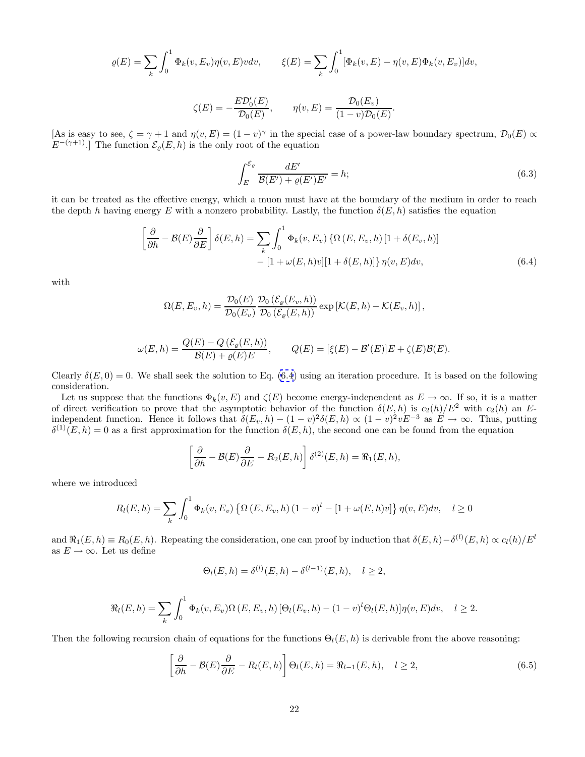<span id="page-24-0"></span>
$$
\varrho(E) = \sum_{k} \int_0^1 \Phi_k(v, E_v) \eta(v, E) v dv, \qquad \xi(E) = \sum_{k} \int_0^1 [\Phi_k(v, E) - \eta(v, E) \Phi_k(v, E_v)] dv,
$$

$$
\zeta(E) = -\frac{E\mathcal{D}'_0(E)}{\mathcal{D}_0(E)}, \qquad \eta(v, E) = \frac{\mathcal{D}_0(E_v)}{(1 - v)\mathcal{D}_0(E)}.
$$

[As is easy to see,  $\zeta = \gamma + 1$  and  $\eta(v, E) = (1 - v)^{\gamma}$  in the special case of a power-law boundary spectrum,  $\mathcal{D}_0(E) \propto$  $E^{-(\gamma+1)}$ .] The function  $\mathcal{E}_{\varrho}(E, h)$  is the only root of the equation

$$
\int_{E}^{\mathcal{E}_{\varrho}} \frac{dE'}{\mathcal{B}(E') + \varrho(E')E'} = h; \tag{6.3}
$$

it can be treated as the effective energy, which a muon must have at the boundary of the medium in order to reach the depth h having energy E with a nonzero probability. Lastly, the function  $\delta(E, h)$  satisfies the equation

$$
\left[\frac{\partial}{\partial h} - \mathcal{B}(E)\frac{\partial}{\partial E}\right]\delta(E, h) = \sum_{k} \int_{0}^{1} \Phi_{k}(v, E_{v}) \left\{\Omega\left(E, E_{v}, h\right) \left[1 + \delta(E_{v}, h)\right]\right\}- \left[1 + \omega(E, h)v\right]\left[1 + \delta(E, h)\right]\eta(v, E) dv,
$$
\n(6.4)

with

$$
\Omega(E, E_v, h) = \frac{\mathcal{D}_0(E)}{\mathcal{D}_0(E_v)} \frac{\mathcal{D}_0(\mathcal{E}_{\varrho}(E_v, h))}{\mathcal{D}_0(\mathcal{E}_{\varrho}(E, h))} \exp\left[\mathcal{K}(E, h) - \mathcal{K}(E_v, h)\right],
$$

$$
\omega(E, h) = \frac{Q(E) - Q(\mathcal{E}_{\varrho}(E, h))}{\mathcal{B}(E) + \varrho(E)E}, \qquad Q(E) = [\xi(E) - \mathcal{B}'(E)]E + \zeta(E)\mathcal{B}(E).
$$

Clearly  $\delta(E, 0) = 0$ . We shall seek the solution to Eq. (6.4) using an iteration procedure. It is based on the following consideration.

Let us suppose that the functions  $\Phi_k(v, E)$  and  $\zeta(E)$  become energy-independent as  $E \to \infty$ . If so, it is a matter of direct verification to prove that the asymptotic behavior of the function  $\delta(E, h)$  is  $c_2(h)/E^2$  with  $c_2(h)$  an Eindependent function. Hence it follows that  $\delta(E_v, h) - (1 - v)^2 \delta(E, h) \propto (1 - v)^2 v E^{-3}$  as  $E \to \infty$ . Thus, putting  $\delta^{(1)}(E, h) = 0$  as a first approximation for the function  $\delta(E, h)$ , the second one can be found from the equation

$$
\left[\frac{\partial}{\partial h} - \mathcal{B}(E)\frac{\partial}{\partial E} - R_2(E, h)\right] \delta^{(2)}(E, h) = \Re_1(E, h),
$$

where we introduced

$$
R_l(E, h) = \sum_{k} \int_0^1 \Phi_k(v, E_v) \left\{ \Omega(E, E_v, h) (1 - v)^l - [1 + \omega(E, h)v] \right\} \eta(v, E) dv, \quad l \ge 0
$$

and  $\Re_1(E, h) \equiv R_0(E, h)$ . Repeating the consideration, one can proof by induction that  $\delta(E, h) - \delta^{(l)}(E, h) \propto c_l(h)/E^l$ as  $E \to \infty$ . Let us define

$$
\Theta_l(E, h) = \delta^{(l)}(E, h) - \delta^{(l-1)}(E, h), \quad l \ge 2,
$$

$$
\Re_l(E, h) = \sum_k \int_0^1 \Phi_k(v, E_v) \Omega(E, E_v, h) \left[ \Theta_l(E_v, h) - (1 - v)^l \Theta_l(E, h) \right] \eta(v, E) dv, \quad l \ge 2.
$$

Then the following recursion chain of equations for the functions  $\Theta_l(E, h)$  is derivable from the above reasoning:

$$
\left[\frac{\partial}{\partial h} - \mathcal{B}(E)\frac{\partial}{\partial E} - R_l(E, h)\right] \Theta_l(E, h) = \Re_{l-1}(E, h), \quad l \ge 2,
$$
\n(6.5)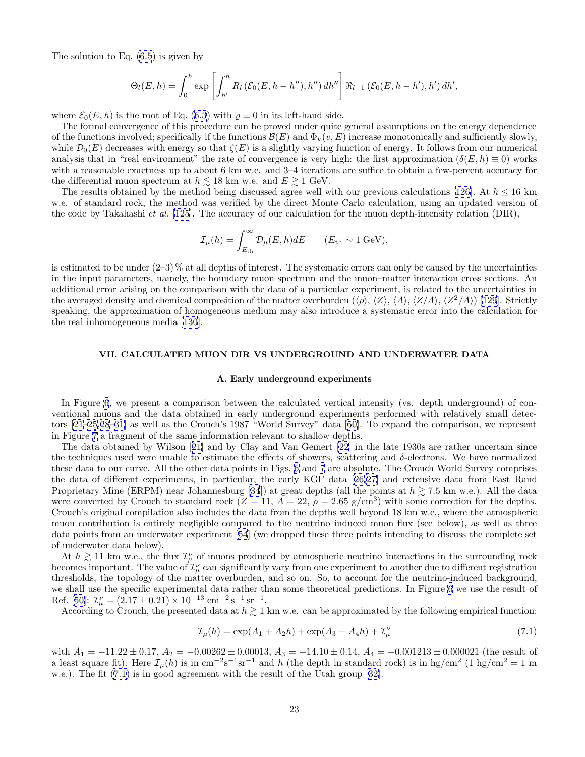<span id="page-25-0"></span>The solution to Eq.  $(6.5)$  $(6.5)$  is given by

$$
\Theta_l(E, h) = \int_0^h \exp \left[ \int_{h'}^h R_l \left( \mathcal{E}_0(E, h - h'') , h'' \right) dh'' \right] \Re_{l-1} \left( \mathcal{E}_0(E, h - h') , h' \right) dh',
$$

where  $\mathcal{E}_0(E, h)$  is the root of Eq. ([6.3](#page-24-0)) with  $\rho \equiv 0$  in its left-hand side.

The formal convergence of this procedure can be proved under quite general assumptions on the energy dependence of the functions involved; specifically if the functions  $\mathcal{B}(E)$  and  $\Phi_k(v, E)$  increase monotonically and sufficiently slowly, while  $\mathcal{D}_0(E)$  decreases with energy so that  $\zeta(E)$  is a slightly varying function of energy. It follows from our numerical analysis that in "real environment" the rate of convergence is very high: the first approximation  $(\delta(E, h) \equiv 0)$  works with a reasonable exactness up to about 6 km w.e. and 3–4 iterations are suffice to obtain a few-percent accuracy for the differential muon spectrum at  $h \lesssim 18$  km w.e. and  $E \gtrsim 1$  GeV.

The results obtained by the method being discussed agree well with our previous calculations [\[126](#page-48-0)]. At  $h \le 16$  km w.e. of standard rock, the method was verified by the direct Monte Carlo calculation, using an updated version of the code by Takahashi et al. [\[125](#page-48-0)]. The accuracy of our calculation for the muon depth-intensity relation (DIR),

$$
\mathcal{I}_{\mu}(h) = \int_{E_{\text{th}}}^{\infty} \mathcal{D}_{\mu}(E, h) dE \qquad (E_{\text{th}} \sim 1 \text{ GeV}),
$$

is estimated to be under  $(2-3)$ % at all depths of interest. The systematic errors can only be caused by the uncertainties in the input parameters, namely, the boundary muon spectrum and the muon–matter interaction cross sections. An additional error arising on the comparison with the data of a particular experiment, is related to the uncertainties in the averaged density and chemical composition of the matter overburden ( $\langle \rho \rangle$ ,  $\langle Z \rangle$ ,  $\langle A \rangle$ ,  $\langle Z \rangle$ ,  $\langle A \rangle$ ,  $\langle Z^2 \rangle$ ) [\[129](#page-48-0)]. Strictly speaking, the approximation of homogeneous medium may also introduce a systematic error into the calculation for the real inhomogeneous media [[130](#page-48-0)].

#### **VII. CALCULATED MUON DIR VS UNDERGROUND AND UNDERWATER DATA**

# **A. Early underground experiments**

In Figure [6](#page-26-0), we present a comparison between the calculated vertical intensity (vs. depth underground) of conventional muons and the data obtained in early underground experiments performed with relatively small detectors [\[21–25,28–31\]](#page-45-0) as well as the Crouch's 1987 "World Survey" data [[50\]](#page-46-0). To expand the comparison, we represent in Figure [7](#page-27-0) a fragment of the same information relevant to shallow depths.

The data obtained by Wilson [[21\]](#page-45-0) and by Clay and Van Gemert [\[22](#page-45-0)] in the late 1930s are rather uncertain since the techniques used were unable to estimate the effects of showers, scattering and  $\delta$ -electrons. We have normalized these data to our curve. All the other data points in Figs. [6](#page-26-0) and [7](#page-27-0) are absolute. The Crouch World Survey comprises the data of different experiments, in particular, the early KGF data [[26,27\]](#page-45-0) and extensive data from East Rand Proprietary Mine (ERPM) near Johannesburg [\[34](#page-45-0)]) at great depths (all the points at  $h \gtrsim 7.5$  km w.e.). All the data were converted by Crouch to standard rock ( $Z = 11$ ,  $A = 22$ ,  $\rho = 2.65$  g/cm<sup>3</sup>) with some correction for the depths. Crouch's original compilation also includes the data from the depths well beyond 18 km w.e., where the atmospheric muon contribution is entirely negligible compared to the neutrino induced muon flux (see below), as well as three data points from an underwater experiment [\[54](#page-46-0)] (we dropped these three points intending to discuss the complete set of underwater data below).

At  $h \gtrsim 11$  km w.e., the flux  $\mathcal{I}^{\nu}_{\mu}$  of muons produced by atmospheric neutrino interactions in the surrounding rock becomes important. The value of  $\mathcal{I}^{\nu}_{\mu}$  can significantly vary from one experiment to another due to different registration thresholds, the topology of the matter overburden, and so on. So, to account for the neutrino-induced background, we shall use the specific experimental data rather than some theoretical predictions. In Figure [6](#page-26-0) we use the result of Ref. [[50\]](#page-46-0):  $\mathcal{I}_{\mu}^{\nu} = (2.17 \pm 0.21) \times 10^{-13} \text{ cm}^{-2} \text{ s}^{-1} \text{ sr}^{-1}.$ 

According to Crouch, the presented data at  $h \gtrsim 1$  km w.e. can be approximated by the following empirical function:

$$
\mathcal{I}_{\mu}(h) = \exp(A_1 + A_2 h) + \exp(A_3 + A_4 h) + \mathcal{I}_{\mu}^{\nu}
$$
\n(7.1)

with  $A_1 = -11.22 \pm 0.17$ ,  $A_2 = -0.00262 \pm 0.00013$ ,  $A_3 = -14.10 \pm 0.14$ ,  $A_4 = -0.001213 \pm 0.000021$  (the result of a least square fit). Here  $\mathcal{I}_{\mu}(h)$  is in cm<sup>-2</sup>s<sup>-1</sup>sr<sup>-1</sup> and h (the depth in standard rock) is in hg/cm<sup>2</sup> (1 hg/cm<sup>2</sup> = 1 m w.e.). The fit  $(7.1)$  is in good agreement with the result of the Utah group [[32\]](#page-45-0).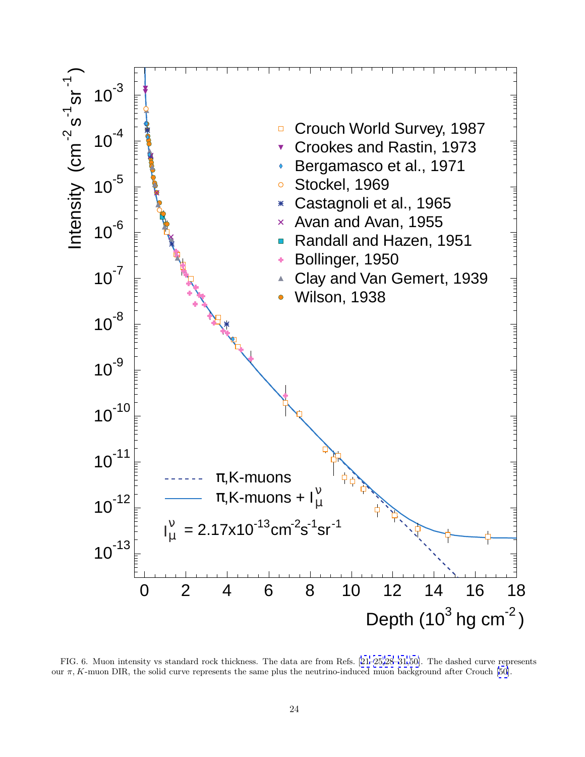<span id="page-26-0"></span>

FIG. 6. Muon intensity vs standard rock thickness. The data are from Refs. [[21–25,28](#page-45-0)–[31,](#page-45-0)[50\]](#page-46-0). The dashed curve represents our π, K-muon DIR, the solid curve represents the same plus the neutrino-induced muon background after Crouch [\[50](#page-46-0)].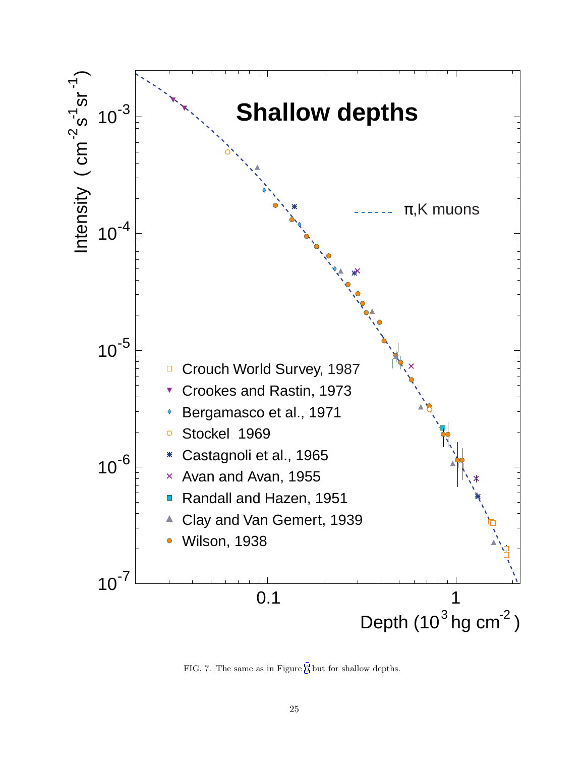<span id="page-27-0"></span>

FIG. 7. The same as in Figure [6](#page-26-0) but for shallow depths.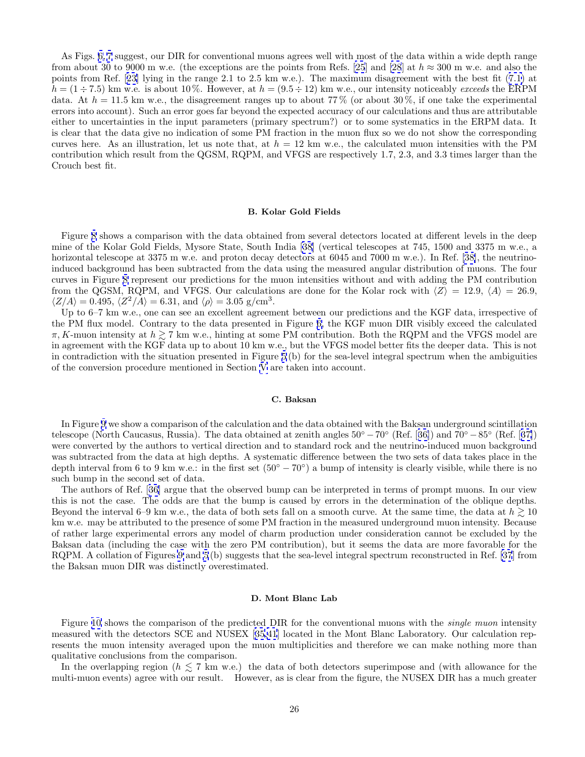<span id="page-28-0"></span>As Figs. [6,](#page-26-0) [7](#page-27-0) suggest, our DIR for conventional muons agrees well with most of the data within a wide depth range from about 30 to 9000 m w.e. (the exceptions are the points from Refs. [\[25](#page-45-0)] and [\[28](#page-45-0)] at  $h \approx 300$  m w.e. and also the points from Ref. [[23\]](#page-45-0) lying in the range 2.1 to 2.5 km w.e.). The maximum disagreement with the best fit ([7.1\)](#page-25-0) at  $h = (1 \div 7.5)$  km w.e. is about 10%. However, at  $h = (9.5 \div 12)$  km w.e., our intensity noticeably exceeds the ERPM data. At  $h = 11.5$  km w.e., the disagreement ranges up to about 77% (or about 30%, if one take the experimental errors into account). Such an error goes far beyond the expected accuracy of our calculations and thus are attributable either to uncertainties in the input parameters (primary spectrum?) or to some systematics in the ERPM data. It is clear that the data give no indication of some PM fraction in the muon flux so we do not show the corresponding curves here. As an illustration, let us note that, at  $h = 12 \text{ km}$  w.e., the calculated muon intensities with the PM contribution which result from the QGSM, RQPM, and VFGS are respectively 1.7, 2.3, and 3.3 times larger than the Crouch best fit.

#### **B. Kolar Gold Fields**

Figure [8](#page-29-0) shows a comparison with the data obtained from several detectors located at different levels in the deep mine of the Kolar Gold Fields, Mysore State, South India [[38\]](#page-46-0) (vertical telescopes at 745, 1500 and 3375 m w.e., a horizontal telescope at 3375 m w.e. and proton decay detectors at 6045 and 7000 m w.e.). In Ref. [\[38\]](#page-46-0), the neutrinoinduced background has been subtracted from the data using the measured angular distribution of muons. The four curves in Figure [8](#page-29-0) represent our predictions for the muon intensities without and with adding the PM contribution from the QGSM, RQPM, and VFGS. Our calculations are done for the Kolar rock with  $\langle Z \rangle = 12.9, \langle A \rangle = 26.9$ ,  $\langle Z/A \rangle = 0.495$ ,  $\langle Z^2/A \rangle = 6.31$ , and  $\langle \rho \rangle = 3.05$  g/cm<sup>3</sup>.

Up to 6–7 km w.e., one can see an excellent agreement between our predictions and the KGF data, irrespective of the PM flux model. Contrary to the data presented in Figure [6,](#page-26-0) the KGF muon DIR visibly exceed the calculated  $\pi$ , K-muon intensity at  $h \gtrsim 7$  km w.e., hinting at some PM contribution. Both the RQPM and the VFGS model are in agreement with the KGF data up to about 10 km w.e., but the VFGS model better fits the deeper data. This is not in contradiction with the situation presented in Figure [5](#page-21-0) (b) for the sea-level integral spectrum when the ambiguities of the conversion procedure mentioned in Section [V](#page-19-0) are taken into account.

# **C. Baksan**

In Figure [9](#page-30-0) we show a comparison of the calculation and the data obtained with the Baksan underground scintillation telescope (North Caucasus, Russia). The data obtained at zenith angles  $50° - 70°$  (Ref. [[36\]](#page-45-0)) and  $70° - 85°$  (Ref. [[37\]](#page-45-0)) were converted by the authors to vertical direction and to standard rock and the neutrino-induced muon background was subtracted from the data at high depths. A systematic difference between the two sets of data takes place in the depth interval from 6 to 9 km w.e.: in the first set  $(50° - 70°)$  a bump of intensity is clearly visible, while there is no such bump in the second set of data.

The authors of Ref. [[36\]](#page-45-0) argue that the observed bump can be interpreted in terms of prompt muons. In our view this is not the case. The odds are that the bump is caused by errors in the determination of the oblique depths. Beyond the interval 6–9 km w.e., the data of both sets fall on a smooth curve. At the same time, the data at  $h \gtrsim 10$ km w.e. may be attributed to the presence of some PM fraction in the measured underground muon intensity. Because of rather large experimental errors any model of charm production under consideration cannot be excluded by the Baksan data (including the case with the zero PM contribution), but it seems the data are more favorable for the RQPM. A collation of Figures [9](#page-30-0) and [5](#page-21-0) (b) suggests that the sea-level integral spectrum reconstructed in Ref. [\[37](#page-45-0)] from the Baksan muon DIR was distinctly overestimated.

# **D. Mont Blanc Lab**

Figure [10](#page-31-0) shows the comparison of the predicted DIR for the conventional muons with the *single muon* intensity measured with the detectors SCE and NUSEX [\[35](#page-45-0),[41](#page-46-0)] located in the Mont Blanc Laboratory. Our calculation represents the muon intensity averaged upon the muon multiplicities and therefore we can make nothing more than qualitative conclusions from the comparison.

In the overlapping region ( $h \lesssim 7$  km w.e.) the data of both detectors superimpose and (with allowance for the multi-muon events) agree with our result. However, as is clear from the figure, the NUSEX DIR has a much greater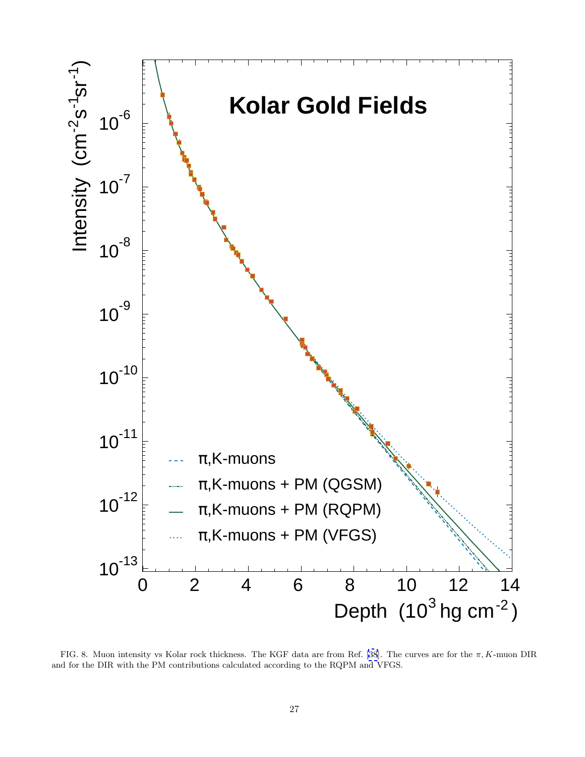<span id="page-29-0"></span>

FIG. 8. Muon intensity vs Kolar rock thickness. The KGF data are from Ref. [\[38](#page-46-0)]. The curves are for the  $\pi$ , K-muon DIR and for the DIR with the PM contributions calculated according to the RQPM and VFGS.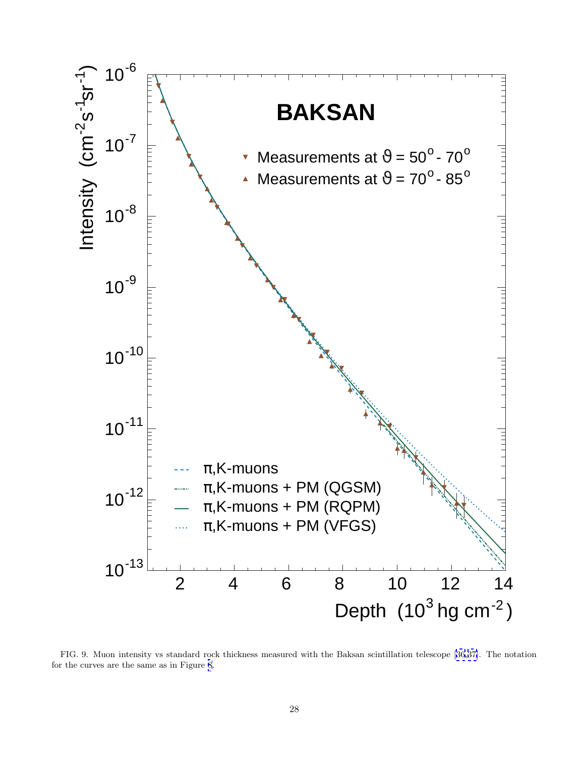<span id="page-30-0"></span>

FIG. 9. Muon intensity vs standard rock thickness measured with the Baksan scintillation telescope [[36,37\]](#page-45-0). The notation for the curves are the same as in Figure [8](#page-29-0).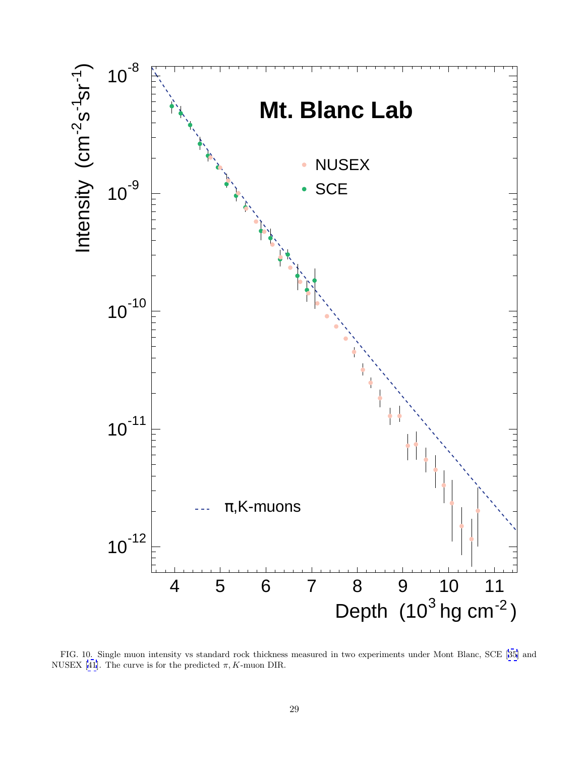<span id="page-31-0"></span>

FIG. 10. Single muon intensity vs standard rock thickness measured in two experiments under Mont Blanc, SCE [[35](#page-45-0)] and NUSEX [[41](#page-46-0)]. The curve is for the predicted  $\pi$ , K-muon DIR.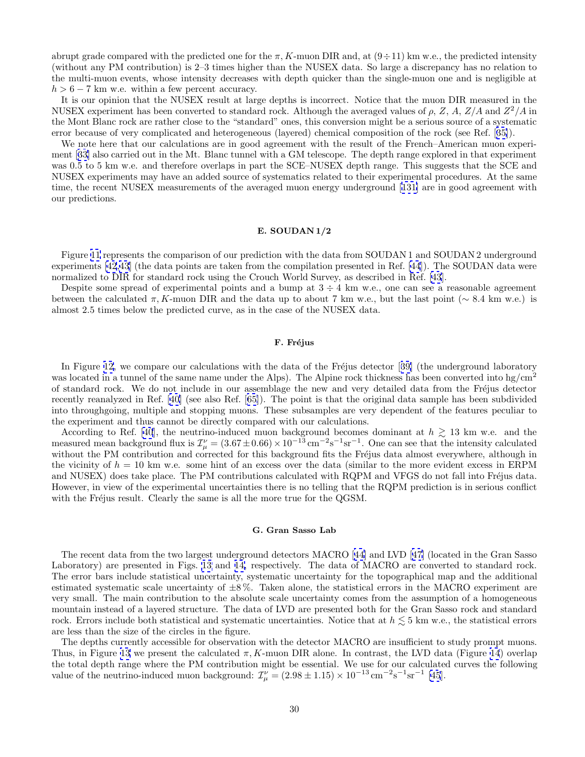<span id="page-32-0"></span>abrupt grade compared with the predicted one for the  $\pi$ , K-muon DIR and, at  $(9 \div 11)$  km w.e., the predicted intensity (without any PM contribution) is 2–3 times higher than the NUSEX data. So large a discrepancy has no relation to the multi-muon events, whose intensity decreases with depth quicker than the single-muon one and is negligible at  $h > 6 - 7$  km w.e. within a few percent accuracy.

It is our opinion that the NUSEX result at large depths is incorrect. Notice that the muon DIR measured in the NUSEX experiment has been converted to standard rock. Although the averaged values of  $\rho$ , Z, A,  $Z/A$  and  $Z^2/A$  in the Mont Blanc rock are rather close to the "standard" ones, this conversion might be a serious source of a systematic error because of very complicated and heterogeneous (layered) chemical composition of the rock (see Ref. [[35\]](#page-45-0)).

We note here that our calculations are in good agreement with the result of the French–American muon experiment [[33\]](#page-45-0) also carried out in the Mt. Blanc tunnel with a GM telescope. The depth range explored in that experiment was 0.5 to 5 km w.e. and therefore overlaps in part the SCE–NUSEX depth range. This suggests that the SCE and NUSEX experiments may have an added source of systematics related to their experimental procedures. At the same time, the recent NUSEX measurements of the averaged muon energy underground [[131\]](#page-48-0) are in good agreement with our predictions.

# **E. SOUDAN 1/2**

Figure [11](#page-33-0) represents the comparison of our prediction with the data from SOUDAN 1 and SOUDAN 2 underground experiments [\[42,43](#page-46-0)] (the data points are taken from the compilation presented in Ref. [[44](#page-46-0)]). The SOUDAN data were normalized to DIR for standard rock using the Crouch World Survey, as described in Ref. [\[43](#page-46-0)].

Despite some spread of experimental points and a bump at  $3 \div 4$  km w.e., one can see a reasonable agreement between the calculated  $\pi$ , K-muon DIR and the data up to about 7 km w.e., but the last point (∼ 8.4 km w.e.) is almost 2.5 times below the predicted curve, as in the case of the NUSEX data.

### **F. Fr´ejus**

In Figure [12,](#page-34-0) we compare our calculations with the data of the Fréjus detector [[39\]](#page-46-0) (the underground laboratory was located in a tunnel of the same name under the Alps). The Alpine rock thickness has been converted into hg/cm<sup>2</sup> of standard rock. We do not include in our assemblage the new and very detailed data from the Fréjus detector recently reanalyzed in Ref. [[40\]](#page-46-0) (see also Ref. [[65\]](#page-46-0)). The point is that the original data sample has been subdivided into throughgoing, multiple and stopping muons. These subsamples are very dependent of the features peculiar to the experiment and thus cannot be directly compared with our calculations.

According to Ref. [\[40](#page-46-0)], the neutrino-induced muon background becomes dominant at  $h \gtrsim 13$  km w.e. and the measured mean background flux is  $\mathcal{I}^{\nu}_{\mu} = (3.67 \pm 0.66) \times 10^{-13} \text{ cm}^{-2} \text{s}^{-1} \text{ sr}^{-1}$ . One can see that the intensity calculated without the PM contribution and corrected for this background fits the Fréjus data almost everywhere, although in the vicinity of  $h = 10 \text{ km}$  w.e. some hint of an excess over the data (similar to the more evident excess in ERPM and NUSEX) does take place. The PM contributions calculated with RQPM and VFGS do not fall into Fréjus data. However, in view of the experimental uncertainties there is no telling that the RQPM prediction is in serious conflict with the Fréjus result. Clearly the same is all the more true for the QGSM.

# **G. Gran Sasso Lab**

The recent data from the two largest underground detectors MACRO [[44](#page-46-0)] and LVD [[47\]](#page-46-0) (located in the Gran Sasso Laboratory) are presented in Figs. [13](#page-35-0) and [14,](#page-36-0) respectively. The data of MACRO are converted to standard rock. The error bars include statistical uncertainty, systematic uncertainty for the topographical map and the additional estimated systematic scale uncertainty of  $\pm 8\%$ . Taken alone, the statistical errors in the MACRO experiment are very small. The main contribution to the absolute scale uncertainty comes from the assumption of a homogeneous mountain instead of a layered structure. The data of LVD are presented both for the Gran Sasso rock and standard rock. Errors include both statistical and systematic uncertainties. Notice that at  $h \lesssim 5 \text{ km } \text{w.e.}$ , the statistical errors are less than the size of the circles in the figure.

The depths currently accessible for observation with the detector MACRO are insufficient to study prompt muons. Thus, in Figure [13](#page-35-0) we present the calculated  $\pi$ , K-muon DIR alone. In contrast, the LVD data (Figure [14](#page-36-0)) overlap the total depth range where the PM contribution might be essential. We use for our calculated curves the following value of the neutrino-induced muon background:  $\mathcal{I}_{\mu}^{\nu} = (2.98 \pm 1.15) \times 10^{-13} \text{ cm}^{-2} \text{s}^{-1} \text{ sr}^{-1}$  [\[45](#page-46-0)].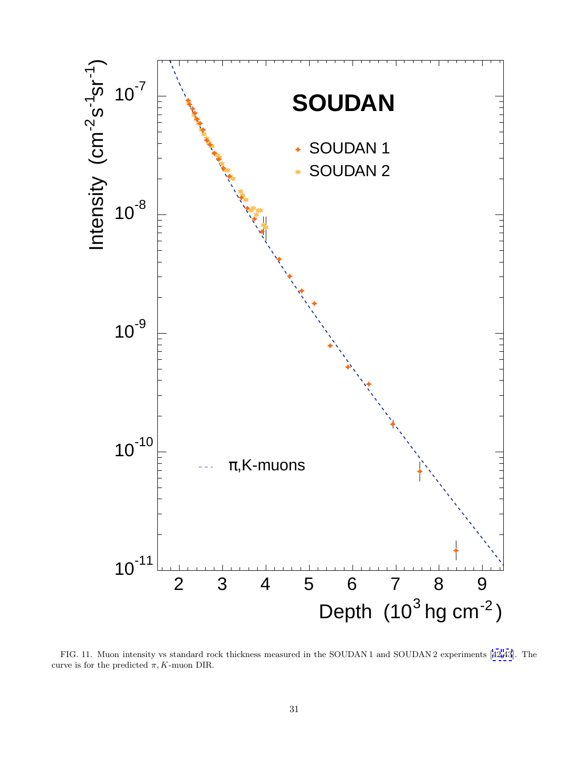<span id="page-33-0"></span>

FIG. 11. Muon intensity vs standard rock thickness measured in the SOUDAN 1 and SOUDAN 2 experiments [[42,43](#page-46-0)]. The curve is for the predicted  $\pi$ , K-muon DIR.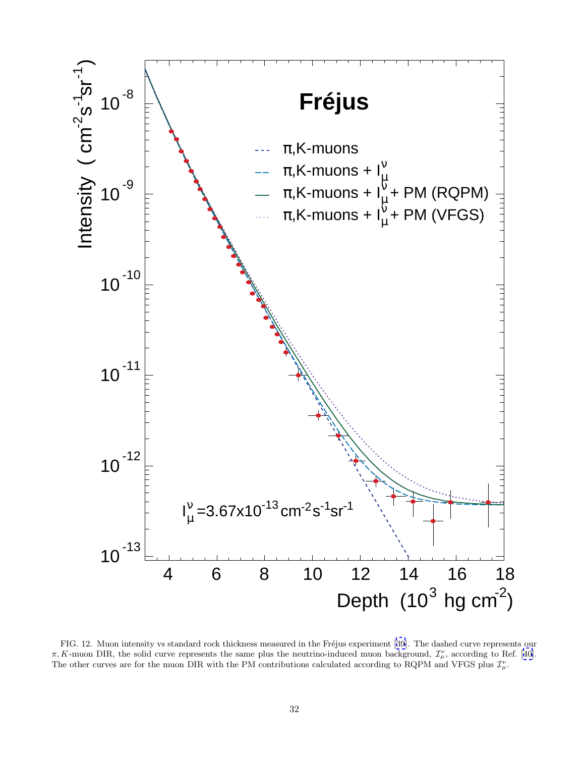<span id="page-34-0"></span>

FIG. 12. Muon intensity vs standard rock thickness measured in the Fréjus experiment [[39](#page-46-0)]. The dashed curve represents our  $\pi$ , K-muon DIR, the solid curve represents the same plus the neutrino-induced muon background,  $\mathcal{I}_{\mu}^{\nu}$ , according to Ref. [[40](#page-46-0)]. The other curves are for the muon DIR with the PM contributions calculated according to RQPM and VFGS plus  $\mathcal{I}_{\mu}^{\nu}$ .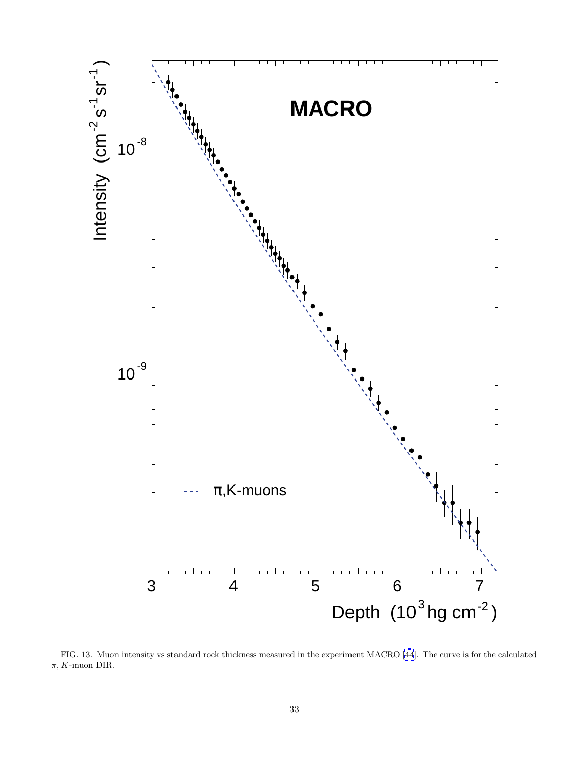<span id="page-35-0"></span>

FIG. 13. Muon intensity vs standard rock thickness measured in the experiment MACRO [\[44](#page-46-0)]. The curve is for the calculated  $\pi, K$ -muon DIR.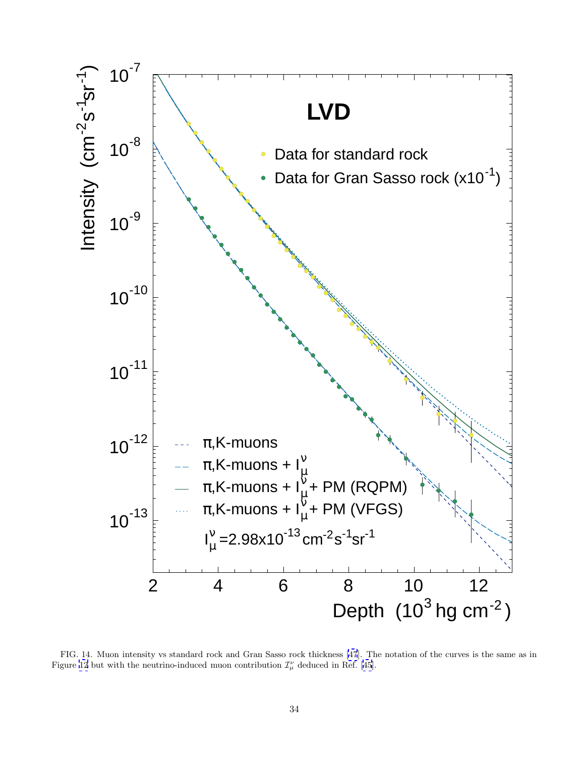<span id="page-36-0"></span>

FIG. 14. Muon intensity vs standard rock and Gran Sasso rock thickness [\[47](#page-46-0)]. The notation of the curves is the same as in Figure [12](#page-34-0) but with the neutrino-induced muon contribution  $\mathcal{I}^{\nu}_{\mu}$  deduced in Ref. [\[45](#page-46-0)].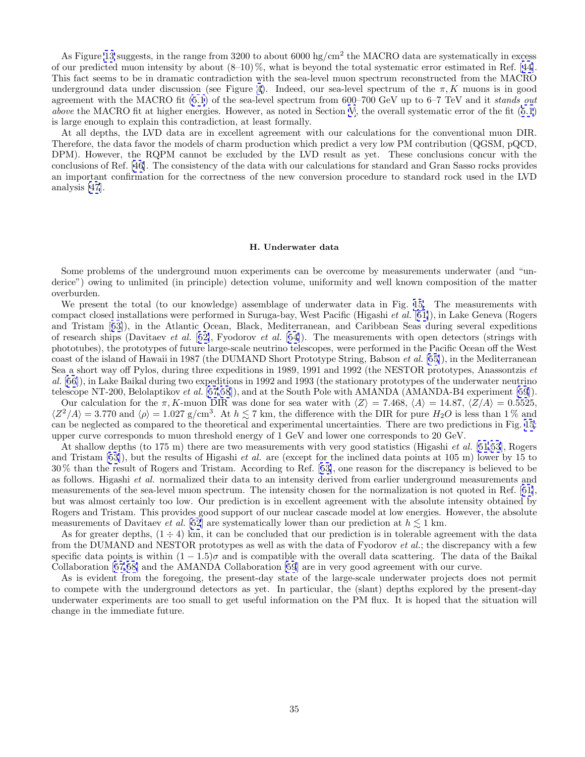<span id="page-37-0"></span>As Figure [13](#page-35-0) suggests, in the range from 3200 to about  $6000 \text{ hg/cm}^2$  the MACRO data are systematically in excess of our predicted muon intensity by about  $(8-10)\%$ , what is beyond the total systematic error estimated in Ref. [[44\]](#page-46-0). This fact seems to be in dramatic contradiction with the sea-level muon spectrum reconstructed from the MACRO underground data under discussion (see Figure [4](#page-20-0)). Indeed, our sea-level spectrum of the  $\pi$ , K muons is in good agreement with the MACRO fit [\(5.1](#page-22-0)) of the sea-level spectrum from 600–700 GeV up to 6–7 TeV and it stands out above the MACRO fit at higher energies. However, as noted in Section [V](#page-19-0), the overall systematic error of the fit  $(5.1)$  $(5.1)$  $(5.1)$ is large enough to explain this contradiction, at least formally.

At all depths, the LVD data are in excellent agreement with our calculations for the conventional muon DIR. Therefore, the data favor the models of charm production which predict a very low PM contribution (QGSM, pQCD, DPM). However, the RQPM cannot be excluded by the LVD result as yet. These conclusions concur with the conclusions of Ref. [[46\]](#page-46-0). The consistency of the data with our calculations for standard and Gran Sasso rocks provides an important confirmation for the correctness of the new conversion procedure to standard rock used in the LVD analysis [\[47](#page-46-0)].

# **H. Underwater data**

Some problems of the underground muon experiments can be overcome by measurements underwater (and "underice") owing to unlimited (in principle) detection volume, uniformity and well known composition of the matter overburden.

We present the total (to our knowledge) assemblage of underwater data in Fig. [15.](#page-38-0) The measurements with compact closed installations were performed in Suruga-bay, West Pacific (Higashi et al. [[51\]](#page-46-0)), in Lake Geneva (Rogers and Tristam [[53\]](#page-46-0)), in the Atlantic Ocean, Black, Mediterranean, and Caribbean Seas during several expeditions of research ships (Davitaev *et al.* [[52\]](#page-46-0), Fyodorov *et al.* [[54\]](#page-46-0)). The measurements with open detectors (strings with phototubes), the prototypes of future large-scale neutrino telescopes, were performed in the Pacific Ocean off the West coast of the island of Hawaii in 1987 (the DUMAND Short Prototype String, Babson et al. [[55\]](#page-46-0)), in the Mediterranean Sea a short way off Pylos, during three expeditions in 1989, 1991 and 1992 (the NESTOR prototypes, Anassontzis et al. [[56](#page-46-0)]), in Lake Baikal during two expeditions in 1992 and 1993 (the stationary prototypes of the underwater neutrino telescope NT-200, Belolaptikov et al. [\[57,58](#page-46-0)]), and at the South Pole with AMANDA (AMANDA-B4 experiment [[59\]](#page-46-0)).

Our calculation for the  $\pi$ , K-muon DIR was done for sea water with  $\langle Z \rangle = 7.468$ ,  $\langle A \rangle = 14.87$ ,  $\langle Z/A \rangle = 0.5525$ ,  $\langle Z^2/A \rangle = 3.770$  and  $\langle \rho \rangle = 1.027$  g/cm<sup>3</sup>. At  $h \lesssim 7$  km, the difference with the DIR for pure  $H_2O$  is less than 1 % and can be neglected as compared to the theoretical and experimental uncertainties. There are two predictions in Fig. [15](#page-38-0): upper curve corresponds to muon threshold energy of 1 GeV and lower one corresponds to 20 GeV.

At shallow depths (to 175 m) there are two measurements with very good statistics (Higashi *et al.* [[51](#page-46-0),[53](#page-46-0)], Rogers and Tristam  $[53]$  $[53]$  $[53]$ , but the results of Higashi *et al.* are (except for the inclined data points at  $105$  m) lower by  $15$  to 30 % than the result of Rogers and Tristam. According to Ref. [[53\]](#page-46-0), one reason for the discrepancy is believed to be as follows. Higashi et al. normalized their data to an intensity derived from earlier underground measurements and measurements of the sea-level muon spectrum. The intensity chosen for the normalization is not quoted in Ref. [[51\]](#page-46-0), but was almost certainly too low. Our prediction is in excellent agreement with the absolute intensity obtained by Rogers and Tristam. This provides good support of our nuclear cascade model at low energies. However, the absolute measurements of Davitaev *et al.* [\[52](#page-46-0)] are systematically lower than our prediction at  $h \lesssim 1$  km.

As for greater depths,  $(1 \div 4)$  km, it can be concluded that our prediction is in tolerable agreement with the data from the DUMAND and NESTOR prototypes as well as with the data of Fyodorov *et al.*; the discrepancy with a few specific data points is within  $(1 - 1.5)\sigma$  and is compatible with the overall data scattering. The data of the Baikal Collaboration [[57,58\]](#page-46-0) and the AMANDA Collaboration [\[59](#page-46-0)] are in very good agreement with our curve.

As is evident from the foregoing, the present-day state of the large-scale underwater projects does not permit to compete with the underground detectors as yet. In particular, the (slant) depths explored by the present-day underwater experiments are too small to get useful information on the PM flux. It is hoped that the situation will change in the immediate future.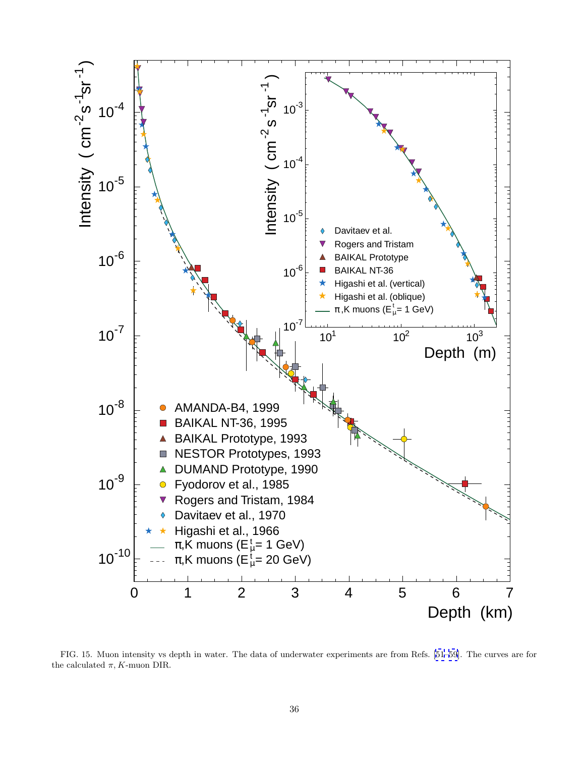<span id="page-38-0"></span>

FIG. 15. Muon intensity vs depth in water. The data of underwater experiments are from Refs. [\[51](#page-46-0)–[59\]](#page-46-0). The curves are for the calculated  $\pi$ , K-muon DIR.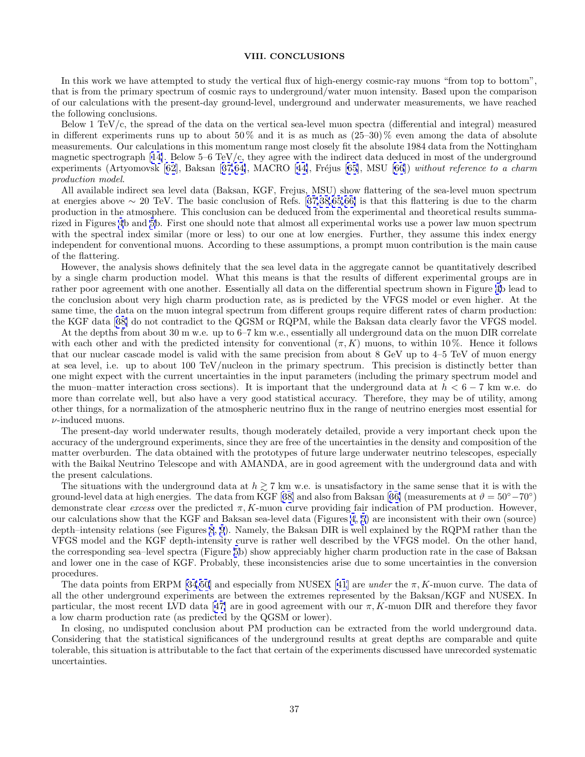# **VIII. CONCLUSIONS**

<span id="page-39-0"></span>In this work we have attempted to study the vertical flux of high-energy cosmic-ray muons "from top to bottom", that is from the primary spectrum of cosmic rays to underground/water muon intensity. Based upon the comparison of our calculations with the present-day ground-level, underground and underwater measurements, we have reached the following conclusions.

Below 1 TeV/c, the spread of the data on the vertical sea-level muon spectra (differential and integral) measured in different experiments runs up to about  $50\%$  and it is as much as  $(25-30)\%$  even among the data of absolute measurements. Our calculations in this momentum range most closely fit the absolute 1984 data from the Nottingham magnetic spectrograph [[14\]](#page-45-0). Below 5–6 TeV/c, they agree with the indirect data deduced in most of the underground experiments (Artyomovsk  $[62]$  $[62]$  $[62]$ , Baksan  $[37,64]$  $[37,64]$  $[37,64]$ , MACRO  $[44]$  $[44]$ , Fréjus  $[65]$  $[65]$ , MSU  $[66]$  $[66]$  $[66]$ ) without reference to a charm production model.

All available indirect sea level data (Baksan, KGF, Frejus, MSU) show flattering of the sea-level muon spectrum at energies above ∼ 20 TeV. The basic conclusion of Refs. [[37,](#page-45-0)[38,65,66\]](#page-46-0) is that this flattering is due to the charm production in the atmosphere. This conclusion can be deduced from the experimental and theoretical results summarized in Figures [4](#page-20-0)b and [5](#page-21-0)b. First one should note that almost all experimental works use a power law muon spectrum with the spectral index similar (more or less) to our one at low energies. Further, they assume this index energy independent for conventional muons. According to these assumptions, a prompt muon contribution is the main cause of the flattering.

However, the analysis shows definitely that the sea level data in the aggregate cannot be quantitatively described by a single charm production model. What this means is that the results of different experimental groups are in rather poor agreement with one another. Essentially all data on the differential spectrum shown in Figure [4b](#page-20-0) lead to the conclusion about very high charm production rate, as is predicted by the VFGS model or even higher. At the same time, the data on the muon integral spectrum from different groups require different rates of charm production: the KGF data [[38\]](#page-46-0) do not contradict to the QGSM or RQPM, while the Baksan data clearly favor the VFGS model.

At the depths from about 30 m w.e. up to 6–7 km w.e., essentially all underground data on the muon DIR correlate with each other and with the predicted intensity for conventional  $(\pi, K)$  muons, to within 10%. Hence it follows that our nuclear cascade model is valid with the same precision from about 8 GeV up to 4–5 TeV of muon energy at sea level, i.e. up to about 100 TeV/nucleon in the primary spectrum. This precision is distinctly better than one might expect with the current uncertainties in the input parameters (including the primary spectrum model and the muon–matter interaction cross sections). It is important that the underground data at  $h < 6 - 7$  km w.e. do more than correlate well, but also have a very good statistical accuracy. Therefore, they may be of utility, among other things, for a normalization of the atmospheric neutrino flux in the range of neutrino energies most essential for  $\nu$ -induced muons.

The present-day world underwater results, though moderately detailed, provide a very important check upon the accuracy of the underground experiments, since they are free of the uncertainties in the density and composition of the matter overburden. The data obtained with the prototypes of future large underwater neutrino telescopes, especially with the Baikal Neutrino Telescope and with AMANDA, are in good agreement with the underground data and with the present calculations.

The situations with the underground data at  $h \geq 7$  km w.e. is unsatisfactory in the same sense that it is with the ground-level data at high energies. The data from KGF [[38\]](#page-46-0) and also from Baksan [[36\]](#page-45-0) (measurements at  $\vartheta = 50^{\circ} - 70^{\circ}$ ) demonstrate clear excess over the predicted  $\pi$ , K-muon curve providing fair indication of PM production. However, our calculations show that the KGF and Baksan sea-level data (Figures [4](#page-20-0), [5](#page-21-0)) are inconsistent with their own (source) depth–intensity relations (see Figures [8](#page-29-0), [9](#page-30-0)). Namely, the Baksan DIR is well explained by the RQPM rather than the VFGS model and the KGF depth-intensity curve is rather well described by the VFGS model. On the other hand, the corresponding sea–level spectra (Figure [5b](#page-21-0)) show appreciably higher charm production rate in the case of Baksan and lower one in the case of KGF. Probably, these inconsistencies arise due to some uncertainties in the conversion procedures.

The data points from ERPM [\[34](#page-45-0)[,50](#page-46-0)] and especially from NUSEX [[41](#page-46-0)] are *under* the  $\pi$ , K-muon curve. The data of all the other underground experiments are between the extremes represented by the Baksan/KGF and NUSEX. In particular, the most recent LVD data [[47\]](#page-46-0) are in good agreement with our  $\pi$ , K-muon DIR and therefore they favor a low charm production rate (as predicted by the QGSM or lower).

In closing, no undisputed conclusion about PM production can be extracted from the world underground data. Considering that the statistical significances of the underground results at great depths are comparable and quite tolerable, this situation is attributable to the fact that certain of the experiments discussed have unrecorded systematic uncertainties.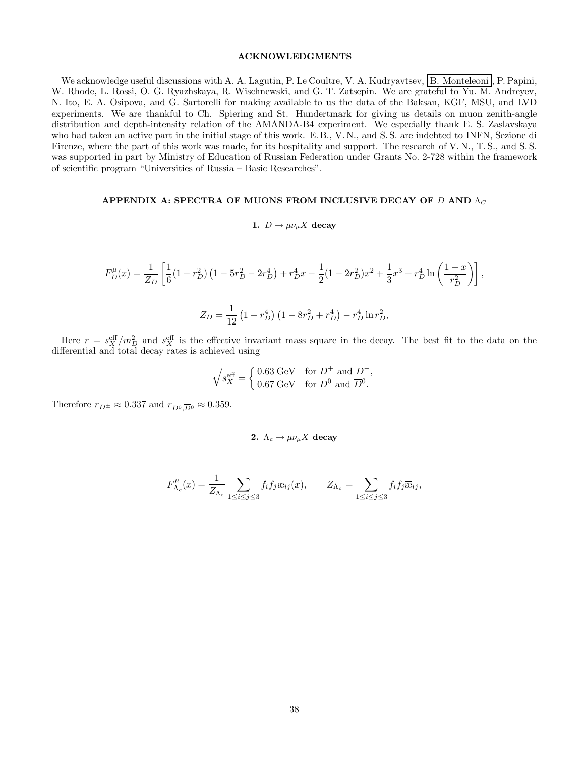# **ACKNOWLEDGMENTS**

<span id="page-40-0"></span>We acknowledge useful discussions with A. A. Lagutin, P. Le Coultre, V. A. Kudryavtsev, B. Monteleoni , P. Papini, W. Rhode, L. Rossi, O. G. Ryazhskaya, R. Wischnewski, and G. T. Zatsepin. We are grateful to Yu. M. Andreyev, N. Ito, E. A. Osipova, and G. Sartorelli for making available to us the data of the Baksan, KGF, MSU, and LVD experiments. We are thankful to Ch. Spiering and St. Hundertmark for giving us details on muon zenith-angle distribution and depth-intensity relation of the AMANDA-B4 experiment. We especially thank E. S. Zaslavskaya who had taken an active part in the initial stage of this work. E.B., V.N., and S.S. are indebted to INFN, Sezione di Firenze, where the part of this work was made, for its hospitality and support. The research of V.N., T.S., and S.S. was supported in part by Ministry of Education of Russian Federation under Grants No. 2-728 within the framework of scientific program "Universities of Russia – Basic Researches".

# **APPENDIX A: SPECTRA OF MUONS FROM INCLUSIVE DECAY OF D AND**  $Λ_C$

# **1.**  $D \rightarrow \mu \nu_{\mu} X$  **decay**

$$
F_D^{\mu}(x) = \frac{1}{Z_D} \left[ \frac{1}{6} (1 - r_D^2) \left( 1 - 5r_D^2 - 2r_D^4 \right) + r_D^4 x - \frac{1}{2} (1 - 2r_D^2) x^2 + \frac{1}{3} x^3 + r_D^4 \ln \left( \frac{1 - x}{r_D^2} \right) \right],
$$
  

$$
Z_D = \frac{1}{12} \left( 1 - r_D^4 \right) \left( 1 - 8r_D^2 + r_D^4 \right) - r_D^4 \ln r_D^2,
$$

Here  $r = s_X^{\text{eff}}/m_D^2$  and  $s_X^{\text{eff}}$  is the effective invariant mass square in the decay. The best fit to the data on the differential and total decay rates is achieved using

$$
\sqrt{s_{X}^{\text{eff}}} = \begin{cases} 0.63 \text{ GeV} & \text{for } D^{+} \text{ and } D^{-}, \\ 0.67 \text{ GeV} & \text{for } D^{0} \text{ and } \overline{D}^{0}. \end{cases}
$$

Therefore  $r_{D^\pm}\approx 0.337$  and  $r_{D^0.\overline{D}{}^0}\approx 0.359.$ 

2. 
$$
\Lambda_c \to \mu \nu_\mu X
$$
 decay

$$
F_{\Lambda_c}^{\mu}(x) = \frac{1}{Z_{\Lambda_c}} \sum_{1 \le i \le j \le 3} f_i f_j \mathfrak{E}_{ij}(x), \qquad Z_{\Lambda_c} = \sum_{1 \le i \le j \le 3} f_i f_j \overline{\mathfrak{E}}_{ij},
$$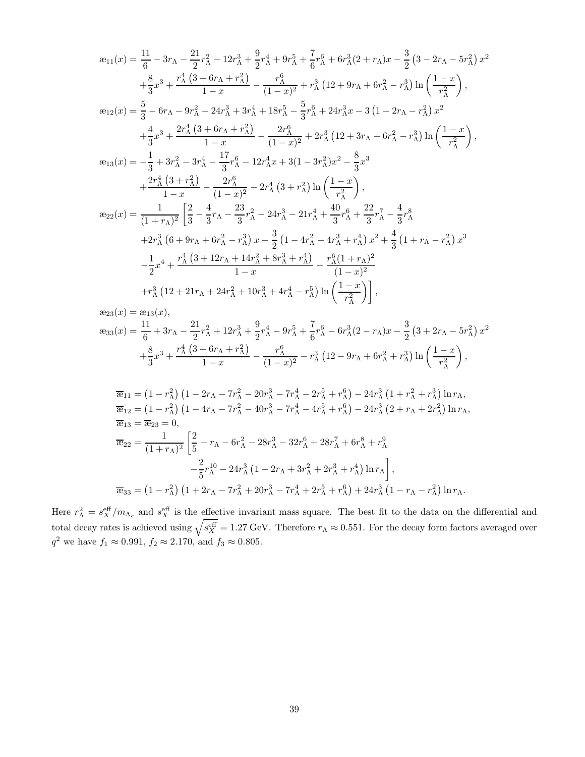$$
x_{11}(x) = \frac{11}{6} - 3r_{\Lambda} - \frac{21}{2}r_{\Lambda}^2 - 12r_{\Lambda}^3 + \frac{9}{2}r_{\Lambda}^4 + 9r_{\Lambda}^5 + \frac{7}{6}r_{\Lambda}^6 + 6r_{\Lambda}^3(2 + r_{\Lambda})x - \frac{3}{2}(3 - 2r_{\Lambda} - 5r_{\Lambda}^2)x^2
$$
  
\n
$$
+ \frac{8}{3}x^3 + \frac{r_{\Lambda}^4(3 + 6r_{\Lambda} + r_{\Lambda}^2)}{1 - x} - \frac{r_{\Lambda}^6}{(1 - x)^2} + r_{\Lambda}^3(12 + 9r_{\Lambda} + 6r_{\Lambda}^2 - r_{\Lambda}^3) \ln\left(\frac{1 - x}{r_{\Lambda}^2}\right),
$$
  
\n
$$
x_{12}(x) = \frac{5}{3} - 6r_{\Lambda} - 9r_{\Lambda}^2 - 24r_{\Lambda}^3 + 3r_{\Lambda}^4 + 18r_{\Lambda}^5 - \frac{5}{3}r_{\Lambda}^6 + 24r_{\Lambda}^3x - 3(1 - 2r_{\Lambda} - r_{\Lambda}^2)x^2
$$
  
\n
$$
+ \frac{4}{3}x^3 + \frac{2r_{\Lambda}^4(3 + 6r_{\Lambda} + r_{\Lambda}^2)}{1 - x} - \frac{2r_{\Lambda}^6}{(1 - x)^2} + 2r_{\Lambda}^3(12 + 3r_{\Lambda} + 6r_{\Lambda}^2 - r_{\Lambda}^3) \ln\left(\frac{1 - x}{r_{\Lambda}^2}\right),
$$
  
\n
$$
x_{13}(x) = -\frac{1}{3} + 3r_{\Lambda}^2 - 3r_{\Lambda}^4 - \frac{17}{3}r_{\Lambda}^6 - 12r_{\Lambda}^4x + 3(1 - 3r_{\Lambda}^2)x^2 - \frac{8}{3}x^3
$$
  
\n
$$
+ \frac{2r_{\Lambda}^4(3 + r_{\Lambda}^2)}{1 - x} - \frac{2r_{\Lambda}^6}{(1 - x)^2} - 2r_{\Lambda}^4(3 + r_{\Lambda}^2) \ln\left(\frac{1 - x}{r_{\Lambda}^2}\right),
$$
  
\n

$$
\begin{split} \mathcal{R}_{23}(x) &= \mathcal{R}_{13}(x), \\ \mathcal{R}_{33}(x) &= \frac{11}{6} + 3r_{\Lambda} - \frac{21}{2}r_{\Lambda}^2 + 12r_{\Lambda}^3 + \frac{9}{2}r_{\Lambda}^4 - 9r_{\Lambda}^5 + \frac{7}{6}r_{\Lambda}^6 - 6r_{\Lambda}^3(2 - r_{\Lambda})x - \frac{3}{2}\left(3 + 2r_{\Lambda} - 5r_{\Lambda}^2\right)x^2 \\ &+ \frac{8}{3}x^3 + \frac{r_{\Lambda}^4\left(3 - 6r_{\Lambda} + r_{\Lambda}^2\right)}{1 - x} - \frac{r_{\Lambda}^6}{(1 - x)^2} - r_{\Lambda}^3\left(12 - 9r_{\Lambda} + 6r_{\Lambda}^2 + r_{\Lambda}^3\right)\ln\left(\frac{1 - x}{r_{\Lambda}^2}\right), \end{split}
$$

$$
\overline{\mathfrak{E}}_{11} = (1 - r_{\Lambda}^2) (1 - 2r_{\Lambda} - 7r_{\Lambda}^2 - 20r_{\Lambda}^3 - 7r_{\Lambda}^4 - 2r_{\Lambda}^5 + r_{\Lambda}^6) - 24r_{\Lambda}^3 (1 + r_{\Lambda}^2 + r_{\Lambda}^3) \ln r_{\Lambda},
$$
  
\n
$$
\overline{\mathfrak{E}}_{12} = (1 - r_{\Lambda}^2) (1 - 4r_{\Lambda} - 7r_{\Lambda}^2 - 40r_{\Lambda}^3 - 7r_{\Lambda}^4 - 4r_{\Lambda}^5 + r_{\Lambda}^6) - 24r_{\Lambda}^3 (2 + r_{\Lambda} + 2r_{\Lambda}^2) \ln r_{\Lambda},
$$
  
\n
$$
\overline{\mathfrak{E}}_{13} = \overline{\mathfrak{E}}_{23} = 0,
$$
  
\n
$$
\overline{\mathfrak{E}}_{22} = \frac{1}{(1 + r_{\Lambda})^2} \left[ \frac{2}{5} - r_{\Lambda} - 6r_{\Lambda}^2 - 28r_{\Lambda}^3 - 32r_{\Lambda}^6 + 28r_{\Lambda}^7 + 6r_{\Lambda}^8 + r_{\Lambda}^9 - \frac{2}{5}r_{\Lambda}^{10} - 24r_{\Lambda}^3 (1 + 2r_{\Lambda} + 3r_{\Lambda}^2 + 2r_{\Lambda}^3 + r_{\Lambda}^4) \ln r_{\Lambda} \right],
$$
  
\n
$$
\overline{\mathfrak{E}}_{33} = (1 - r_{\Lambda}^2) (1 + 2r_{\Lambda} - 7r_{\Lambda}^2 + 20r_{\Lambda}^3 - 7r_{\Lambda}^4 + 2r_{\Lambda}^5 + r_{\Lambda}^6) + 24r_{\Lambda}^3 (1 - r_{\Lambda} - r_{\Lambda}^2) \ln r_{\Lambda}.
$$

Here  $r_A^2 = s_X^{\text{eff}}/m_{\Lambda_c}$  and  $s_X^{\text{eff}}$  is the effective invariant mass square. The best fit to the data on the differential and total decay rates is achieved using  $\sqrt{s_{X}^{\text{eff}}}$  = 1.27 GeV. Therefore  $r_{\Lambda} \approx 0.551$ . For the decay form factors averaged over  $q^2$  we have  $f_1 \approx 0.991, f_2 \approx 2.170, \text{ and } f_3 \approx 0.805.$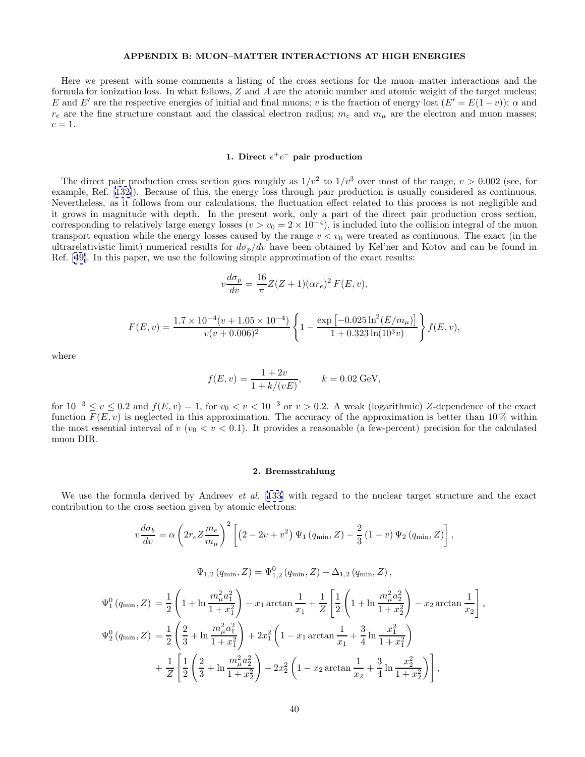# **APPENDIX B: MUON–MATTER INTERACTIONS AT HIGH ENERGIES**

<span id="page-42-0"></span>Here we present with some comments a listing of the cross sections for the muon–matter interactions and the formula for ionization loss. In what follows, Z and A are the atomic number and atomic weight of the target nucleus; E and E' are the respective energies of initial and final muons; v is the fraction of energy lost  $(E'=E(1-v))$ ;  $\alpha$  and  $r_e$  are the fine structure constant and the classical electron radius;  $m_e$  and  $m_\mu$  are the electron and muon masses;  $c=1$ .

# **1. Direct** e<sup>+</sup>e<sup>−</sup> **pair production**

The direct pair production cross section goes roughly as  $1/v^2$  to  $1/v^3$  over most of the range,  $v > 0.002$  (see, for example, Ref. [[132](#page-48-0)]). Because of this, the energy loss through pair production is usually considered as continuous. Nevertheless, as it follows from our calculations, the fluctuation effect related to this process is not negligible and it grows in magnitude with depth. In the present work, only a part of the direct pair production cross section, corresponding to relatively large energy losses  $(v>v_0 = 2 \times 10^{-4})$ , is included into the collision integral of the muon transport equation while the energy losses caused by the range  $v < v_0$  were treated as continuous. The exact (in the ultrarelativistic limit) numerical results for  $d\sigma_p/dv$  have been obtained by Kel'ner and Kotov and can be found in Ref. [[49\]](#page-46-0). In this paper, we use the following simple approximation of the exact results:

$$
v\frac{d\sigma_p}{dv} = \frac{16}{\pi}Z(Z+1)(\alpha r_e)^2 F(E,v),
$$

$$
F(E, v) = \frac{1.7 \times 10^{-4} (v + 1.05 \times 10^{-4})}{v(v + 0.006)^2} \left\{ 1 - \frac{\exp \left[ -0.025 \ln^2(E/m_\mu) \right]}{1 + 0.323 \ln(10^3 v)} \right\} f(E, v),
$$

where

$$
f(E, v) = \frac{1 + 2v}{1 + k/(vE)}, \qquad k = 0.02 \text{ GeV},
$$

for  $10^{-3} \le v \le 0.2$  and  $f(E, v) = 1$ , for  $v_0 < v < 10^{-3}$  or  $v > 0.2$ . A weak (logarithmic) Z-dependence of the exact function  $F(E, v)$  is neglected in this approximation. The accuracy of the approximation is better than 10% within the most essential interval of v ( $v_0 < v < 0.1$ ). It provides a reasonable (a few-percent) precision for the calculated muon DIR.

# **2. Bremsstrahlung**

We use the formula derived by Andreev *et al.* [[133\]](#page-48-0) with regard to the nuclear target structure and the exact contribution to the cross section given by atomic electrons:

$$
v\frac{d\sigma_b}{dv} = \alpha \left(2r_e Z \frac{m_e}{m_\mu}\right)^2 \left[ \left(2 - 2v + v^2\right) \Psi_1\left(q_{\min}, Z\right) - \frac{2}{3} \left(1 - v\right) \Psi_2\left(q_{\min}, Z\right) \right],
$$

$$
\Psi_{1,2}(q_{\min}, Z) = \Psi_{1,2}^{0}(q_{\min}, Z) - \Delta_{1,2}(q_{\min}, Z),
$$

$$
\Psi_1^0(q_{\min}, Z) = \frac{1}{2} \left( 1 + \ln \frac{m_\mu^2 a_1^2}{1 + x_1^2} \right) - x_1 \arctan \frac{1}{x_1} + \frac{1}{Z} \left[ \frac{1}{2} \left( 1 + \ln \frac{m_\mu^2 a_2^2}{1 + x_2^2} \right) - x_2 \arctan \frac{1}{x_2} \right],
$$
  
\n
$$
\Psi_2^0(q_{\min}, Z) = \frac{1}{2} \left( \frac{2}{3} + \ln \frac{m_\mu^2 a_1^2}{1 + x_1^2} \right) + 2x_1^2 \left( 1 - x_1 \arctan \frac{1}{x_1} + \frac{3}{4} \ln \frac{x_1^2}{1 + x_1^2} \right)
$$
  
\n
$$
+ \frac{1}{Z} \left[ \frac{1}{2} \left( \frac{2}{3} + \ln \frac{m_\mu^2 a_2^2}{1 + x_2^2} \right) + 2x_2^2 \left( 1 - x_2 \arctan \frac{1}{x_2} + \frac{3}{4} \ln \frac{x_2^2}{1 + x_2^2} \right) \right],
$$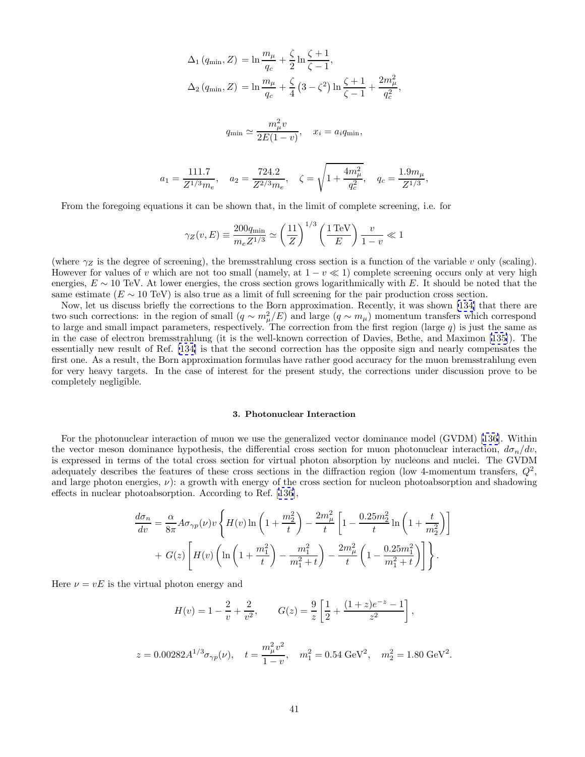<span id="page-43-0"></span>
$$
\Delta_1 (q_{\min}, Z) = \ln \frac{m_\mu}{q_c} + \frac{\zeta}{2} \ln \frac{\zeta + 1}{\zeta - 1},
$$
  

$$
\Delta_2 (q_{\min}, Z) = \ln \frac{m_\mu}{q_c} + \frac{\zeta}{4} (3 - \zeta^2) \ln \frac{\zeta + 1}{\zeta - 1} + \frac{2m_\mu^2}{q_c^2},
$$
  

$$
q_{\min} \simeq \frac{m_\mu^2 v}{2E(1 - v)}, \quad x_i = a_i q_{\min},
$$
  

$$
a_1 = \frac{111.7}{Z^{1/3} m_e}, \quad a_2 = \frac{724.2}{Z^{2/3} m_e}, \quad \zeta = \sqrt{1 + \frac{4m_\mu^2}{q_c^2}}, \quad q_c = \frac{1.9 m_\mu}{Z^{1/3}},
$$

From the foregoing equations it can be shown that, in the limit of complete screening, i.e. for

$$
\gamma_Z(v, E) \equiv \frac{200q_{\min}}{m_e Z^{1/3}} \simeq \left(\frac{11}{Z}\right)^{1/3} \left(\frac{1 \,\text{TeV}}{E}\right) \frac{v}{1-v} \ll 1
$$

(where  $\gamma_Z$  is the degree of screening), the bremsstrahlung cross section is a function of the variable v only (scaling). However for values of v which are not too small (namely, at  $1 - v \ll 1$ ) complete screening occurs only at very high energies,  $E \sim 10$  TeV. At lower energies, the cross section grows logarithmically with E. It should be noted that the same estimate ( $E \sim 10 \text{ TeV}$ ) is also true as a limit of full screening for the pair production cross section.

Now, let us discuss briefly the corrections to the Born approximation. Recently, it was shown [\[134\]](#page-48-0) that there are two such corrections: in the region of small  $(q \sim m_\mu/E)$  and large  $(q \sim m_\mu)$  momentum transfers which correspond to large and small impact parameters, respectively. The correction from the first region (large  $q$ ) is just the same as in the case of electron bremsstrahlung (it is the well-known correction of Davies, Bethe, and Maximon [[135\]](#page-48-0)). The essentially new result of Ref. [\[134\]](#page-48-0) is that the second correction has the opposite sign and nearly compensates the first one. As a result, the Born approximation formulas have rather good accuracy for the muon bremsstrahlung even for very heavy targets. In the case of interest for the present study, the corrections under discussion prove to be completely negligible.

### **3. Photonuclear Interaction**

For the photonuclear interaction of muon we use the generalized vector dominance model (GVDM) [[136](#page-48-0)]. Within the vector meson dominance hypothesis, the differential cross section for muon photonuclear interaction,  $d\sigma_n/dv$ , is expressed in terms of the total cross section for virtual photon absorption by nucleons and nuclei. The GVDM adequately describes the features of these cross sections in the diffraction region (low 4-momentum transfers,  $Q^2$ , and large photon energies,  $\nu$ ): a growth with energy of the cross section for nucleon photoabsorption and shadowing effects in nuclear photoabsorption. According to Ref. [[136\]](#page-48-0),

$$
\frac{d\sigma_n}{dv} = \frac{\alpha}{8\pi} A \sigma_{\gamma p}(\nu) v \left\{ H(\nu) \ln \left( 1 + \frac{m_2^2}{t} \right) - \frac{2m_\mu^2}{t} \left[ 1 - \frac{0.25m_2^2}{t} \ln \left( 1 + \frac{t}{m_2^2} \right) \right] + G(z) \left[ H(\nu) \left( \ln \left( 1 + \frac{m_1^2}{t} \right) - \frac{m_1^2}{m_1^2 + t} \right) - \frac{2m_\mu^2}{t} \left( 1 - \frac{0.25m_1^2}{m_1^2 + t} \right) \right] \right\}.
$$

Here  $\nu = vE$  is the virtual photon energy and

$$
H(v) = 1 - \frac{2}{v} + \frac{2}{v^2}, \qquad G(z) = \frac{9}{z} \left[ \frac{1}{2} + \frac{(1+z)e^{-z} - 1}{z^2} \right],
$$

$$
z = 0.00282 A^{1/3} \sigma_{\gamma p}(\nu), \quad t = \frac{m_{\mu}^2 v^2}{1 - v}, \quad m_1^2 = 0.54 \text{ GeV}^2, \quad m_2^2 = 1.80 \text{ GeV}^2.
$$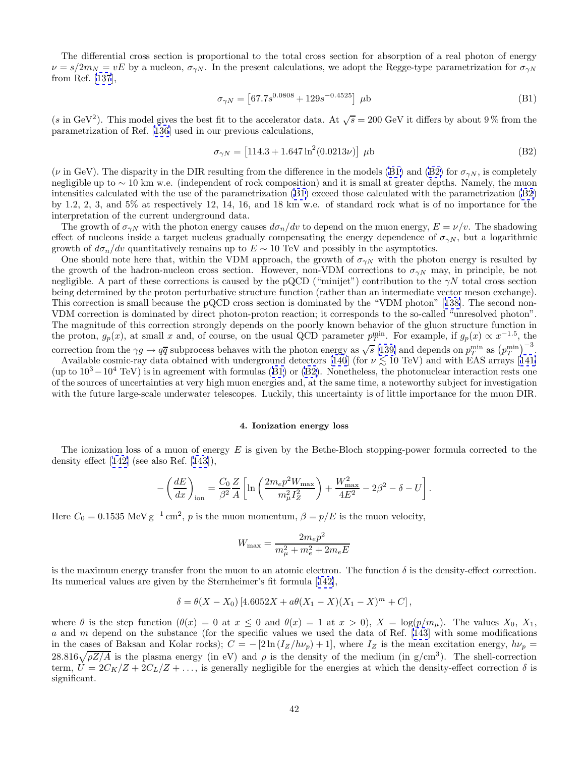<span id="page-44-0"></span>The differential cross section is proportional to the total cross section for absorption of a real photon of energy  $\nu = s/2m_N = vE$  by a nucleon,  $\sigma_{\gamma N}$ . In the present calculations, we adopt the Regge-type parametrization for  $\sigma_{\gamma N}$ from Ref. [\[137](#page-49-0)],

$$
\sigma_{\gamma N} = \left[67.7s^{0.0808} + 129s^{-0.4525}\right] \,\,\mu\text{b} \tag{B1}
$$

(s in GeV<sup>2</sup>). This model gives the best fit to the accelerator data. At  $\sqrt{s} = 200$  GeV it differs by about 9% from the parametrization of Ref. [[136\]](#page-48-0) used in our previous calculations,

$$
\sigma_{\gamma N} = \left[114.3 + 1.647 \ln^2(0.0213\nu)\right] \,\mu\text{b} \tag{B2}
$$

( $\nu$  in GeV). The disparity in the DIR resulting from the difference in the models (B1) and (B2) for  $\sigma_{\gamma N}$ , is completely negligible up to ∼ 10 km w.e. (independent of rock composition) and it is small at greater depths. Namely, the muon intensities calculated with the use of the parametrization (B1) exceed those calculated with the parametrization (B2) by 1.2, 2, 3, and 5% at respectively 12, 14, 16, and 18 km w.e. of standard rock what is of no importance for the interpretation of the current underground data.

The growth of  $\sigma_{\gamma N}$  with the photon energy causes  $d\sigma_n/dv$  to depend on the muon energy,  $E = \nu/v$ . The shadowing effect of nucleons inside a target nucleus gradually compensating the energy dependence of  $\sigma_{\gamma N}$ , but a logarithmic growth of  $d\sigma_n/dv$  quantitatively remains up to  $E \sim 10$  TeV and possibly in the asymptotics.

One should note here that, within the VDM approach, the growth of  $\sigma_{\gamma N}$  with the photon energy is resulted by the growth of the hadron-nucleon cross section. However, non-VDM corrections to  $\sigma_{\gamma N}$  may, in principle, be not negligible. A part of these corrections is caused by the pQCD ("minijet") contribution to the  $\gamma N$  total cross section being determined by the proton perturbative structure function (rather than an intermediate vector meson exchange). This correction is small because the pQCD cross section is dominated by the "VDM photon" [[138\]](#page-49-0). The second non-VDM correction is dominated by direct photon-proton reaction; it corresponds to the so-called "unresolved photon". The magnitude of this correction strongly depends on the poorly known behavior of the gluon structure function in the proton,  $g_p(x)$ , at small x and, of course, on the usual QCD parameter  $p_T^{\min}$ . For example, if  $g_p(x) \propto x^{-1.5}$ , the correction from the  $\gamma g \to q\overline{q}$  subprocess behaves with the photon energy as  $\sqrt{s}$  [\[139\]](#page-49-0) and depends on  $p_T^{\min}$  as  $(p_T^{\min})^{-3}$ .

Available cosmic-ray data obtained with underground detectors [\[140](#page-49-0)] (for  $\nu \lesssim 10$  TeV) and with EAS arrays [[141\]](#page-49-0) (up to  $10^3-10^4$  TeV) is in agreement with formulas (B1) or (B2). Nonetheless, the photonuclear interaction rests one of the sources of uncertainties at very high muon energies and, at the same time, a noteworthy subject for investigation with the future large-scale underwater telescopes. Luckily, this uncertainty is of little importance for the muon DIR.

### **4. Ionization energy loss**

The ionization loss of a muon of energy E is given by the Bethe-Bloch stopping-power formula corrected to the density effect [[142\]](#page-49-0) (see also Ref. [[143](#page-49-0)]),

$$
-\left(\frac{dE}{dx}\right)_{\rm ion} = \frac{C_0}{\beta^2} \frac{Z}{A} \left[ \ln \left( \frac{2m_e p^2 W_{\rm max}}{m_\mu^2 I_Z^2} \right) + \frac{W_{\rm max}^2}{4E^2} - 2\beta^2 - \delta - U \right].
$$

Here  $C_0 = 0.1535 \text{ MeV g}^{-1} \text{ cm}^2$ , p is the muon momentum,  $\beta = p/E$  is the muon velocity,

$$
W_{\text{max}} = \frac{2m_e p^2}{m_{\mu}^2 + m_e^2 + 2m_e E}
$$

is the maximum energy transfer from the muon to an atomic electron. The function  $\delta$  is the density-effect correction. Its numerical values are given by the Sternheimer's fit formula [[142\]](#page-49-0),

$$
\delta = \theta(X - X_0) [4.6052X + a\theta(X_1 - X)(X_1 - X)^m + C],
$$

where  $\theta$  is the step function  $(\theta(x) = 0$  at  $x \le 0$  and  $\theta(x) = 1$  at  $x > 0$ ,  $X = \log(p/m_\mu)$ . The values  $X_0, X_1$ , a and m depend on the substance (for the specific values we used the data of Ref. [[143](#page-49-0)] with some modifications in the cases of Baksan and Kolar rocks);  $C = -[2\ln(I_Z/h\nu_p) + 1]$ , where  $I_Z$  is the mean excitation energy,  $h\nu_p =$  $28.816\sqrt{\rho Z/A}$  is the plasma energy (in eV) and  $\rho$  is the density of the medium (in g/cm<sup>3</sup>). The shell-correction term,  $U = 2C_K/Z + 2C_L/Z + \ldots$ , is generally negligible for the energies at which the density-effect correction  $\delta$  is significant.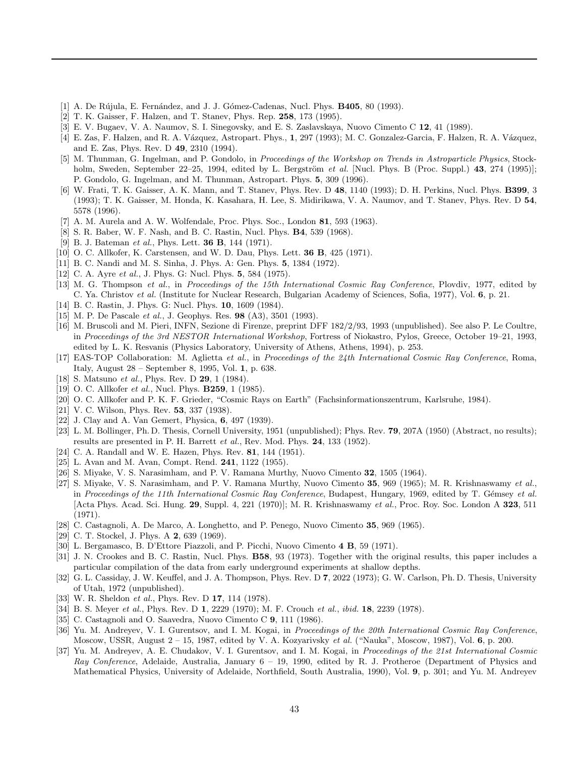- <span id="page-45-0"></span>[1] A. De R´ujula, E. Fern´andez, and J. J. G´omez-Cadenas, Nucl. Phys. **B405**, 80 (1993).
- [2] T. K. Gaisser, F. Halzen, and T. Stanev, Phys. Rep. **258**, 173 (1995).
- [3] E. V. Bugaev, V. A. Naumov, S. I. Sinegovsky, and E. S. Zaslavskaya, Nuovo Cimento C **12**, 41 (1989).
- [4] E. Zas, F. Halzen, and R. A. Vázquez, Astropart. Phys., **1**, 297 (1993); M. C. Gonzalez-Garcia, F. Halzen, R. A. Vázquez, and E. Zas, Phys. Rev. D **49**, 2310 (1994).
- [5] M. Thunman, G. Ingelman, and P. Gondolo, in Proceedings of the Workshop on Trends in Astroparticle Physics, Stockholm, Sweden, September 22–25, 1994, edited by L. Bergström et al. [Nucl. Phys. B (Proc. Suppl.) 43, 274 (1995)]; P. Gondolo, G. Ingelman, and M. Thunman, Astropart. Phys. **5**, 309 (1996).
- [6] W. Frati, T. K. Gaisser, A. K. Mann, and T. Stanev, Phys. Rev. D **48**, 1140 (1993); D. H. Perkins, Nucl. Phys. **B399**, 3 (1993); T. K. Gaisser, M. Honda, K. Kasahara, H. Lee, S. Midirikawa, V. A. Naumov, and T. Stanev, Phys. Rev. D **54**, 5578 (1996).
- [7] A. M. Aurela and A. W. Wolfendale, Proc. Phys. Soc., London **81**, 593 (1963).
- [8] S. R. Baber, W. F. Nash, and B. C. Rastin, Nucl. Phys. **B4**, 539 (1968).
- [9] B. J. Bateman et al., Phys. Lett. **36 B**, 144 (1971).
- [10] O. C. Allkofer, K. Carstensen, and W. D. Dau, Phys. Lett. **36 B**, 425 (1971).
- [11] B. C. Nandi and M. S. Sinha, J. Phys. A: Gen. Phys. **5**, 1384 (1972).
- [12] C. A. Ayre et al., J. Phys. G: Nucl. Phys. **5**, 584 (1975).
- [13] M. G. Thompson et al., in Proceedings of the 15th International Cosmic Ray Conference, Plovdiv, 1977, edited by C. Ya. Christov et al. (Institute for Nuclear Research, Bulgarian Academy of Sciences, Sofia, 1977), Vol. **6**, p. 21.
- [14] B. C. Rastin, J. Phys. G: Nucl. Phys. **10**, 1609 (1984).
- [15] M. P. De Pascale et al., J. Geophys. Res. **98** (A3), 3501 (1993).
- [16] M. Bruscoli and M. Pieri, INFN, Sezione di Firenze, preprint DFF 182/2/93, 1993 (unpublished). See also P. Le Coultre, in Proceedings of the 3rd NESTOR International Workshop, Fortress of Niokastro, Pylos, Greece, October 19–21, 1993, edited by L. K. Resvanis (Physics Laboratory, University of Athens, Athens, 1994), p. 253.
- [17] EAS-TOP Collaboration: M. Aglietta et al., in Proceedings of the 24th International Cosmic Ray Conference, Roma, Italy, August 28 – September 8, 1995, Vol. **1**, p. 638.
- [18] S. Matsuno et al., Phys. Rev. D **29**, 1 (1984).
- [19] O. C. Allkofer et al., Nucl. Phys. **B259**, 1 (1985).
- [20] O. C. Allkofer and P. K. F. Grieder, "Cosmic Rays on Earth" (Fachsinformationszentrum, Karlsruhe, 1984).
- [21] V. C. Wilson, Phys. Rev. **53**, 337 (1938).
- [22] J. Clay and A. Van Gemert, Physica, **6**, 497 (1939).
- [23] L. M. Bollinger, Ph. D. Thesis, Cornell University, 1951 (unpublished); Phys. Rev. **79**, 207A (1950) (Abstract, no results); results are presented in P. H. Barrett et al., Rev. Mod. Phys. **24**, 133 (1952).
- [24] C. A. Randall and W. E. Hazen, Phys. Rev. **81**, 144 (1951).
- [25] L. Avan and M. Avan, Compt. Rend. **241**, 1122 (1955).
- [26] S. Miyake, V. S. Narasimham, and P. V. Ramana Murthy, Nuovo Cimento **32**, 1505 (1964).
- [27] S. Miyake, V. S. Narasimham, and P. V. Ramana Murthy, Nuovo Cimento **35**, 969 (1965); M. R. Krishnaswamy et al., in Proceedings of the 11th International Cosmic Ray Conference, Budapest, Hungary, 1969, edited by T. Gémsey et al. [Acta Phys. Acad. Sci. Hung. **29**, Suppl. 4, 221 (1970)]; M. R. Krishnaswamy et al., Proc. Roy. Soc. London A **323**, 511 (1971).
- [28] C. Castagnoli, A. De Marco, A. Longhetto, and P. Penego, Nuovo Cimento **35**, 969 (1965).
- [29] C. T. Stockel, J. Phys. A **2**, 639 (1969).
- [30] L. Bergamasco, B. D'Ettore Piazzoli, and P. Picchi, Nuovo Cimento **4 B**, 59 (1971).
- [31] J. N. Crookes and B. C. Rastin, Nucl. Phys. **B58**, 93 (1973). Together with the original results, this paper includes a particular compilation of the data from early underground experiments at shallow depths.
- [32] G. L. Cassiday, J. W. Keuffel, and J. A. Thompson, Phys. Rev. D **7**, 2022 (1973); G. W. Carlson, Ph. D. Thesis, University of Utah, 1972 (unpublished).
- [33] W. R. Sheldon et al., Phys. Rev. D **17**, 114 (1978).
- [34] B. S. Meyer et al., Phys. Rev. D **1**, 2229 (1970); M. F. Crouch et al., ibid. **18**, 2239 (1978).
- [35] C. Castagnoli and O. Saavedra, Nuovo Cimento C **9**, 111 (1986).
- [36] Yu. M. Andreyev, V. I. Gurentsov, and I. M. Kogai, in Proceedings of the 20th International Cosmic Ray Conference, Moscow, USSR, August 2 – 15, 1987, edited by V. A. Kozyarivsky et al. ("Nauka", Moscow, 1987), Vol. **6**, p. 200.
- [37] Yu. M. Andreyev, A. E. Chudakov, V. I. Gurentsov, and I. M. Kogai, in Proceedings of the 21st International Cosmic Ray Conference, Adelaide, Australia, January  $6 - 19$ , 1990, edited by R. J. Protheroe (Department of Physics and Mathematical Physics, University of Adelaide, Northfield, South Australia, 1990), Vol. **9**, p. 301; and Yu. M. Andreyev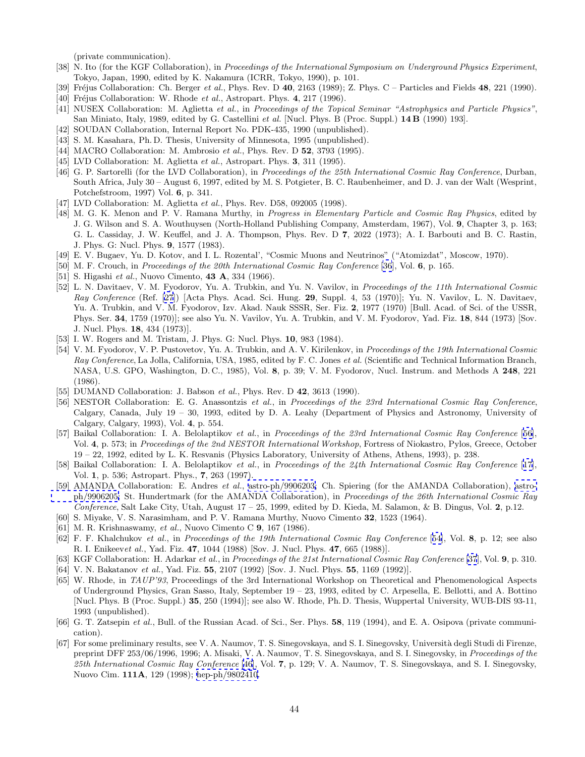(private communication).

- <span id="page-46-0"></span>[38] N. Ito (for the KGF Collaboration), in Proceedings of the International Symposium on Underground Physics Experiment, Tokyo, Japan, 1990, edited by K. Nakamura (ICRR, Tokyo, 1990), p. 101.
- [39] Fréjus Collaboration: Ch. Berger et al., Phys. Rev. D **40**, 2163 (1989); Z. Phys. C Particles and Fields **48**, 221 (1990).
- [40] Fr´ejus Collaboration: W. Rhode et al., Astropart. Phys. **4**, 217 (1996).
- [41] NUSEX Collaboration: M. Aglietta et al., in Proceedings of the Topical Seminar "Astrophysics and Particle Physics", San Miniato, Italy, 1989, edited by G. Castellini et al. [Nucl. Phys. B (Proc. Suppl.) **14 B** (1990) 193].
- [42] SOUDAN Collaboration, Internal Report No. PDK-435, 1990 (unpublished).
- [43] S. M. Kasahara, Ph. D. Thesis, University of Minnesota, 1995 (unpublished).
- [44] MACRO Collaboration: M. Ambrosio et al., Phys. Rev. D **52**, 3793 (1995).
- [45] LVD Collaboration: M. Aglietta et al., Astropart. Phys. **3**, 311 (1995).
- [46] G. P. Sartorelli (for the LVD Collaboration), in Proceedings of the 25th International Cosmic Ray Conference, Durban, South Africa, July 30 – August 6, 1997, edited by M. S. Potgieter, B. C. Raubenheimer, and D. J. van der Walt (Wesprint, Potchefstroom, 1997) Vol. **6**, p. 341.
- [47] LVD Collaboration: M. Aglietta et al., Phys. Rev. D58, 092005 (1998).
- [48] M. G. K. Menon and P. V. Ramana Murthy, in *Progress in Elementary Particle and Cosmic Ray Physics*, edited by J. G. Wilson and S. A. Wouthuysen (North-Holland Publishing Company, Amsterdam, 1967), Vol. **9**, Chapter 3, p. 163; G. L. Cassiday, J. W. Keuffel, and J. A. Thompson, Phys. Rev. D **7**, 2022 (1973); A. I. Barbouti and B. C. Rastin, J. Phys. G: Nucl. Phys. **9**, 1577 (1983).
- [49] E. V. Bugaev, Yu. D. Kotov, and I. L. Rozental', "Cosmic Muons and Neutrinos" ("Atomizdat", Moscow, 1970).
- [50] M. F. Crouch, in Proceedings of the 20th International Cosmic Ray Conference [\[36](#page-45-0)], Vol. **6**, p. 165.
- [51] S. Higashi et al., Nuovo Cimento, **43 A**, 334 (1966).
- [52] L. N. Davitaev, V. M. Fyodorov, Yu. A. Trubkin, and Yu. N. Vavilov, in Proceedings of the 11th International Cosmic Ray Conference (Ref. [\[27](#page-45-0)]) [Acta Phys. Acad. Sci. Hung. **29**, Suppl. 4, 53 (1970)]; Yu. N. Vavilov, L. N. Davitaev, Yu. A. Trubkin, and V. M. Fyodorov, Izv. Akad. Nauk SSSR, Ser. Fiz. **2**, 1977 (1970) [Bull. Acad. of Sci. of the USSR, Phys. Ser. **34**, 1759 (1970)]; see also Yu. N. Vavilov, Yu. A. Trubkin, and V. M. Fyodorov, Yad. Fiz. **18**, 844 (1973) [Sov. J. Nucl. Phys. **18**, 434 (1973)].
- [53] I. W. Rogers and M. Tristam, J. Phys. G: Nucl. Phys. **10**, 983 (1984).
- [54] V. M. Fyodorov, V. P. Pustovetov, Yu. A. Trubkin, and A. V. Kirilenkov, in Proceedings of the 19th International Cosmic Ray Conference, La Jolla, California, USA, 1985, edited by F. C. Jones et al. (Scientific and Technical Information Branch, NASA, U.S. GPO, Washington, D. C., 1985), Vol. **8**, p. 39; V. M. Fyodorov, Nucl. Instrum. and Methods A **248**, 221 (1986).
- [55] DUMAND Collaboration: J. Babson et al., Phys. Rev. D **42**, 3613 (1990).
- [56] NESTOR Collaboration: E. G. Anassontzis et al., in Proceedings of the 23rd International Cosmic Ray Conference, Calgary, Canada, July 19 – 30, 1993, edited by D. A. Leahy (Department of Physics and Astronomy, University of Calgary, Calgary, 1993), Vol. **4**, p. 554.
- [57] Baikal Collaboration: I. A. Belolaptikov et al., in Proceedings of the 23rd International Cosmic Ray Conference [56], Vol. **4**, p. 573; in Proceedings of the 2nd NESTOR International Workshop, Fortress of Niokastro, Pylos, Greece, October 19 – 22, 1992, edited by L. K. Resvanis (Physics Laboratory, University of Athens, Athens, 1993), p. 238.
- [58] Baikal Collaboration: I. A. Belolaptikov et al., in Proceedings of the 24th International Cosmic Ray Conference [[17](#page-45-0)], Vol. **1**, p. 536; Astropart. Phys., **7**, 263 (1997).
- [59] AMANDA Collaboration: E. Andres et al., [astro-ph/9906203;](http://xxx.lanl.gov/abs/astro-ph/9906203) Ch. Spiering (for the AMANDA Collaboration), [astro](http://xxx.lanl.gov/abs/astro-ph/9906205)[ph/9906205;](http://xxx.lanl.gov/abs/astro-ph/9906205) St. Hundertmark (for the AMANDA Collaboration), in Proceedings of the 26th International Cosmic Ray Conference, Salt Lake City, Utah, August 17 – 25, 1999, edited by D. Kieda, M. Salamon, & B. Dingus, Vol. **2**, p.12.
- [60] S. Miyake, V. S. Narasimham, and P. V. Ramana Murthy, Nuovo Cimento **32**, 1523 (1964).
- [61] M. R. Krishnaswamy, et al., Nuovo Cimento C **9**, 167 (1986).
- [62] F. F. Khalchukov et al., in Proceedings of the 19th International Cosmic Ray Conference [54], Vol. **8**, p. 12; see also R. I. Enikeevet al., Yad. Fiz. **47**, 1044 (1988) [Sov. J. Nucl. Phys. **47**, 665 (1988)].
- [63] KGF Collaboration: H. Adarkar et al., in Proceedings of the 21st International Cosmic Ray Conference [\[37](#page-45-0)], Vol. **9**, p. 310.
- [64] V. N. Bakatanov et al., Yad. Fiz. **55**, 2107 (1992) [Sov. J. Nucl. Phys. **55**, 1169 (1992)].
- [65] W. Rhode, in TAUP'93, Proceedings of the 3rd International Workshop on Theoretical and Phenomenological Aspects of Underground Physics, Gran Sasso, Italy, September 19 – 23, 1993, edited by C. Arpesella, E. Bellotti, and A. Bottino [Nucl. Phys. B (Proc. Suppl.) **35**, 250 (1994)]; see also W. Rhode, Ph. D. Thesis, Wuppertal University, WUB-DIS 93-11, 1993 (unpublished).
- [66] G. T. Zatsepin et al., Bull. of the Russian Acad. of Sci., Ser. Phys. **58**, 119 (1994), and E. A. Osipova (private communication).
- [67] For some preliminary results, see V. A. Naumov, T. S. Sinegovskaya, and S. I. Sinegovsky, Università degli Studi di Firenze, preprint DFF 253/06/1996, 1996; A. Misaki, V. A. Naumov, T. S. Sinegovskaya, and S. I. Sinegovsky, in *Proceedings of the* 25th International Cosmic Ray Conference [46], Vol. **7**, p. 129; V. A. Naumov, T. S. Sinegovskaya, and S. I. Sinegovsky, Nuovo Cim. **111A**, 129 (1998); [hep-ph/9802410.](http://xxx.lanl.gov/abs/hep-ph/9802410)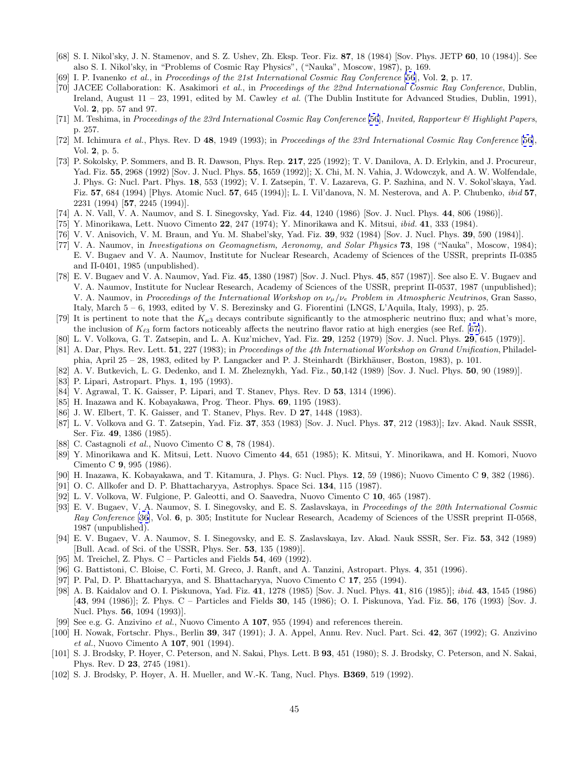- <span id="page-47-0"></span>[68] S. I. Nikol'sky, J. N. Stamenov, and S. Z. Ushev, Zh. Eksp. Teor. Fiz. **87**, 18 (1984) [Sov. Phys. JETP **60**, 10 (1984)]. See also S. I. Nikol'sky, in "Problems of Cosmic Ray Physics", ("Nauka", Moscow, 1987), p. 169.
- [69] I. P. Ivanenko et al., in Proceedings of the 21st International Cosmic Ray Conference [\[56](#page-46-0)], Vol. **2**, p. 17.
- [70] JACEE Collaboration: K. Asakimori et al., in Proceedings of the 22nd International Cosmic Ray Conference, Dublin, Ireland, August  $11 - 23$ , 1991, edited by M. Cawley *et al.* (The Dublin Institute for Advanced Studies, Dublin, 1991), Vol. **2**, pp. 57 and 97.
- [71] M. Teshima, in Proceedings of the 23rd International Cosmic Ray Conference [\[56](#page-46-0)], Invited, Rapporteur & Highlight Papers, p. 257.
- [72] M. Ichimura et al., Phys. Rev. D **48**, 1949 (1993); in Proceedings of the 23rd International Cosmic Ray Conference [[56](#page-46-0)], Vol. **2**, p. 5.
- [73] P. Sokolsky, P. Sommers, and B. R. Dawson, Phys. Rep. **217**, 225 (1992); T. V. Danilova, A. D. Erlykin, and J. Procureur, Yad. Fiz. **55**, 2968 (1992) [Sov. J. Nucl. Phys. **55**, 1659 (1992)]; X. Chi, M. N. Vahia, J. Wdowczyk, and A. W. Wolfendale, J. Phys. G: Nucl. Part. Phys. **18**, 553 (1992); V. I. Zatsepin, T. V. Lazareva, G. P. Sazhina, and N. V. Sokol'skaya, Yad. Fiz. **57**, 684 (1994) [Phys. Atomic Nucl. **57**, 645 (1994)]; L. I. Vil'danova, N. M. Nesterova, and A. P. Chubenko, ibid **57**, 2231 (1994) [**57**, 2245 (1994)].
- [74] A. N. Vall, V. A. Naumov, and S. I. Sinegovsky, Yad. Fiz. **44**, 1240 (1986) [Sov. J. Nucl. Phys. **44**, 806 (1986)].
- [75] Y. Minorikawa, Lett. Nuovo Cimento **22**, 247 (1974); Y. Minorikawa and K. Mitsui, ibid. **41**, 333 (1984).
- [76] V. V. Anisovich, V. M. Braun, and Yu. M. Shabel'sky, Yad. Fiz. **39**, 932 (1984) [Sov. J. Nucl. Phys. **39**, 590 (1984)].
- [77] V. A. Naumov, in Investigations on Geomagnetism, Aeronomy, and Solar Physics **73**, 198 ("Nauka", Moscow, 1984); E. V. Bugaev and V. A. Naumov, Institute for Nuclear Research, Academy of Sciences of the USSR, preprints Π-0385 and Π-0401, 1985 (unpublished).
- [78] E. V. Bugaev and V. A. Naumov, Yad. Fiz. **45**, 1380 (1987) [Sov. J. Nucl. Phys. **45**, 857 (1987)]. See also E. V. Bugaev and V. A. Naumov, Institute for Nuclear Research, Academy of Sciences of the USSR, preprint Π-0537, 1987 (unpublished); V. A. Naumov, in Proceedings of the International Workshop on  $\nu_\mu/\nu_e$  Problem in Atmospheric Neutrinos, Gran Sasso, Italy, March 5 – 6, 1993, edited by V. S. Berezinsky and G. Fiorentini (LNGS, L'Aquila, Italy, 1993), p. 25.
- [79] It is pertinent to note that the  $K_{\mu 3}$  decays contribute significantly to the atmospheric neutrino flux; and what's more, the inclusion of  $K_{\ell3}$  form factors noticeably affects the neutrino flavor ratio at high energies (see Ref. [[67\]](#page-46-0)).
- [80] L. V. Volkova, G. T. Zatsepin, and L. A. Kuz'michev, Yad. Fiz. **29**, 1252 (1979) [Sov. J. Nucl. Phys. **29**, 645 (1979)].
- [81] A. Dar, Phys. Rev. Lett. **51**, 227 (1983); in Proceedings of the 4th International Workshop on Grand Unification, Philadelphia, April 25 – 28, 1983, edited by P. Langacker and P. J. Steinhardt (Birkhäuser, Boston, 1983), p. 101.
- [82] A. V. Butkevich, L. G. Dedenko, and I. M. Zheleznykh, Yad. Fiz., **50**,142 (1989) [Sov. J. Nucl. Phys. **50**, 90 (1989)].
- [83] P. Lipari, Astropart. Phys. **1**, 195 (1993).
- [84] V. Agrawal, T. K. Gaisser, P. Lipari, and T. Stanev, Phys. Rev. D **53**, 1314 (1996).
- [85] H. Inazawa and K. Kobayakawa, Prog. Theor. Phys. **69**, 1195 (1983).
- [86] J. W. Elbert, T. K. Gaisser, and T. Stanev, Phys. Rev. D **27**, 1448 (1983).
- [87] L. V. Volkova and G. T. Zatsepin, Yad. Fiz. **37**, 353 (1983) [Sov. J. Nucl. Phys. **37**, 212 (1983)]; Izv. Akad. Nauk SSSR, Ser. Fiz. **49**, 1386 (1985).
- [88] C. Castagnoli et al., Nuovo Cimento C **8**, 78 (1984).
- [89] Y. Minorikawa and K. Mitsui, Lett. Nuovo Cimento **44**, 651 (1985); K. Mitsui, Y. Minorikawa, and H. Komori, Nuovo Cimento C **9**, 995 (1986).
- [90] H. Inazawa, K. Kobayakawa, and T. Kitamura, J. Phys. G: Nucl. Phys. **12**, 59 (1986); Nuovo Cimento C **9**, 382 (1986).
- [91] O. C. Allkofer and D. P. Bhattacharyya, Astrophys. Space Sci. **134**, 115 (1987).
- [92] L. V. Volkova, W. Fulgione, P. Galeotti, and O. Saavedra, Nuovo Cimento C **10**, 465 (1987).
- [93] E. V. Bugaev, V. A. Naumov, S. I. Sinegovsky, and E. S. Zaslavskaya, in Proceedings of the 20th International Cosmic Ray Conference [\[36](#page-45-0)], Vol. **6**, p. 305; Institute for Nuclear Research, Academy of Sciences of the USSR preprint Π-0568, 1987 (unpublished).
- [94] E. V. Bugaev, V. A. Naumov, S. I. Sinegovsky, and E. S. Zaslavskaya, Izv. Akad. Nauk SSSR, Ser. Fiz. **53**, 342 (1989) [Bull. Acad. of Sci. of the USSR, Phys. Ser. **53**, 135 (1989)].
- [95] M. Treichel, Z. Phys. C Particles and Fields **54**, 469 (1992).
- [96] G. Battistoni, C. Bloise, C. Forti, M. Greco, J. Ranft, and A. Tanzini, Astropart. Phys. **4**, 351 (1996).
- [97] P. Pal, D. P. Bhattacharyya, and S. Bhattacharyya, Nuovo Cimento C **17**, 255 (1994).
- [98] A. B. Kaidalov and O. I. Piskunova, Yad. Fiz. **41**, 1278 (1985) [Sov. J. Nucl. Phys. **41**, 816 (1985)]; ibid. **43**, 1545 (1986) [**43**, 994 (1986)]; Z. Phys. C – Particles and Fields **30**, 145 (1986); O. I. Piskunova, Yad. Fiz. **56**, 176 (1993) [Sov. J. Nucl. Phys. **56**, 1094 (1993)].
- [99] See e.g. G. Anzivino et al., Nuovo Cimento A **107**, 955 (1994) and references therein.
- [100] H. Nowak, Fortschr. Phys., Berlin **39**, 347 (1991); J. A. Appel, Annu. Rev. Nucl. Part. Sci. **42**, 367 (1992); G. Anzivino et al., Nuovo Cimento A **107**, 901 (1994).
- [101] S. J. Brodsky, P. Hoyer, C. Peterson, and N. Sakai, Phys. Lett. B **93**, 451 (1980); S. J. Brodsky, C. Peterson, and N. Sakai, Phys. Rev. D **23**, 2745 (1981).
- [102] S. J. Brodsky, P. Hoyer, A. H. Mueller, and W.-K. Tang, Nucl. Phys. **B369**, 519 (1992).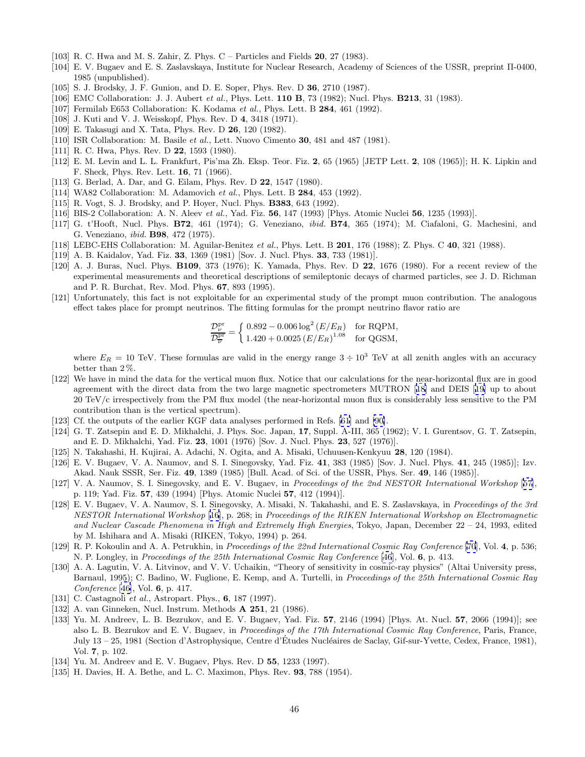- <span id="page-48-0"></span>[103] R. C. Hwa and M. S. Zahir, Z. Phys. C – Particles and Fields **20**, 27 (1983).
- [104] E. V. Bugaev and E. S. Zaslavskaya, Institute for Nuclear Research, Academy of Sciences of the USSR, preprint Π-0400, 1985 (unpublished).
- [105] S. J. Brodsky, J. F. Gunion, and D. E. Soper, Phys. Rev. D **36**, 2710 (1987).
- [106] EMC Collaboration: J. J. Aubert et al., Phys. Lett. **110 B**, 73 (1982); Nucl. Phys. **B213**, 31 (1983).
- [107] Fermilab E653 Collaboration: K. Kodama et al., Phys. Lett. B **284**, 461 (1992).
- [108] J. Kuti and V. J. Weisskopf, Phys. Rev. D **4**, 3418 (1971).
- [109] E. Takasugi and X. Tata, Phys. Rev. D **26**, 120 (1982).
- [110] ISR Collaboration: M. Basile et al., Lett. Nuovo Cimento **30**, 481 and 487 (1981).
- [111] R. C. Hwa, Phys. Rev. D **22**, 1593 (1980).
- [112] E. M. Levin and L. L. Frankfurt, Pis'ma Zh. Eksp. Teor. Fiz. **2**, 65 (1965) [JETP Lett. **2**, 108 (1965)]; H. K. Lipkin and F. Sheck, Phys. Rev. Lett. **16**, 71 (1966).
- [113] G. Berlad, A. Dar, and G. Eilam, Phys. Rev. D **22**, 1547 (1980).
- [114] WA82 Collaboration: M. Adamovich et al., Phys. Lett. B **284**, 453 (1992).
- [115] R. Vogt, S. J. Brodsky, and P. Hoyer, Nucl. Phys. **B383**, 643 (1992).
- [116] BIS-2 Collaboration: A. N. Aleev et al., Yad. Fiz. **56**, 147 (1993) [Phys. Atomic Nuclei **56**, 1235 (1993)].
- [117] G. t'Hooft, Nucl. Phys. **B72**, 461 (1974); G. Veneziano, ibid. **B74**, 365 (1974); M. Ciafaloni, G. Machesini, and G. Veneziano, ibid. **B98**, 472 (1975).
- [118] LEBC-EHS Collaboration: M. Aguilar-Benitez et al., Phys. Lett. B **201**, 176 (1988); Z. Phys. C **40**, 321 (1988).
- [119] A. B. Kaidalov, Yad. Fiz. **33**, 1369 (1981) [Sov. J. Nucl. Phys. **33**, 733 (1981)].
- [120] A. J. Buras, Nucl. Phys. **B109**, 373 (1976); K. Yamada, Phys. Rev. D **22**, 1676 (1980). For a recent review of the experimental measurements and theoretical descriptions of semileptonic decays of charmed particles, see J. D. Richman and P. R. Burchat, Rev. Mod. Phys. **67**, 893 (1995).
- [121] Unfortunately, this fact is not exploitable for an experimental study of the prompt muon contribution. The analogous effect takes place for prompt neutrinos. The fitting formulas for the prompt neutrino flavor ratio are

$$
\frac{\mathcal{D}_{\nu}^{\text{pr}}}{\mathcal{D}_{\overline{\nu}}^{\text{pr}}} = \left\{ \begin{array}{ll} 0.892 - 0.006 \log^2{(E/E_R)} & \text{for RQPM}, \\ 1.420 + 0.0025 \, {(E/E_R)}^{1.08} & \text{for QGSM}, \end{array} \right.
$$

where  $E_R = 10$  TeV. These formulas are valid in the energy range  $3 \div 10^3$  TeV at all zenith angles with an accuracy better than 2 %.

- [122] We have in mind the data for the vertical muon flux. Notice that our calculations for the near-horizontal flux are in good agreement with the direct data from the two large magnetic spectrometers MUTRON [[18](#page-45-0)] and DEIS [[19\]](#page-45-0) up to about 20 TeV/c irrespectively from the PM flux model (the near-horizontal muon flux is considerably less sensitive to the PM contribution than is the vertical spectrum).
- [123] Cf. the outputs of the earlier KGF data analyses performed in Refs. [[61](#page-46-0)] and [\[90\]](#page-47-0).
- [124] G. T. Zatsepin and E. D. Mikhalchi, J. Phys. Soc. Japan, **17**, Suppl. A-III, 365 (1962); V. I. Gurentsov, G. T. Zatsepin, and E. D. Mikhalchi, Yad. Fiz. **23**, 1001 (1976) [Sov. J. Nucl. Phys. **23**, 527 (1976)].
- [125] N. Takahashi, H. Kujirai, A. Adachi, N. Ogita, and A. Misaki, Uchuusen-Kenkyuu **28**, 120 (1984).
- [126] E. V. Bugaev, V. A. Naumov, and S. I. Sinegovsky, Yad. Fiz. **41**, 383 (1985) [Sov. J. Nucl. Phys. **41**, 245 (1985)]; Izv. Akad. Nauk SSSR, Ser. Fiz. **49**, 1389 (1985) [Bull. Acad. of Sci. of the USSR, Phys. Ser. **49**, 146 (1985)].
- [127] V. A. Naumov, S. I. Sinegovsky, and E. V. Bugaev, in Proceedings of the 2nd NESTOR International Workshop [[57](#page-46-0)], p. 119; Yad. Fiz. **57**, 439 (1994) [Phys. Atomic Nuclei **57**, 412 (1994)].
- [128] E. V. Bugaev, V. A. Naumov, S. I. Sinegovsky, A. Misaki, N. Takahashi, and E. S. Zaslavskaya, in Proceedings of the 3rd NESTOR International Workshop [\[16](#page-45-0)], p. 268; in Proceedings of the RIKEN International Workshop on Electromagnetic and Nuclear Cascade Phenomena in High and Extremely High Energies, Tokyo, Japan, December 22 – 24, 1993, edited by M. Ishihara and A. Misaki (RIKEN, Tokyo, 1994) p. 264.
- [129] R. P. Kokoulin and A. A. Petrukhin, in Proceedings of the 22nd International Cosmic Ray Conference [\[70](#page-47-0)], Vol. **4**, p. 536; N. P. Longley, in Proceedings of the 25th International Cosmic Ray Conference [\[46](#page-46-0)], Vol. **6**, p. 413.
- [130] A. A. Lagutin, V. A. Litvinov, and V. V. Uchaikin, "Theory of sensitivity in cosmic-ray physics" (Altai University press, Barnaul, 1995); C. Badino, W. Fuglione, E. Kemp, and A. Turtelli, in *Proceedings of the 25th International Cosmic Ray* Conference [[46](#page-46-0)], Vol. **6**, p. 417.
- [131] C. Castagnoli et al., Astropart. Phys., **6**, 187 (1997).
- [132] A. van Ginneken, Nucl. Instrum. Methods **A 251**, 21 (1986).
- [133] Yu. M. Andreev, L. B. Bezrukov, and E. V. Bugaev, Yad. Fiz. **57**, 2146 (1994) [Phys. At. Nucl. **57**, 2066 (1994)]; see also L. B. Bezrukov and E. V. Bugaev, in Proceedings of the 17th International Cosmic Ray Conference, Paris, France, July 13 – 25, 1981 (Section d'Astrophysique, Centre d'Etudes Nucléaires de Saclay, Gif-sur-Yvette, Cedex, France, 1981), Vol. **7**, p. 102.
- [134] Yu. M. Andreev and E. V. Bugaev, Phys. Rev. D **55**, 1233 (1997).
- [135] H. Davies, H. A. Bethe, and L. C. Maximon, Phys. Rev. **93**, 788 (1954).